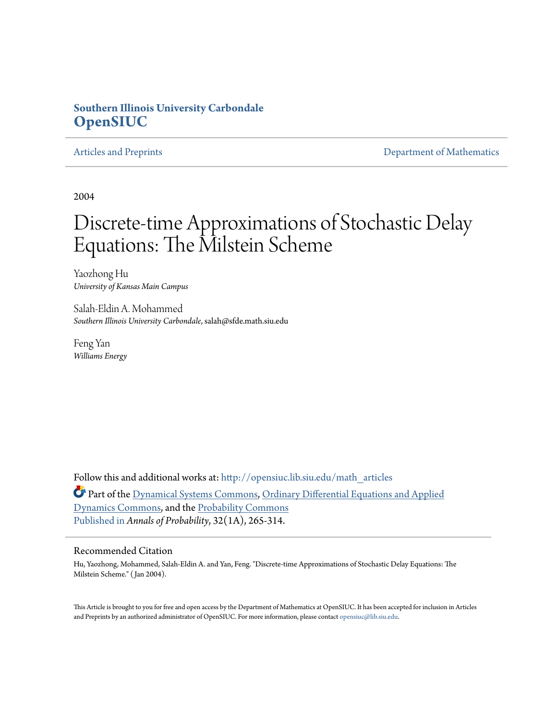## **Southern Illinois University Carbondale [OpenSIUC](http://opensiuc.lib.siu.edu?utm_source=opensiuc.lib.siu.edu%2Fmath_articles%2F55&utm_medium=PDF&utm_campaign=PDFCoverPages)**

[Articles and Preprints](http://opensiuc.lib.siu.edu/math_articles?utm_source=opensiuc.lib.siu.edu%2Fmath_articles%2F55&utm_medium=PDF&utm_campaign=PDFCoverPages) **[Department of Mathematics](http://opensiuc.lib.siu.edu/math?utm_source=opensiuc.lib.siu.edu%2Fmath_articles%2F55&utm_medium=PDF&utm_campaign=PDFCoverPages)** Department of Mathematics

2004

# Discrete-time Approximations of Stochastic Delay Equations: The Milstein Scheme

Yaozhong Hu *University of Kansas Main Campus*

Salah-Eldin A. Mohammed *Southern Illinois University Carbondale*, salah@sfde.math.siu.edu

Feng Yan *Williams Energy*

Follow this and additional works at: [http://opensiuc.lib.siu.edu/math\\_articles](http://opensiuc.lib.siu.edu/math_articles?utm_source=opensiuc.lib.siu.edu%2Fmath_articles%2F55&utm_medium=PDF&utm_campaign=PDFCoverPages) Part of the [Dynamical Systems Commons,](http://network.bepress.com/hgg/discipline/179?utm_source=opensiuc.lib.siu.edu%2Fmath_articles%2F55&utm_medium=PDF&utm_campaign=PDFCoverPages) [Ordinary Differential Equations and Applied](http://network.bepress.com/hgg/discipline/121?utm_source=opensiuc.lib.siu.edu%2Fmath_articles%2F55&utm_medium=PDF&utm_campaign=PDFCoverPages) [Dynamics Commons,](http://network.bepress.com/hgg/discipline/121?utm_source=opensiuc.lib.siu.edu%2Fmath_articles%2F55&utm_medium=PDF&utm_campaign=PDFCoverPages) and the [Probability Commons](http://network.bepress.com/hgg/discipline/212?utm_source=opensiuc.lib.siu.edu%2Fmath_articles%2F55&utm_medium=PDF&utm_campaign=PDFCoverPages) [Published in](http://dx.doi.org/doi:10.1214/aop/1078415836) *Annals of Probability*, 32(1A), 265-314.

#### Recommended Citation

Hu, Yaozhong, Mohammed, Salah-Eldin A. and Yan, Feng. "Discrete-time Approximations of Stochastic Delay Equations: The Milstein Scheme." ( Jan 2004).

This Article is brought to you for free and open access by the Department of Mathematics at OpenSIUC. It has been accepted for inclusion in Articles and Preprints by an authorized administrator of OpenSIUC. For more information, please contact [opensiuc@lib.siu.edu](mailto:opensiuc@lib.siu.edu).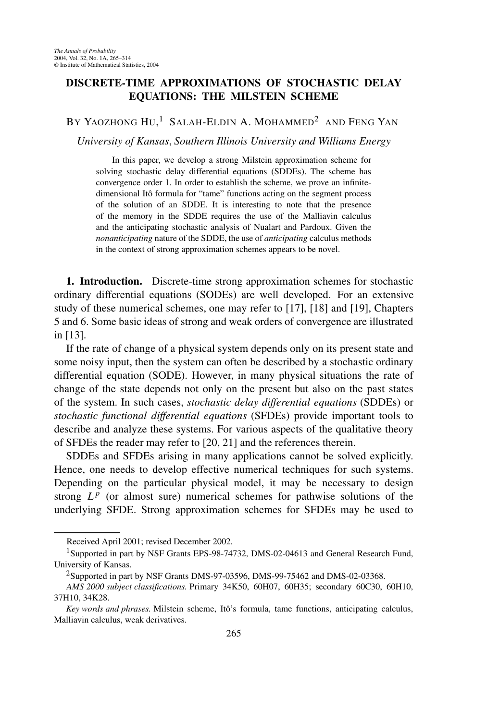### **DISCRETE-TIME APPROXIMATIONS OF STOCHASTIC DELAY EQUATIONS: THE MILSTEIN SCHEME**

BY YAOZHONG HU, $^1$  Salah-Eldin A. Mohammed<sup>2</sup> and Feng Yan

*University of Kansas*, *Southern Illinois University and Williams Energy*

In this paper, we develop a strong Milstein approximation scheme for solving stochastic delay differential equations (SDDEs). The scheme has convergence order 1. In order to establish the scheme, we prove an infinitedimensional Itô formula for "tame" functions acting on the segment process of the solution of an SDDE. It is interesting to note that the presence of the memory in the SDDE requires the use of the Malliavin calculus and the anticipating stochastic analysis of Nualart and Pardoux. Given the *nonanticipating* nature of the SDDE, the use of *anticipating* calculus methods in the context of strong approximation schemes appears to be novel.

**1. Introduction.** Discrete-time strong approximation schemes for stochastic ordinary differential equations (SODEs) are well developed. For an extensive study of these numerical schemes, one may refer to [17], [18] and [19], Chapters 5 and 6. Some basic ideas of strong and weak orders of convergence are illustrated in [13].

If the rate of change of a physical system depends only on its present state and some noisy input, then the system can often be described by a stochastic ordinary differential equation (SODE). However, in many physical situations the rate of change of the state depends not only on the present but also on the past states of the system. In such cases, *stochastic delay differential equations* (SDDEs) or *stochastic functional differential equations* (SFDEs) provide important tools to describe and analyze these systems. For various aspects of the qualitative theory of SFDEs the reader may refer to [20, 21] and the references therein.

SDDEs and SFDEs arising in many applications cannot be solved explicitly. Hence, one needs to develop effective numerical techniques for such systems. Depending on the particular physical model, it may be necessary to design strong  $L^p$  (or almost sure) numerical schemes for pathwise solutions of the underlying SFDE. Strong approximation schemes for SFDEs may be used to

Received April 2001; revised December 2002.

<sup>&</sup>lt;sup>1</sup>Supported in part by NSF Grants EPS-98-74732, DMS-02-04613 and General Research Fund, University of Kansas.

<sup>&</sup>lt;sup>2</sup>Supported in part by NSF Grants DMS-97-03596, DMS-99-75462 and DMS-02-03368.

*AMS 2000 subject classifications.* Primary 34K50, 60H07, 60H35; secondary 60C30, 60H10, 37H10, 34K28.

*Key words and phrases.* Milstein scheme, Itô's formula, tame functions, anticipating calculus, Malliavin calculus, weak derivatives.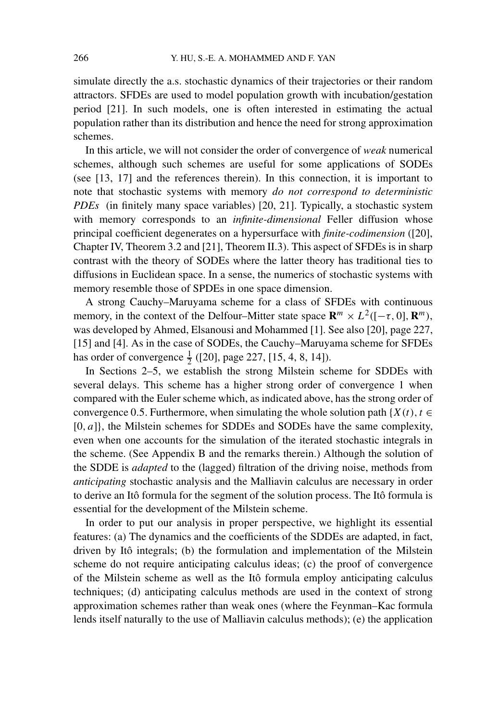simulate directly the a.s. stochastic dynamics of their trajectories or their random attractors. SFDEs are used to model population growth with incubation/gestation period [21]. In such models, one is often interested in estimating the actual population rather than its distribution and hence the need for strong approximation schemes.

In this article, we will not consider the order of convergence of *weak* numerical schemes, although such schemes are useful for some applications of SODEs (see [13, 17] and the references therein). In this connection, it is important to note that stochastic systems with memory *do not correspond to deterministic PDEs* (in finitely many space variables) [20, 21]. Typically, a stochastic system with memory corresponds to an *infinite-dimensional* Feller diffusion whose principal coefficient degenerates on a hypersurface with *finite-codimension* ([20], Chapter IV, Theorem 3.2 and [21], Theorem II.3). This aspect of SFDEs is in sharp contrast with the theory of SODEs where the latter theory has traditional ties to diffusions in Euclidean space. In a sense, the numerics of stochastic systems with memory resemble those of SPDEs in one space dimension.

A strong Cauchy–Maruyama scheme for a class of SFDEs with continuous memory, in the context of the Delfour–Mitter state space  $\mathbb{R}^m \times L^2([- \tau, 0], \mathbb{R}^m)$ , was developed by Ahmed, Elsanousi and Mohammed [1]. See also [20], page 227, [15] and [4]. As in the case of SODEs, the Cauchy–Maruyama scheme for SFDEs has order of convergence  $\frac{1}{2}$  ([20], page 227, [15, 4, 8, 14]).

In Sections 2–5, we establish the strong Milstein scheme for SDDEs with several delays. This scheme has a higher strong order of convergence 1 when compared with the Euler scheme which, as indicated above, has the strong order of convergence 0.5. Furthermore, when simulating the whole solution path { $X(t)$ ,  $t \in$ [0*, a*]}, the Milstein schemes for SDDEs and SODEs have the same complexity, even when one accounts for the simulation of the iterated stochastic integrals in the scheme. (See Appendix B and the remarks therein.) Although the solution of the SDDE is *adapted* to the (lagged) filtration of the driving noise, methods from *anticipating* stochastic analysis and the Malliavin calculus are necessary in order to derive an Itô formula for the segment of the solution process. The Itô formula is essential for the development of the Milstein scheme.

In order to put our analysis in proper perspective, we highlight its essential features: (a) The dynamics and the coefficients of the SDDEs are adapted, in fact, driven by Itô integrals; (b) the formulation and implementation of the Milstein scheme do not require anticipating calculus ideas; (c) the proof of convergence of the Milstein scheme as well as the Itô formula employ anticipating calculus techniques; (d) anticipating calculus methods are used in the context of strong approximation schemes rather than weak ones (where the Feynman–Kac formula lends itself naturally to the use of Malliavin calculus methods); (e) the application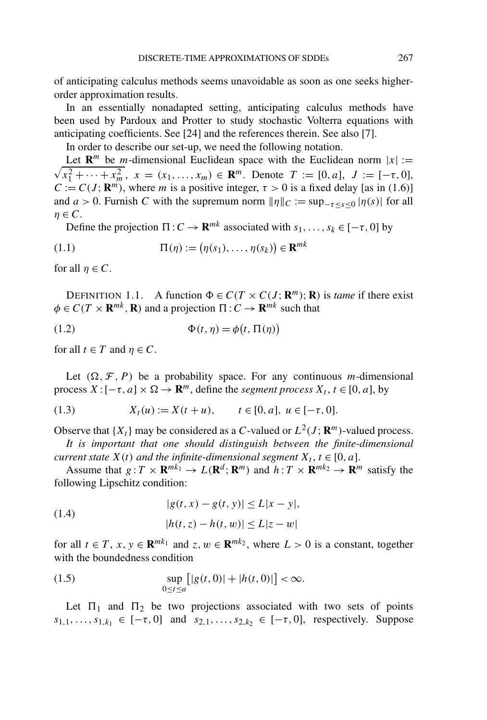of anticipating calculus methods seems unavoidable as soon as one seeks higherorder approximation results.

In an essentially nonadapted setting, anticipating calculus methods have been used by Pardoux and Protter to study stochastic Volterra equations with anticipating coefficients. See [24] and the references therein. See also [7].

In order to describe our set-up, we need the following notation.

Let  $\mathbb{R}^m$  be *m*-dimensional Euclidean space with the Euclidean norm  $|x| :=$  $\sqrt{x_1^2 + \cdots + x_m^2}$ ,  $x = (x_1, \ldots, x_m) \in \mathbb{R}^m$ . Denote  $T := [0, a]$ ,  $J := [-\tau, 0]$ ,  $C := C(J; \mathbb{R}^m)$ , where *m* is a positive integer,  $\tau > 0$  is a fixed delay [as in (1.6)] and  $a > 0$ . Furnish *C* with the supremum norm  $\|\eta\|_C := \sup_{-\tau \le s \le 0} |\eta(s)|$  for all  $\eta \in C$ .

Define the projection  $\Pi: C \to \mathbf{R}^{mk}$  associated with  $s_1, \ldots, s_k \in [-\tau, 0]$  by

$$
(1.1) \qquad \qquad \Pi(\eta) := (\eta(s_1), \dots, \eta(s_k)) \in \mathbf{R}^{mk}
$$

for all  $\eta \in C$ .

DEFINITION 1.1. A function  $\Phi \in C(T \times C(J; \mathbb{R}^m); \mathbb{R})$  is *tame* if there exist  $\phi \in C(T \times \mathbf{R}^{mk}, \mathbf{R})$  and a projection  $\Pi: C \to \mathbf{R}^{mk}$  such that

(1.2) 
$$
\Phi(t, \eta) = \phi(t, \Pi(\eta))
$$

for all  $t \in T$  and  $\eta \in C$ .

Let  $(\Omega, \mathcal{F}, P)$  be a probability space. For any continuous *m*-dimensional process  $X: [-\tau, a] \times \Omega \rightarrow \mathbb{R}^m$ , define the *segment process*  $X_t, t \in [0, a]$ , by

(1.3) 
$$
X_t(u) := X(t+u), \qquad t \in [0, a], \ u \in [-\tau, 0].
$$

Observe that  $\{X_t\}$  may be considered as a *C*-valued or  $L^2(J; \mathbb{R}^m)$ -valued process.

*It is important that one should distinguish between the finite-dimensional current state*  $X(t)$  *and the infinite-dimensional segment*  $X_t$ ,  $t \in [0, a]$ .

Assume that  $g: T \times \mathbf{R}^{mk_1} \to L(\mathbf{R}^d; \mathbf{R}^m)$  and  $h: T \times \mathbf{R}^{mk_2} \to \mathbf{R}^m$  satisfy the following Lipschitz condition:

(1.4) 
$$
|g(t, x) - g(t, y)| \le L|x - y|,
$$

$$
|h(t, z) - h(t, w)| \le L|z - w|
$$

for all  $t \in T$ ,  $x, y \in \mathbf{R}^{mk_1}$  and  $z, w \in \mathbf{R}^{mk_2}$ , where  $L > 0$  is a constant, together with the boundedness condition

(1.5) 
$$
\sup_{0 \le t \le a} [|g(t, 0)| + |h(t, 0)|] < \infty.
$$

Let  $\Pi_1$  and  $\Pi_2$  be two projections associated with two sets of points  $s_{1,1},...,s_{1,k_1} \in [-\tau,0]$  and  $s_{2,1},...,s_{2,k_2} \in [-\tau,0]$ , respectively. Suppose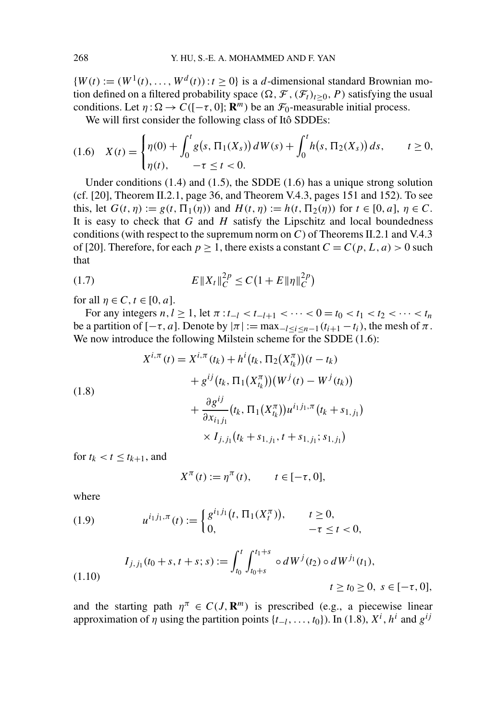${W(t) := (W^1(t), ..., W^d(t)): t \geq 0}$  is a *d*-dimensional standard Brownian motion defined on a filtered probability space  $(\Omega, \mathcal{F}, (\mathcal{F}_t)_{t>0}, P)$  satisfying the usual conditions. Let  $\eta : \Omega \to C([-\tau, 0]; \mathbb{R}^m)$  be an  $\mathcal{F}_0$ -measurable initial process.

We will first consider the following class of Itô SDDEs:

$$
(1.6) \quad X(t) = \begin{cases} \eta(0) + \int_0^t g(s, \Pi_1(X_s)) dW(s) + \int_0^t h(s, \Pi_2(X_s)) ds, & t \ge 0, \\ \eta(t), & -\tau \le t < 0. \end{cases}
$$

Under conditions  $(1.4)$  and  $(1.5)$ , the SDDE  $(1.6)$  has a unique strong solution (cf. [20], Theorem II.2.1, page 36, and Theorem V.4.3, pages 151 and 152). To see this, let  $G(t, \eta) := g(t, \Pi_1(\eta))$  and  $H(t, \eta) := h(t, \Pi_2(\eta))$  for  $t \in [0, a]$ ,  $\eta \in C$ . It is easy to check that *G* and *H* satisfy the Lipschitz and local boundedness conditions (with respect to the supremum norm on *C*) of Theorems II.2.1 and V.4.3 of [20]. Therefore, for each  $p \ge 1$ , there exists a constant  $C = C(p, L, a) > 0$  such that

(1.7) 
$$
E\|X_t\|_C^{2p} \le C\left(1 + E\|\eta\|_C^{2p}\right)
$$

for all  $\eta \in C$ ,  $t \in [0, a]$ .

For any integers  $n, l \geq 1$ , let  $\pi : t_{-l} < t_{-l+1} < \cdots < 0 = t_0 < t_1 < t_2 < \cdots < t_n$ be a partition of  $[-\tau, a]$ . Denote by  $|\pi| := \max_{-l \le i \le n-1} (t_{i+1} - t_i)$ , the mesh of  $\pi$ . We now introduce the following Milstein scheme for the SDDE  $(1.6)$ :

(1.8)  
\n
$$
X^{i,\pi}(t) = X^{i,\pi}(t_k) + h^i(t_k, \Pi_2(X_{t_k}^{\pi})) (t - t_k)
$$
\n
$$
+ g^{ij}(t_k, \Pi_1(X_{t_k}^{\pi})) (W^j(t) - W^j(t_k))
$$
\n
$$
+ \frac{\partial g^{ij}}{\partial x_{i_1 j_1}} (t_k, \Pi_1(X_{t_k}^{\pi})) u^{i_1 j_1, \pi}(t_k + s_{1,j_1})
$$
\n
$$
\times I_{j,j_1}(t_k + s_{1,j_1}, t + s_{1,j_1}; s_{1,j_1})
$$

for  $t_k < t \leq t_{k+1}$ , and

$$
X^{\pi}(t) := \eta^{\pi}(t), \qquad t \in [-\tau, 0],
$$

where

(1.9) 
$$
u^{i_1j_1,\pi}(t) := \begin{cases} g^{i_1j_1}(t, \Pi_1(X_t^{\pi})), & t \geq 0, \\ 0, & -\tau \leq t < 0, \end{cases}
$$

(1.10) 
$$
I_{j,j_1}(t_0+s,t+s;s) := \int_{t_0}^t \int_{t_0+s}^{t_1+s} \circ dW^j(t_2) \circ dW^{j_1}(t_1),
$$

$$
t \ge t_0 \ge 0, \ s \in [-\tau,0],
$$

and the starting path  $\eta^{\pi} \in C(J, \mathbb{R}^m)$  is prescribed (e.g., a piecewise linear approximation of  $\eta$  using the partition points { $t_{-l}, \ldots, t_0$ }). In (1.8),  $X^i$ ,  $h^i$  and  $g^{ij}$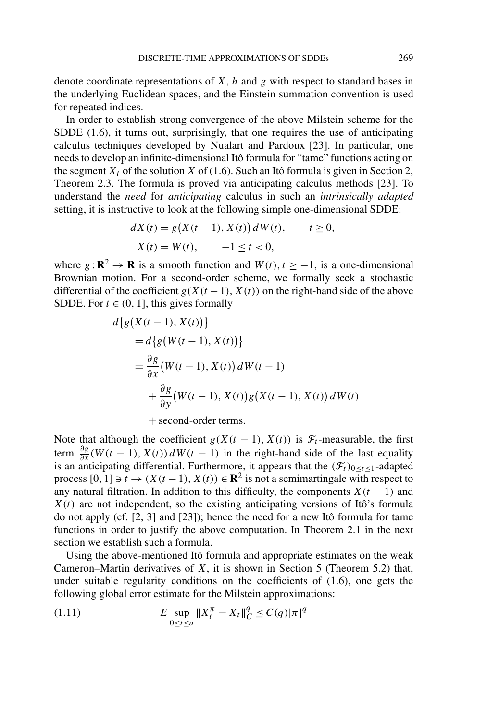denote coordinate representations of *X*, *h* and *g* with respect to standard bases in the underlying Euclidean spaces, and the Einstein summation convention is used for repeated indices.

In order to establish strong convergence of the above Milstein scheme for the SDDE (1.6), it turns out, surprisingly, that one requires the use of anticipating calculus techniques developed by Nualart and Pardoux [23]. In particular, one needs to develop an infinite-dimensional Itô formula for "tame" functions acting on the segment  $X_t$  of the solution  $X$  of (1.6). Such an Itô formula is given in Section 2, Theorem 2.3. The formula is proved via anticipating calculus methods [23]. To understand the *need* for *anticipating* calculus in such an *intrinsically adapted* setting, it is instructive to look at the following simple one-dimensional SDDE:

$$
dX(t) = g(X(t-1), X(t)) dW(t), \t t \ge 0,
$$
  
\n
$$
X(t) = W(t), \t -1 \le t < 0,
$$

where  $g: \mathbb{R}^2 \to \mathbb{R}$  is a smooth function and  $W(t)$ ,  $t \ge -1$ , is a one-dimensional Brownian motion. For a second-order scheme, we formally seek a stochastic differential of the coefficient  $g(X(t-1), X(t))$  on the right-hand side of the above SDDE. For  $t \in (0, 1]$ , this gives formally

$$
d\{g(X(t-1), X(t))\}
$$
  
=  $d\{g(W(t-1), X(t))\}$   
=  $\frac{\partial g}{\partial x}(W(t-1), X(t)) dW(t-1)$   
+  $\frac{\partial g}{\partial y}(W(t-1), X(t)) g(X(t-1), X(t)) dW(t)$ 

+ second-order terms.

Note that although the coefficient  $g(X(t-1), X(t))$  is  $\mathcal{F}_t$ -measurable, the first term  $\frac{\partial g}{\partial x}$  *(W (t* − 1*), X (t)) dW (t* − 1*)* in the right-hand side of the last equality is an anticipating differential. Furthermore, it appears that the  $(F_t)_{0 \le t \le 1}$ -adapted process  $[0, 1] \ni t \to (X(t-1), X(t)) \in \mathbb{R}^2$  is not a semimartingale with respect to any natural filtration. In addition to this difficulty, the components  $X(t - 1)$  and  $X(t)$  are not independent, so the existing anticipating versions of Itô's formula do not apply (cf. [2, 3] and [23]); hence the need for a new Itô formula for tame functions in order to justify the above computation. In Theorem 2.1 in the next section we establish such a formula.

Using the above-mentioned Itô formula and appropriate estimates on the weak Cameron–Martin derivatives of *X*, it is shown in Section 5 (Theorem 5.2) that, under suitable regularity conditions on the coefficients of (1.6), one gets the following global error estimate for the Milstein approximations:

(1.11) 
$$
E \sup_{0 \le t \le a} \|X_t^{\pi} - X_t\|_C^q \le C(q) |\pi|^q
$$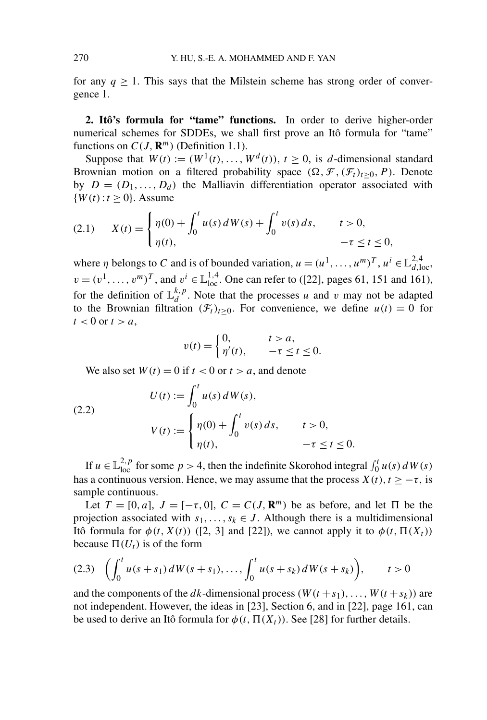for any  $q \geq 1$ . This says that the Milstein scheme has strong order of convergence 1.

**2. Itô's formula for "tame" functions.** In order to derive higher-order numerical schemes for SDDEs, we shall first prove an Itô formula for "tame" functions on  $C(J, \mathbb{R}^m)$  (Definition 1.1).

Suppose that  $W(t) := (W^1(t), \ldots, W^d(t)), t \ge 0$ , is *d*-dimensional standard Brownian motion on a filtered probability space  $(\Omega, \mathcal{F}, (\mathcal{F}_t)_{t\geq 0}, P)$ . Denote by  $D = (D_1, \ldots, D_d)$  the Malliavin differentiation operator associated with  ${W(t): t \geq 0}$ . Assume

(2.1) 
$$
X(t) = \begin{cases} \eta(0) + \int_0^t u(s) dW(s) + \int_0^t v(s) ds, & t > 0, \\ \eta(t), & -\tau \le t \le 0, \end{cases}
$$

where *η* belongs to *C* and is of bounded variation,  $u = (u^1, \dots, u^m)^T$ ,  $u^i \in \mathbb{L}^{2,4}_{d,loc}$ ,  $v = (v^1, \dots, v^m)^T$ , and  $v^i \in \mathbb{L}^{1,4}_{loc}$ . One can refer to ([22], pages 61, 151 and 161), for the definition of  $\mathbb{L}_{d}^{k,p}$ . Note that the processes *u* and *v* may not be adapted to the Brownian filtration  $(\mathcal{F}_t)_{t>0}$ . For convenience, we define  $u(t) = 0$  for  $t < 0$  or  $t > a$ ,

$$
v(t) = \begin{cases} 0, & t > a, \\ \eta'(t), & -\tau \le t \le 0. \end{cases}
$$

We also set  $W(t) = 0$  if  $t < 0$  or  $t > a$ , and denote

(2.2)  

$$
U(t) := \int_0^t u(s) dW(s),
$$

$$
V(t) := \begin{cases} \eta(0) + \int_0^t v(s) ds, & t > 0, \\ \eta(t), & -\tau \le t \le 0. \end{cases}
$$

If  $u \in \mathbb{L}_{loc}^{2,p}$  for some  $p > 4$ , then the indefinite Skorohod integral  $\int_0^t u(s) dW(s)$ has a continuous version. Hence, we may assume that the process  $X(t)$ ,  $t \geq -\tau$ , is sample continuous.

Let  $T = [0, a]$ ,  $J = [-\tau, 0]$ ,  $C = C(J, \mathbb{R}^m)$  be as before, and let  $\Pi$  be the projection associated with  $s_1, \ldots, s_k \in J$ . Although there is a multidimensional Itô formula for  $\phi(t, X(t))$  ([2, 3] and [22]), we cannot apply it to  $\phi(t, \Pi(X_t))$ because  $\Pi(U_t)$  is of the form

$$
(2.3) \quad \left(\int_0^t u(s+s_1) \, dW(s+s_1), \ldots, \int_0^t u(s+s_k) \, dW(s+s_k)\right), \qquad t>0
$$

and the components of the *dk*-dimensional process  $(W(t + s_1), \ldots, W(t + s_k))$  are not independent. However, the ideas in [23], Section 6, and in [22], page 161, can be used to derive an Itô formula for  $\phi(t, \Pi(X_t))$ . See [28] for further details.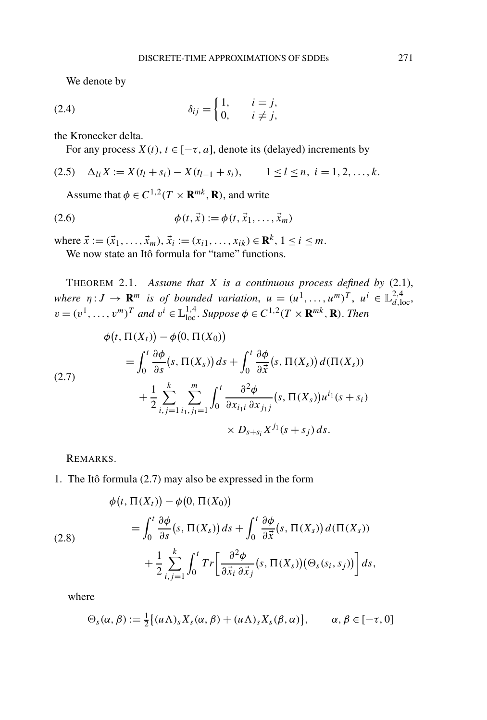We denote by

(2.4) 
$$
\delta_{ij} = \begin{cases} 1, & i = j, \\ 0, & i \neq j, \end{cases}
$$

the Kronecker delta.

For any process  $X(t)$ ,  $t \in [-\tau, a]$ , denote its (delayed) increments by

$$
(2.5) \quad \Delta_{li} X := X(t_l + s_i) - X(t_{l-1} + s_i), \qquad 1 \leq l \leq n, \ i = 1, 2, \dots, k.
$$

Assume that  $\phi \in C^{1,2}(T \times \mathbf{R}^{mk}, \mathbf{R})$ , and write

(2.6) 
$$
\phi(t, \vec{x}) := \phi(t, \vec{x}_1, ..., \vec{x}_m)
$$

where  $\vec{x} := (\vec{x}_1, \ldots, \vec{x}_m), \vec{x}_i := (x_{i1}, \ldots, x_{ik}) \in \mathbb{R}^k, 1 \le i \le m$ .

We now state an Itô formula for "tame" functions.

THEOREM 2.1. *Assume that X is a continuous process defined by* (2.1), *where*  $\eta: J \to \mathbf{R}^m$  *is of bounded variation,*  $u = (u^1, \ldots, u^m)^T$ ,  $u^i \in \mathbb{L}^{2,4}_{d,loc}$ ,  $v = (v^1, \ldots, v^m)^T$  *and*  $v^i \in \mathbb{L}_{loc}^{1,4}$ . *Suppose*  $\phi \in C^{1,2}(T \times \mathbb{R}^{mk}, \mathbb{R})$ . *Then* 

(2.7)  
\n
$$
\phi(t, \Pi(X_t)) - \phi(0, \Pi(X_0))
$$
\n
$$
= \int_0^t \frac{\partial \phi}{\partial s} (s, \Pi(X_s)) ds + \int_0^t \frac{\partial \phi}{\partial \vec{x}} (s, \Pi(X_s)) d(\Pi(X_s))
$$
\n
$$
+ \frac{1}{2} \sum_{i,j=1}^k \sum_{i_1, j_1=1}^m \int_0^t \frac{\partial^2 \phi}{\partial x_{i_1 i} \partial x_{j_1 j}} (s, \Pi(X_s)) u^{i_1} (s + s_i)
$$
\n
$$
\times D_{s+s_i} X^{j_1} (s + s_j) ds.
$$

REMARKS.

1. The Itô formula (2.7) may also be expressed in the form

(2.8)  
\n
$$
\phi(t, \Pi(X_t)) - \phi(0, \Pi(X_0))
$$
\n
$$
= \int_0^t \frac{\partial \phi}{\partial s}(s, \Pi(X_s)) ds + \int_0^t \frac{\partial \phi}{\partial \vec{x}}(s, \Pi(X_s)) d(\Pi(X_s))
$$
\n
$$
+ \frac{1}{2} \sum_{i,j=1}^k \int_0^t Tr \left[ \frac{\partial^2 \phi}{\partial \vec{x}_i \partial \vec{x}_j}(s, \Pi(X_s)) (\Theta_s(s_i, s_j)) \right] ds,
$$

where

$$
\Theta_s(\alpha,\beta) := \frac{1}{2} \{ (u \Lambda)_s X_s(\alpha,\beta) + (u \Lambda)_s X_s(\beta,\alpha) \}, \qquad \alpha, \beta \in [-\tau,0]
$$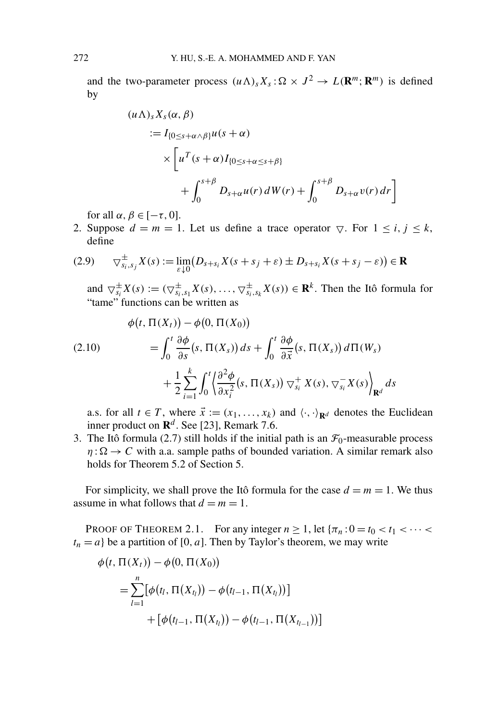and the two-parameter process  $(u \Lambda)_s X_s : \Omega \times J^2 \to L(\mathbf{R}^m; \mathbf{R}^m)$  is defined by

$$
(u\Lambda)_s X_s(\alpha, \beta)
$$
  
\n
$$
:= I_{\{0 \le s+\alpha \wedge \beta\}} u(s+\alpha)
$$
  
\n
$$
\times \left[ u^T (s+\alpha) I_{\{0 \le s+\alpha \le s+\beta\}} \right]
$$
  
\n
$$
+ \int_0^{s+\beta} D_{s+\alpha} u(r) dW(r) + \int_0^{s+\beta} D_{s+\alpha} v(r) dr \right]
$$

for all  $\alpha, \beta \in [-\tau, 0]$ .

2. Suppose  $d = m = 1$ . Let us define a trace operator  $\bigtriangledown$ . For  $1 \le i, j \le k$ , define

$$
(2.9) \qquad \nabla_{s_i,s_j}^{\pm} X(s) := \lim_{\varepsilon \downarrow 0} (D_{s+s_i} X(s+s_j+\varepsilon) \pm D_{s+s_i} X(s+s_j-\varepsilon)) \in \mathbf{R}
$$

and  $\bigtriangledown^{\pm}_{s_i}X(s) := (\bigtriangledown^{\pm}_{s_i,s_1}X(s), \ldots, \bigtriangledown^{\pm}_{s_i,s_k}X(s)) \in \mathbf{R}^k$ . Then the Itô formula for "tame" functions can be written as

(2.10)  
\n
$$
\phi(t, \Pi(X_t)) - \phi(0, \Pi(X_0))
$$
\n
$$
= \int_0^t \frac{\partial \phi}{\partial s} (s, \Pi(X_s)) ds + \int_0^t \frac{\partial \phi}{\partial \vec{x}} (s, \Pi(X_s)) d\Pi(W_s)
$$
\n
$$
+ \frac{1}{2} \sum_{i=1}^k \int_0^t \left\langle \frac{\partial^2 \phi}{\partial x_i^2} (s, \Pi(X_s)) \nabla_{s_i}^+ X(s), \nabla_{s_i}^- X(s) \right\rangle_{\mathbf{R}^d} ds
$$

a.s. for all  $t \in T$ , where  $\vec{x} := (x_1, \ldots, x_k)$  and  $\langle \cdot, \cdot \rangle_{\mathbf{R}^d}$  denotes the Euclidean inner product on  $\mathbb{R}^d$ . See [23], Remark 7.6.

3. The Itô formula (2.7) still holds if the initial path is an  $\mathcal{F}_0$ -measurable process  $\eta : \Omega \to C$  with a.a. sample paths of bounded variation. A similar remark also holds for Theorem 5.2 of Section 5.

For simplicity, we shall prove the Itô formula for the case  $d = m = 1$ . We thus assume in what follows that  $d = m = 1$ .

PROOF OF THEOREM 2.1. For any integer  $n \ge 1$ , let  $\{\pi_n: 0 = t_0 < t_1 < \cdots < t_n\}$  $t_n = a$  be a partition of [0, a]. Then by Taylor's theorem, we may write

$$
\phi(t, \Pi(X_t)) - \phi(0, \Pi(X_0))
$$
  
= 
$$
\sum_{l=1}^n [\phi(t_l, \Pi(X_{t_l})) - \phi(t_{l-1}, \Pi(X_{t_l}))]
$$
  
+ 
$$
[\phi(t_{l-1}, \Pi(X_{t_l})) - \phi(t_{l-1}, \Pi(X_{t_{l-1}}))]
$$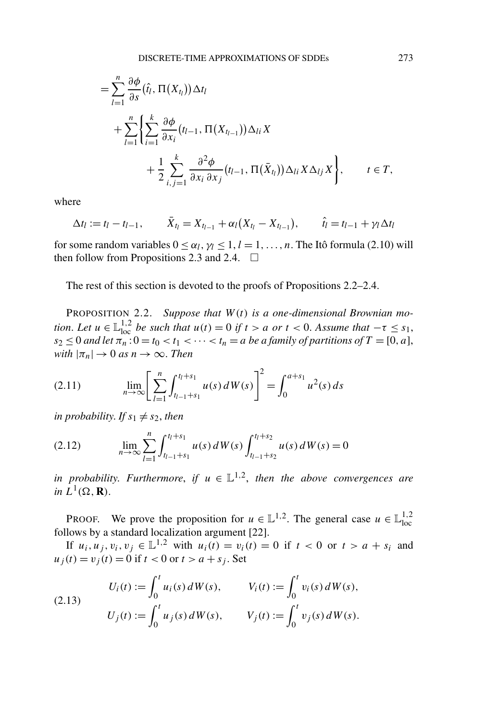$$
= \sum_{l=1}^{n} \frac{\partial \phi}{\partial s}(\hat{t}_{l}, \Pi(X_{t_{l}})) \Delta t_{l}
$$
  
+ 
$$
\sum_{l=1}^{n} \left\{ \sum_{i=1}^{k} \frac{\partial \phi}{\partial x_{i}}(t_{l-1}, \Pi(X_{t_{l-1}})) \Delta_{li} X + \frac{1}{2} \sum_{i,j=1}^{k} \frac{\partial^{2} \phi}{\partial x_{i} \partial x_{j}}(t_{l-1}, \Pi(\bar{X}_{t_{l}})) \Delta_{li} X \Delta_{lj} X \right\}, \qquad t \in T,
$$

where

$$
\Delta t_l := t_l - t_{l-1}, \qquad \bar{X}_{t_l} = X_{t_{l-1}} + \alpha_l (X_{t_l} - X_{t_{l-1}}), \qquad \hat{t}_l = t_{l-1} + \gamma_l \Delta t_l
$$

for some random variables  $0 \leq \alpha_l$ ,  $\gamma_l \leq 1$ ,  $l = 1, \ldots, n$ . The Itô formula (2.10) will then follow from Propositions 2.3 and 2.4.  $\Box$ 

The rest of this section is devoted to the proofs of Propositions 2.2–2.4.

PROPOSITION 2.2. *Suppose that W (t) is a one-dimensional Brownian motion. Let*  $u \in \mathbb{L}_{loc}^{1,2}$  *be such that*  $u(t) = 0$  *if*  $t > a$  *or*  $t < 0$ . Assume that  $-\tau \leq s_1$ ,  $s_2 \leq 0$  *and let*  $\pi_n : 0 = t_0 < t_1 < \cdots < t_n = a$  *be a family of partitions of*  $T = [0, a]$ , *with*  $|\pi_n| \to 0$  *as*  $n \to \infty$ . *Then* 

(2.11) 
$$
\lim_{n \to \infty} \left[ \sum_{l=1}^{n} \int_{t_{l-1}+s_1}^{t_l+s_1} u(s) dW(s) \right]^2 = \int_0^{a+s_1} u^2(s) ds
$$

*in probability. If*  $s_1 \neq s_2$ , *then* 

(2.12) 
$$
\lim_{n \to \infty} \sum_{l=1}^{n} \int_{t_{l-1}+s_1}^{t_l+s_1} u(s) dW(s) \int_{t_{l-1}+s_2}^{t_l+s_2} u(s) dW(s) = 0
$$

*in probability. Furthermore, if*  $u \in L^{1,2}$ *, then the above convergences are in*  $L^1(\Omega, \mathbf{R})$ .

PROOF. We prove the proposition for  $u \in \mathbb{L}^{1,2}$ . The general case  $u \in \mathbb{L}^{1,2}_{loc}$ follows by a standard localization argument [22].

If *u<sub>i</sub>*, *u<sub>j</sub>*, *v<sub>i</sub>*, *v<sub>j</sub>* ∈  $\mathbb{L}^{1,2}$  with *u<sub>i</sub>*(*t*) = *v<sub>i</sub>*(*t*) = 0 if *t* < 0 or *t* > *a* + *s<sub>i</sub>* and  $u_j(t) = v_j(t) = 0$  if  $t < 0$  or  $t > a + s_j$ . Set

(2.13) 
$$
U_i(t) := \int_0^t u_i(s) dW(s), \qquad V_i(t) := \int_0^t v_i(s) dW(s),
$$

$$
U_j(t) := \int_0^t u_j(s) dW(s), \qquad V_j(t) := \int_0^t v_j(s) dW(s).
$$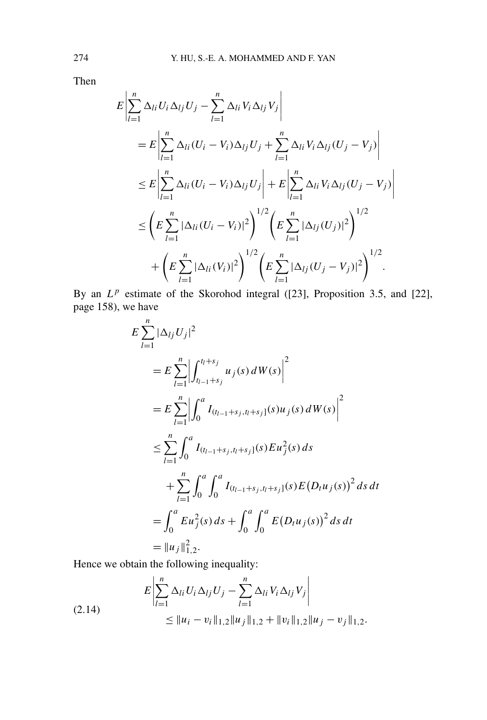Then

$$
E\left|\sum_{l=1}^{n} \Delta_{li} U_{i} \Delta_{lj} U_{j} - \sum_{l=1}^{n} \Delta_{li} V_{i} \Delta_{lj} V_{j}\right|
$$
  
\n
$$
= E\left|\sum_{l=1}^{n} \Delta_{li} (U_{i} - V_{i}) \Delta_{lj} U_{j} + \sum_{l=1}^{n} \Delta_{li} V_{i} \Delta_{lj} (U_{j} - V_{j})\right|
$$
  
\n
$$
\leq E\left|\sum_{l=1}^{n} \Delta_{li} (U_{i} - V_{i}) \Delta_{lj} U_{j}\right| + E\left|\sum_{l=1}^{n} \Delta_{li} V_{i} \Delta_{lj} (U_{j} - V_{j})\right|
$$
  
\n
$$
\leq \left(E\sum_{l=1}^{n} |\Delta_{li} (U_{i} - V_{i})|^{2}\right)^{1/2} \left(E\sum_{l=1}^{n} |\Delta_{lj} (U_{j})|^{2}\right)^{1/2}
$$
  
\n
$$
+ \left(E\sum_{l=1}^{n} |\Delta_{li} (V_{i})|^{2}\right)^{1/2} \left(E\sum_{l=1}^{n} |\Delta_{lj} (U_{j} - V_{j})|^{2}\right)^{1/2}.
$$

By an  $L^p$  estimate of the Skorohod integral ([23], Proposition 3.5, and [22], page 158), we have

$$
E \sum_{l=1}^{n} |\Delta_{lj} U_j|^2
$$
  
=  $E \sum_{l=1}^{n} \left| \int_{t_{l-1}+s_j}^{t_{l}+s_j} u_j(s) dW(s) \right|^2$   
=  $E \sum_{l=1}^{n} \left| \int_0^a I_{(t_{l-1}+s_j,t_l+s_j]}(s) u_j(s) dW(s) \right|^2$   
 $\leq \sum_{l=1}^{n} \int_0^a I_{(t_{l-1}+s_j,t_l+s_j]}(s) E u_j^2(s) ds$   
 $+ \sum_{l=1}^{n} \int_0^a \int_0^a I_{(t_{l-1}+s_j,t_l+s_j]}(s) E(D_t u_j(s))^2 ds dt$   
=  $\int_0^a E u_j^2(s) ds + \int_0^a \int_0^a E(D_t u_j(s))^2 ds dt$   
=  $||u_j||_{1,2}^2$ .

Hence we obtain the following inequality:

$$
E\left|\sum_{l=1}^{n} \Delta_{li} U_{i} \Delta_{lj} U_{j} - \sum_{l=1}^{n} \Delta_{li} V_{i} \Delta_{lj} V_{j}\right|
$$
  
\n
$$
\leq ||u_{i} - v_{i}||_{1,2} ||u_{j}||_{1,2} + ||v_{i}||_{1,2} ||u_{j} - v_{j}||_{1,2}.
$$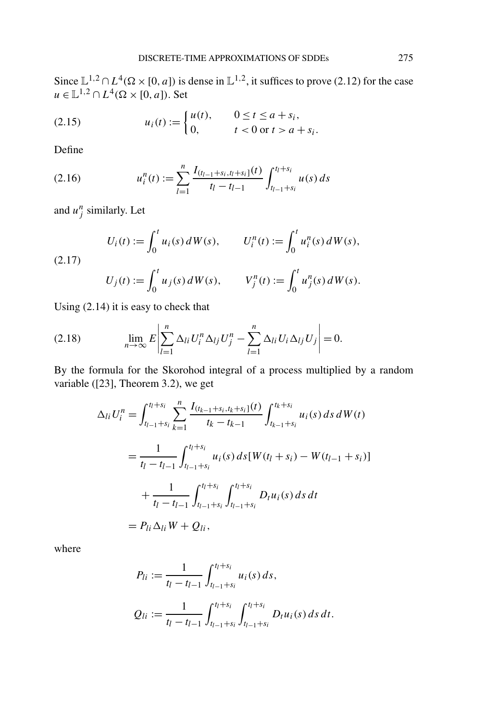Since  $\mathbb{L}^{1,2} \cap L^4(\Omega \times [0,a])$  is dense in  $\mathbb{L}^{1,2}$ , it suffices to prove (2.12) for the case  $u \in \mathbb{L}^{1,2} \cap L^4(\Omega \times [0,a])$ . Set

(2.15) 
$$
u_i(t) := \begin{cases} u(t), & 0 \le t \le a + s_i, \\ 0, & t < 0 \text{ or } t > a + s_i. \end{cases}
$$

Define

(2.16) 
$$
u_i^n(t) := \sum_{l=1}^n \frac{I_{(t_{l-1}+s_i,t_l+s_i]}(t)}{t_l-t_{l-1}} \int_{t_{l-1}+s_i}^{t_l+s_i} u(s) ds
$$

and  $u_j^n$  similarly. Let

$$
U_i(t) := \int_0^t u_i(s) dW(s), \qquad U_i^n(t) := \int_0^t u_i^n(s) dW(s),
$$
  
(2.17)  

$$
U_j(t) := \int_0^t u_j(s) dW(s), \qquad V_j^n(t) := \int_0^t u_j^n(s) dW(s).
$$

Using (2.14) it is easy to check that

$$
(2.18) \qquad \lim_{n\to\infty} E\left|\sum_{l=1}^n \Delta_{li} U_l^n \Delta_{lj} U_j^n - \sum_{l=1}^n \Delta_{li} U_l \Delta_{lj} U_j\right| = 0.
$$

By the formula for the Skorohod integral of a process multiplied by a random variable ([23], Theorem 3.2), we get

$$
\Delta_{li} U_i^n = \int_{t_{l-1}+s_i}^{t_l+s_i} \sum_{k=1}^n \frac{I_{(t_{k-1}+s_i,t_k+s_i]}(t)}{t_k-t_{k-1}} \int_{t_{k-1}+s_i}^{t_k+s_i} u_i(s) \, ds \, dW(t)
$$
  
= 
$$
\frac{1}{t_l-t_{l-1}} \int_{t_{l-1}+s_i}^{t_l+s_i} u_i(s) \, ds[W(t_l+s_i) - W(t_{l-1}+s_i)]
$$
  
+ 
$$
\frac{1}{t_l-t_{l-1}} \int_{t_{l-1}+s_i}^{t_l+s_i} \int_{t_{l-1}+s_i}^{t_l+s_i} D_t u_i(s) \, ds \, dt
$$
  
= 
$$
P_{li} \Delta_{li} W + Q_{li},
$$

where

$$
P_{li} := \frac{1}{t_l - t_{l-1}} \int_{t_{l-1}+s_i}^{t_l+s_i} u_i(s) ds,
$$
  
\n
$$
Q_{li} := \frac{1}{t_l - t_{l-1}} \int_{t_{l-1}+s_i}^{t_l+s_i} \int_{t_{l-1}+s_i}^{t_l+s_i} D_t u_i(s) ds dt.
$$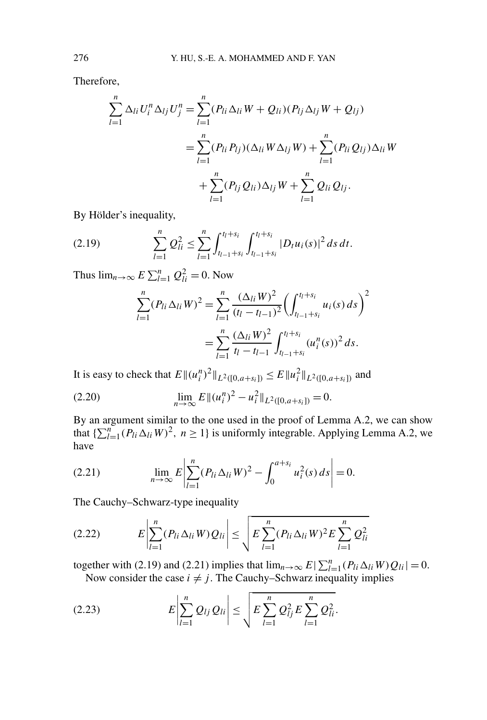Therefore,

$$
\sum_{l=1}^{n} \Delta_{li} U_{i}^{n} \Delta_{lj} U_{j}^{n} = \sum_{l=1}^{n} (P_{li} \Delta_{li} W + Q_{li}) (P_{lj} \Delta_{lj} W + Q_{lj})
$$
  
= 
$$
\sum_{l=1}^{n} (P_{li} P_{lj}) (\Delta_{li} W \Delta_{lj} W) + \sum_{l=1}^{n} (P_{li} Q_{lj}) \Delta_{li} W
$$
  
+ 
$$
\sum_{l=1}^{n} (P_{lj} Q_{li}) \Delta_{lj} W + \sum_{l=1}^{n} Q_{li} Q_{lj}.
$$

By Hölder's inequality,

$$
(2.19) \qquad \qquad \sum_{l=1}^n \mathcal{Q}_{li}^2 \leq \sum_{l=1}^n \int_{t_{l-1}+s_i}^{t_l+s_i} \int_{t_{l-1}+s_i}^{t_l+s_i} |D_t u_i(s)|^2 \, ds \, dt.
$$

Thus  $\lim_{n\to\infty} E \sum_{l=1}^n Q_{li}^2 = 0$ . Now

$$
\sum_{l=1}^{n} (P_{li} \Delta_{li} W)^2 = \sum_{l=1}^{n} \frac{(\Delta_{li} W)^2}{(t_l - t_{l-1})^2} \left( \int_{t_{l-1} + s_i}^{t_l + s_i} u_i(s) \, ds \right)^2
$$

$$
= \sum_{l=1}^{n} \frac{(\Delta_{li} W)^2}{t_l - t_{l-1}} \int_{t_{l-1} + s_i}^{t_l + s_i} (u_i^n(s))^2 \, ds.
$$

It is easy to check that  $E ||(u_i^n)^2||_{L^2([0,a+s_i])} \leq E ||u_i^2||_{L^2([0,a+s_i])}$  and

(2.20) 
$$
\lim_{n \to \infty} E \|(u_i^n)^2 - u_i^2\|_{L^2([0, a+s_i])} = 0.
$$

By an argument similar to the one used in the proof of Lemma A.2, we can show that  $\{\sum_{l=1}^{n} (P_{li} \Delta_{li} W)^2, n \ge 1\}$  is uniformly integrable. Applying Lemma A.2, we have

(2.21) 
$$
\lim_{n \to \infty} E \left| \sum_{l=1}^{n} (P_{li} \Delta_{li} W)^2 - \int_0^{a+s_i} u_i^2(s) ds \right| = 0.
$$

The Cauchy–Schwarz-type inequality

$$
(2.22) \t E\left|\sum_{l=1}^{n} (P_{li}\Delta_{li}W)Q_{li}\right| \leq \sqrt{E\sum_{l=1}^{n} (P_{li}\Delta_{li}W)^{2}E\sum_{l=1}^{n} Q_{li}^{2}}
$$

together with (2.19) and (2.21) implies that  $\lim_{n\to\infty} E|\sum_{l=1}^{n} (P_{li} \Delta_{li} W) Q_{li}| = 0$ . Now consider the case  $i \neq j$ . The Cauchy–Schwarz inequality implies

(2.23) 
$$
E\left|\sum_{l=1}^{n} Q_{lj} Q_{li}\right| \leq \sqrt{E\sum_{l=1}^{n} Q_{lj}^{2} E\sum_{l=1}^{n} Q_{li}^{2}}.
$$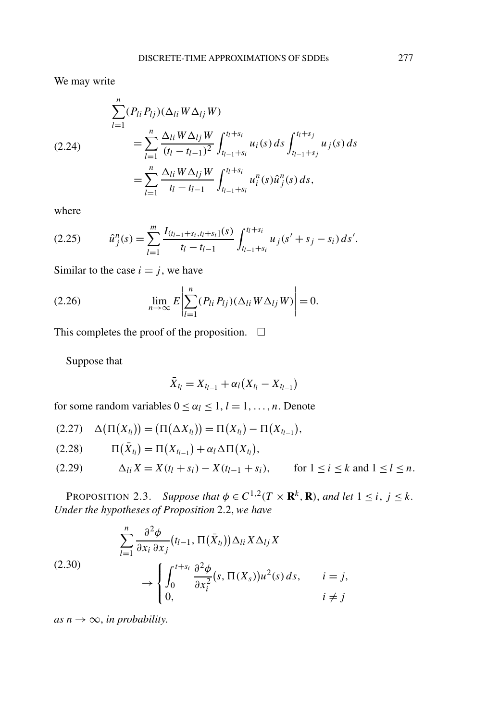We may write

$$
(2.24) \qquad \sum_{l=1}^{n} (P_{li} P_{lj}) (\Delta_{li} W \Delta_{lj} W)
$$
\n
$$
= \sum_{l=1}^{n} \frac{\Delta_{li} W \Delta_{lj} W}{(t_l - t_{l-1})^2} \int_{t_{l-1} + s_i}^{t_l + s_i} u_i(s) \, ds \int_{t_{l-1} + s_j}^{t_l + s_j} u_j(s) \, ds
$$
\n
$$
= \sum_{l=1}^{n} \frac{\Delta_{li} W \Delta_{lj} W}{t_l - t_{l-1}} \int_{t_{l-1} + s_i}^{t_l + s_i} u_i^n(s) \hat{u}_j^n(s) \, ds,
$$

where

$$
(2.25) \t\t \hat{u}_j^n(s) = \sum_{l=1}^m \frac{I_{(t_{l-1}+s_i,t_l+s_i)}(s)}{t_l-t_{l-1}} \int_{t_{l-1}+s_i}^{t_l+s_i} u_j(s'+s_j-s_i) \, ds'.
$$

Similar to the case  $i = j$ , we have

(2.26) 
$$
\lim_{n\to\infty} E\left|\sum_{l=1}^n (P_{li} P_{lj})(\Delta_{li} W \Delta_{lj} W)\right| = 0.
$$

This completes the proof of the proposition.  $\Box$ 

Suppose that

$$
\bar{X}_{t_l} = X_{t_{l-1}} + \alpha_l (X_{t_l} - X_{t_{l-1}})
$$

for some random variables  $0 \leq \alpha_l \leq 1, l = 1, \ldots, n$ . Denote

$$
(2.27) \quad \Delta(\Pi(X_{t_l})) = (\Pi(\Delta X_{t_l})) = \Pi(X_{t_l}) - \Pi(X_{t_{l-1}}),
$$

$$
(2.28) \qquad \Pi(\bar{X}_{t_l}) = \Pi(X_{t_{l-1}}) + \alpha_l \Delta \Pi(X_{t_l}),
$$

(2.29) 
$$
\Delta_{li} X = X(t_l + s_i) - X(t_{l-1} + s_i), \quad \text{for } l \le i \le k \text{ and } l \le l \le n.
$$

**PROPOSITION 2.3.** *Suppose that*  $\phi \in C^{1,2}(T \times \mathbf{R}^k, \mathbf{R})$ *, and let*  $1 \le i, j \le k$ . *Under the hypotheses of Proposition* 2.2, *we have*

$$
\sum_{l=1}^{n} \frac{\partial^2 \phi}{\partial x_i \partial x_j} (t_{l-1}, \Pi(\bar{X}_{t_l})) \Delta_{li} X \Delta_{lj} X
$$
\n
$$
\rightarrow \begin{cases}\n\int_0^{t+s_i} \frac{\partial^2 \phi}{\partial x_i^2} (s, \Pi(X_s)) u^2(s) ds, & i = j, \\
0, & i \neq j\n\end{cases}
$$

*as*  $n \rightarrow \infty$ *, in probability.*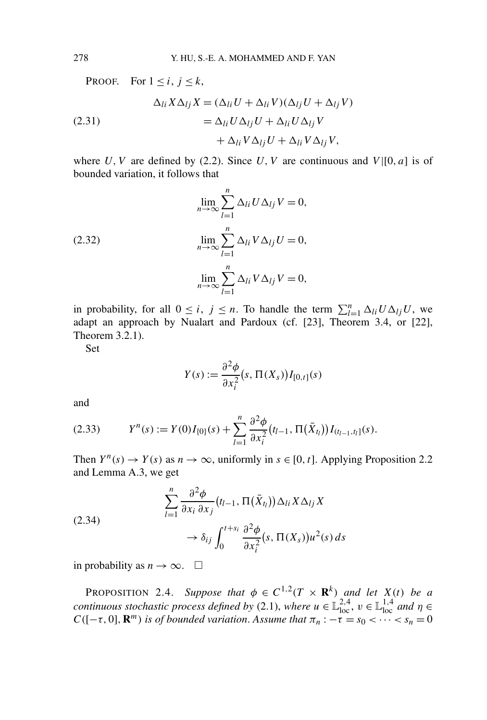PROOF. For  $1 \leq i, j \leq k$ ,  $\Delta_{li} X \Delta_{lj} X = (\Delta_{li} U + \Delta_{li} V)(\Delta_{lj} U + \Delta_{lj} V)$  $(2.31)$  $\partial_{il}U \Delta_{lj}U + \Delta_{li}U \Delta_{lj}V$  $+ \Delta_{li} V \Delta_{lj} U + \Delta_{li} V \Delta_{lj} V,$ 

where *U*, *V* are defined by (2.2). Since *U*, *V* are continuous and  $V([0, a]$  is of bounded variation, it follows that

(2.32)  
\n
$$
\lim_{n \to \infty} \sum_{l=1}^{n} \Delta_{li} U \Delta_{lj} V = 0,
$$
\n
$$
\lim_{n \to \infty} \sum_{l=1}^{n} \Delta_{li} V \Delta_{lj} U = 0,
$$
\n
$$
\lim_{n \to \infty} \sum_{l=1}^{n} \Delta_{li} V \Delta_{lj} V = 0,
$$

in probability, for all  $0 \le i, j \le n$ . To handle the term  $\sum_{l=1}^{n} \Delta_{li} U \Delta_{lj} U$ , we adapt an approach by Nualart and Pardoux (cf. [23], Theorem 3.4, or [22], Theorem 3.2.1).

Set

$$
Y(s) := \frac{\partial^2 \phi}{\partial x_i^2} (s, \Pi(X_s)) I_{[0,t]}(s)
$$

and

$$
(2.33) \t Y^n(s) := Y(0)I_{\{0\}}(s) + \sum_{l=1}^n \frac{\partial^2 \phi}{\partial x_i^2} (t_{l-1}, \Pi(\bar{X}_{t_l})) I_{(t_{l-1}, t_l]}(s).
$$

Then  $Y^n(s) \to Y(s)$  as  $n \to \infty$ , uniformly in  $s \in [0, t]$ . Applying Proposition 2.2 and Lemma A.3, we get

(2.34)  

$$
\sum_{l=1}^{n} \frac{\partial^2 \phi}{\partial x_i \partial x_j} (t_{l-1}, \Pi(\bar{X}_{t_l})) \Delta_{li} X \Delta_{lj} X
$$

$$
\rightarrow \delta_{ij} \int_0^{t+s_i} \frac{\partial^2 \phi}{\partial x_i^2} (s, \Pi(X_s)) u^2(s) ds
$$

in probability as  $n \to \infty$ .  $\Box$ 

**PROPOSITION** 2.4. *Suppose that*  $\phi \in C^{1,2}(T \times \mathbf{R}^k)$  *and let*  $X(t)$  *be a continuous stochastic process defined by* (2.1), *where*  $u \in \mathbb{L}^{2,4}_{loc}$ ,  $v \in \mathbb{L}^{1,4}_{loc}$  and  $\eta \in$ *C*( $[-\tau, 0]$ *,*  $\mathbb{R}^m$ *) is of bounded variation. Assume that*  $\pi_n$  :  $-\tau = s_0$  < ··· <  $s_n = 0$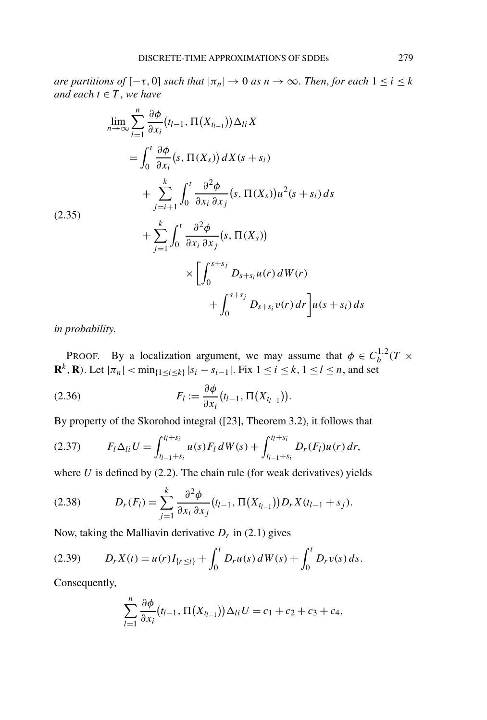*are partitions of*  $[-\tau, 0]$  *such that*  $|\pi_n| \to 0$  *as*  $n \to \infty$ *. Then, for each*  $1 \le i \le k$ *and each*  $t \in T$ , *we have* 

$$
\lim_{n \to \infty} \sum_{l=1}^{n} \frac{\partial \phi}{\partial x_i} (t_{l-1}, \Pi(X_{t_{l-1}})) \Delta_{li} X
$$
\n
$$
= \int_0^t \frac{\partial \phi}{\partial x_i} (s, \Pi(X_s)) dX(s + s_i)
$$
\n
$$
+ \sum_{j=i+1}^k \int_0^t \frac{\partial^2 \phi}{\partial x_i \partial x_j} (s, \Pi(X_s)) u^2(s + s_i) ds
$$
\n(2.35)\n
$$
+ \sum_{j=1}^k \int_0^t \frac{\partial^2 \phi}{\partial x_i \partial x_j} (s, \Pi(X_s))
$$
\n
$$
\times \left[ \int_0^{s+s_j} D_{s+s_i} u(r) dW(r) + \int_0^{s+s_j} D_{s+s_i} v(r) dr \right] u(s + s_i) ds
$$

*in probability*.

PROOF. By a localization argument, we may assume that  $\phi \in C_b^{1,2}(T \times$ **R**<sup>*k*</sup>, **R**). Let  $|\pi_n|$  < min<sub>{1≤*i*≤*k*}</sub> |*s<sub>i</sub>* − *s<sub>i−1</sub>*|. Fix  $1 ≤ i ≤ k$ ,  $1 ≤ l ≤ n$ , and set

(2.36) 
$$
F_l := \frac{\partial \phi}{\partial x_i} (t_{l-1}, \Pi(X_{t_{l-1}})).
$$

By property of the Skorohod integral ([23], Theorem 3.2), it follows that

$$
(2.37) \tF_l \Delta_{li} U = \int_{t_{l-1}+s_i}^{t_l+s_i} u(s) F_l dW(s) + \int_{t_{l-1}+s_i}^{t_l+s_i} D_r(F_l) u(r) dr,
$$

where  $U$  is defined by  $(2.2)$ . The chain rule (for weak derivatives) yields

(2.38) 
$$
D_r(F_l) = \sum_{j=1}^k \frac{\partial^2 \phi}{\partial x_i \partial x_j} (t_{l-1}, \Pi(X_{t_{l-1}})) D_r X (t_{l-1} + s_j).
$$

Now, taking the Malliavin derivative  $D_r$  in (2.1) gives

(2.39) 
$$
D_r X(t) = u(r)I_{\{r \le t\}} + \int_0^t D_r u(s) dW(s) + \int_0^t D_r v(s) ds.
$$

Consequently,

$$
\sum_{l=1}^n \frac{\partial \phi}{\partial x_l} (t_{l-1}, \Pi(X_{t_{l-1}})) \Delta_{li} U = c_1 + c_2 + c_3 + c_4,
$$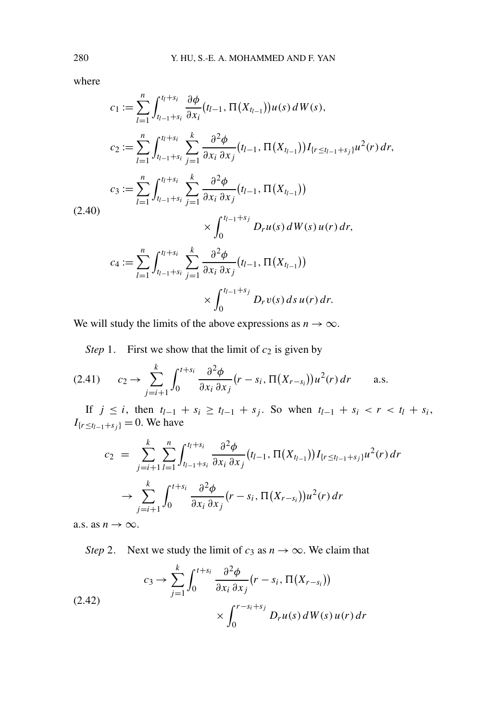where

$$
c_1 := \sum_{l=1}^n \int_{t_{l-1}+s_i}^{t_l+s_i} \frac{\partial \phi}{\partial x_i} (t_{l-1}, \Pi(X_{t_{l-1}})) u(s) dW(s),
$$
  
\n
$$
c_2 := \sum_{l=1}^n \int_{t_{l-1}+s_i}^{t_l+s_i} \sum_{j=1}^k \frac{\partial^2 \phi}{\partial x_i \partial x_j} (t_{l-1}, \Pi(X_{t_{l-1}})) I_{\{r \le t_{l-1}+s_j\}} u^2(r) dr,
$$
  
\n
$$
c_3 := \sum_{l=1}^n \int_{t_{l-1}+s_i}^{t_l+s_i} \sum_{j=1}^k \frac{\partial^2 \phi}{\partial x_i \partial x_j} (t_{l-1}, \Pi(X_{t_{l-1}}))
$$
  
\n
$$
\times \int_0^{t_{l-1}+s_j} D_r u(s) dW(s) u(r) dr,
$$
  
\n
$$
c_4 := \sum_{l=1}^n \int_{t_{l-1}+s_i}^{t_l+s_i} \sum_{j=1}^k \frac{\partial^2 \phi}{\partial x_i \partial x_j} (t_{l-1}, \Pi(X_{t_{l-1}}))
$$
  
\n
$$
\times \int_0^{t_{l-1}+s_j} D_r v(s) ds u(r) dr.
$$

We will study the limits of the above expressions as  $n \to \infty$ .

*Step* 1. First we show that the limit of  $c_2$  is given by

$$
(2.41) \qquad c_2 \to \sum_{j=i+1}^k \int_0^{t+s_i} \frac{\partial^2 \phi}{\partial x_i \partial x_j} (r - s_i, \Pi(X_{r-s_i})) u^2(r) dr \qquad \text{a.s.}
$$

If *j* ≤ *i*, then  $t_{l-1} + s_i \ge t_{l-1} + s_j$ . So when  $t_{l-1} + s_i < r < t_l + s_i$ ,  $I_{\{r \le t_{l-1} + s_j\}} = 0$ . We have

$$
c_2 = \sum_{j=i+1}^{k} \sum_{l=1}^{n} \int_{t_{l-1}+s_i}^{t_{l}+s_i} \frac{\partial^2 \phi}{\partial x_i \partial x_j} (t_{l-1}, \Pi(X_{t_{l-1}})) I_{\{r \le t_{l-1}+s_j\}} u^2(r) dr
$$
  

$$
\to \sum_{j=i+1}^{k} \int_{0}^{t+s_i} \frac{\partial^2 \phi}{\partial x_i \partial x_j} (r - s_i, \Pi(X_{r-s_i})) u^2(r) dr
$$

a.s. as  $n \to \infty$ .

*Step* 2. Next we study the limit of  $c_3$  as  $n \to \infty$ . We claim that

(2.42)  

$$
c_3 \rightarrow \sum_{j=1}^k \int_0^{t+s_i} \frac{\partial^2 \phi}{\partial x_i \partial x_j} (r - s_i, \Pi(X_{r-s_i}))
$$

$$
\times \int_0^{r-s_i+s_j} D_r u(s) dW(s) u(r) dr
$$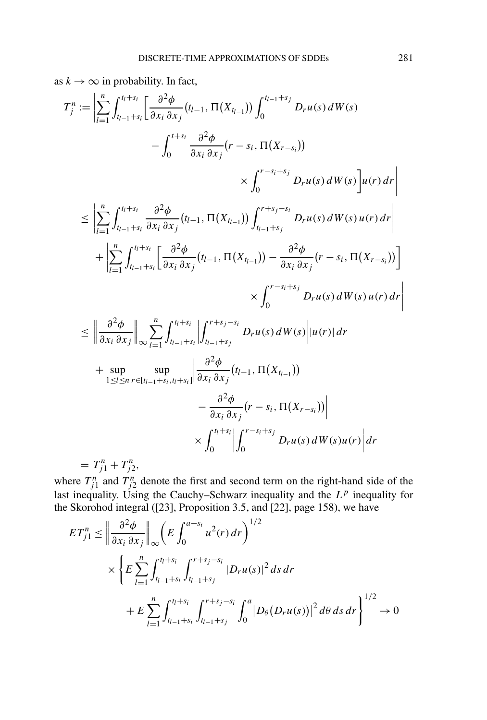as  $k \to \infty$  in probability. In fact,

$$
T_{j}^{n} := \left| \sum_{l=1}^{n} \int_{t_{l-1}+s_{i}}^{t_{l}+s_{i}} \left[ \frac{\partial^{2} \phi}{\partial x_{i} \partial x_{j}} (t_{l-1}, \Pi(X_{t_{l-1}})) \int_{0}^{t_{l-1}+s_{j}} D_{r} u(s) dW(s) \right. \\ - \int_{0}^{t+s_{i}} \frac{\partial^{2} \phi}{\partial x_{i} \partial x_{j}} (r - s_{i}, \Pi(X_{r-s_{i}})) \\ \times \int_{0}^{r-s_{i}+s_{j}} D_{r} u(s) dW(s) \left] u(r) dr \right| \\ \leq \left| \sum_{l=1}^{n} \int_{t_{l-1}+s_{i}}^{t_{l}+s_{i}} \frac{\partial^{2} \phi}{\partial x_{i} \partial x_{j}} (t_{l-1}, \Pi(X_{t_{l-1}})) \int_{t_{l-1}+s_{j}}^{r+s_{j}-s_{i}} D_{r} u(s) dW(s) u(r) dr \right| + \left| \sum_{l=1}^{n} \int_{t_{l-1}+s_{i}}^{t_{l}+s_{i}} \left[ \frac{\partial^{2} \phi}{\partial x_{i} \partial x_{j}} (t_{l-1}, \Pi(X_{t_{l-1}})) - \frac{\partial^{2} \phi}{\partial x_{i} \partial x_{j}} (r - s_{i}, \Pi(X_{r-s_{i}})) \right] \right| \\ \times \int_{0}^{r-s_{i}+s_{j}} D_{r} u(s) dW(s) u(r) dr \right|
$$
  

$$
\leq \left| \frac{\partial^{2} \phi}{\partial x_{i} \partial x_{j}} \right| \sum_{\infty} \sum_{l=1}^{n} \int_{t_{l-1}+s_{i}}^{t_{l}+s_{i}} \left| \int_{t_{l-1}+s_{j}}^{r+s_{j}-s_{i}} D_{r} u(s) dW(s) \right| u(r) | dr
$$
  
+ sup sup sup  
 $1 \leq l \leq n r \in [t_{l-1}+s_{i}, t_{l}+s_{i}] \frac{\partial^{2} \phi}{\partial x_{i} \partial x_{j}} (t_{l-1}, \Pi(X_{t_{l-1}}))$   

$$
- \frac{\partial^{2} \phi}{\partial x_{i} \partial x_{j}} (r - s_{i}, \Pi(X_{r-s_{i}}
$$

where  $T_{j1}^n$  and  $T_{j2}^n$  denote the first and second term on the right-hand side of the last inequality. Using the Cauchy–Schwarz inequality and the  $L^p$  inequality for the Skorohod integral ([23], Proposition 3.5, and [22], page 158), we have

$$
ET_{j1}^{n} \leq \left\| \frac{\partial^{2} \phi}{\partial x_{i} \partial x_{j}} \right\|_{\infty} \left( E \int_{0}^{a+s_{i}} u^{2}(r) dr \right)^{1/2}
$$
  
\$\times \left\{ E \sum\_{l=1}^{n} \int\_{t\_{l-1}+s\_{i}}^{t\_{l}+s\_{i}} \int\_{t\_{l-1}+s\_{j}}^{r+s\_{j}-s\_{i}} |D\_{r}u(s)|^{2} ds dr\$  
\$+ E \sum\_{l=1}^{n} \int\_{t\_{l-1}+s\_{i}}^{t\_{l}+s\_{i}} \int\_{t\_{l-1}+s\_{j}}^{r+s\_{j}-s\_{i}} \int\_{0}^{a} |D\_{\theta}(D\_{r}u(s))|^{2} d\theta ds dr \right\}^{1/2}\$} \to 0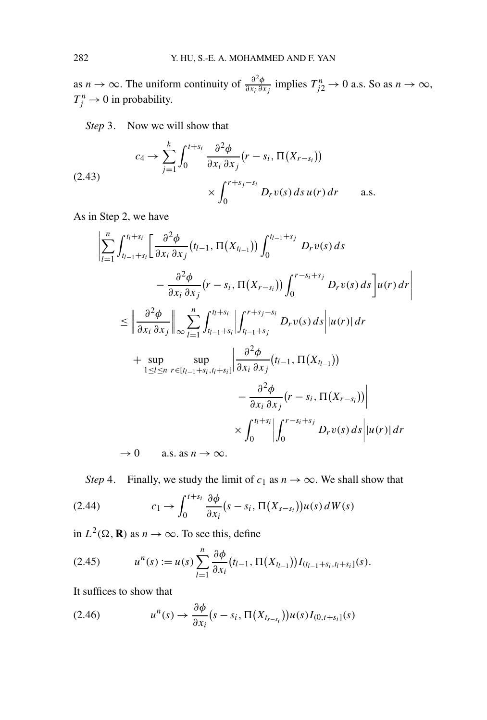as *n* → ∞. The uniform continuity of  $\frac{\partial^2 \phi}{\partial x_i \partial x_j}$  implies  $T_{j2}^n \to 0$  a.s. So as  $n \to \infty$ ,  $T_j^n \to 0$  in probability.

*Step* 3. Now we will show that

$$
(2.43) \t\t c_4 \to \sum_{j=1}^k \int_0^{t+s_i} \frac{\partial^2 \phi}{\partial x_i \partial x_j} (r - s_i, \Pi(X_{r-s_i}))
$$
  
 
$$
\times \int_0^{r+s_j-s_i} D_r v(s) ds u(r) dr \quad \text{a.s.}
$$

As in Step 2, we have

$$
\left| \sum_{l=1}^{n} \int_{t_{l-1}+s_i}^{t_l+s_i} \left[ \frac{\partial^2 \phi}{\partial x_i \partial x_j} (t_{l-1}, \Pi(X_{t_{l-1}})) \int_0^{t_{l-1}+s_j} D_r v(s) ds \right. \right. \\ \left. - \frac{\partial^2 \phi}{\partial x_i \partial x_j} (r - s_i, \Pi(X_{r-s_i})) \int_0^{r-s_i+s_j} D_r v(s) ds \right] u(r) dr \right|
$$
  

$$
\leq \left\| \frac{\partial^2 \phi}{\partial x_i \partial x_j} \right\|_{\infty} \sum_{l=1}^{n} \int_{t_{l-1}+s_i}^{t_l+s_i} \left| \int_{t_{l-1}+s_j}^{r+s_j-s_i} D_r v(s) ds \right| |u(r)| dr
$$
  
+ sup sup sup<sub>1 \leq l \leq n}sup>sup<sub>r\in[t\_{l-1}+s\_i,t\_l+s\_i] \frac{\partial^2 \phi}{\partial x\_i \partial x\_j} (t\_{l-1}, \Pi(X\_{t\_{l-1}}))  
-  $\frac{\partial^2 \phi}{\partial x_i \partial x_j} (r - s_i, \Pi(X_{r-s_i})) \right|$   

$$
\times \int_0^{t_l+s_i} \left| \int_0^{r-s_i+s_j} D_r v(s) ds \right| |u(r)| dr
$$
  
 $\to 0$  a.s. as  $n \to \infty$ .</sub></sub>

*Step* 4. Finally, we study the limit of  $c_1$  as  $n \to \infty$ . We shall show that

(2.44) 
$$
c_1 \to \int_0^{t+s_i} \frac{\partial \phi}{\partial x_i}(s-s_i, \Pi(X_{s-s_i}))u(s) dW(s)
$$

in  $L^2(\Omega, \mathbf{R})$  as  $n \to \infty$ . To see this, define

$$
(2.45) \t un(s) := u(s) \sum_{l=1}^{n} \frac{\partial \phi}{\partial x_i} (t_{l-1}, \Pi(X_{t_{l-1}})) I_{(t_{l-1}+s_i, t_l+s_i]}(s).
$$

It suffices to show that

$$
(2.46) \t un(s) \to \frac{\partial \phi}{\partial x_i}(s - s_i, \Pi(X_{t_{s-s_i}}))u(s)I_{(0,t+s_i]}(s)
$$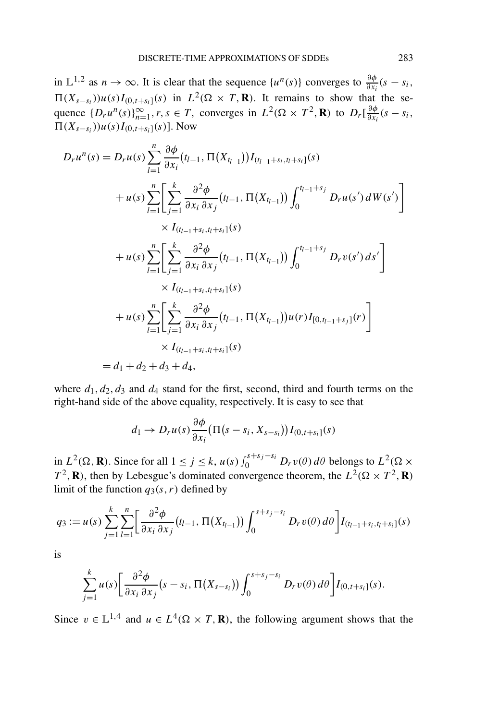in  $\mathbb{L}^{1,2}$  as  $n \to \infty$ . It is clear that the sequence  $\{u^n(s)\}\)$  converges to  $\frac{\partial \phi}{\partial x_i}(s - s_i)$ ,  $(\Pi(X_{s-s_i}))u(s)I_{(0,t+s_i]}(s)$  in  $L^2(\Omega \times T, \mathbf{R})$ . It remains to show that the sequence  $\{D_r u^n(s)\}_{n=1}^{\infty}, r, s \in T$ , converges in  $L^2(\Omega \times T^2, \mathbf{R})$  to  $D_r\left[\frac{\partial \phi}{\partial x_i}(s-s_i, \mathbf{R})\right]$  $\prod(X_{s-s_i})$ )*u*(*s*)*I*<sub>(0,*t*+*s<sub>i</sub>*]</sub>(*s*)]. Now

$$
D_r u^n(s) = D_r u(s) \sum_{l=1}^n \frac{\partial \phi}{\partial x_i} (t_{l-1}, \Pi(X_{t_{l-1}})) I_{(t_{l-1}+s_i, t_l+s_i]}(s)
$$
  
+  $u(s) \sum_{l=1}^n \left[ \sum_{j=1}^k \frac{\partial^2 \phi}{\partial x_i \partial x_j} (t_{l-1}, \Pi(X_{t_{l-1}})) \int_0^{t_{l-1}+s_j} D_r u(s') dW(s') \right]$   
 $\times I_{(t_{l-1}+s_i, t_l+s_i]}(s)$   
+  $u(s) \sum_{l=1}^n \left[ \sum_{j=1}^k \frac{\partial^2 \phi}{\partial x_i \partial x_j} (t_{l-1}, \Pi(X_{t_{l-1}})) \int_0^{t_{l-1}+s_j} D_r v(s') ds' \right]$   
 $\times I_{(t_{l-1}+s_i, t_l+s_i]}(s)$   
+  $u(s) \sum_{l=1}^n \left[ \sum_{j=1}^k \frac{\partial^2 \phi}{\partial x_i \partial x_j} (t_{l-1}, \Pi(X_{t_{l-1}})) u(r) I_{[0, t_{l-1}+s_j]}(r) \right]$   
 $\times I_{(t_{l-1}+s_i, t_l+s_i]}(s)$   
=  $d_1 + d_2 + d_3 + d_4$ ,

where  $d_1, d_2, d_3$  and  $d_4$  stand for the first, second, third and fourth terms on the right-hand side of the above equality, respectively. It is easy to see that

$$
d_1 \to D_r u(s) \frac{\partial \phi}{\partial x_i} \big( \Pi(s - s_i, X_{s - s_i}) \big) I_{(0, t + s_i]}(s)
$$

in  $L^2(\Omega, \mathbf{R})$ . Since for all  $1 \le j \le k$ ,  $u(s) \int_0^{s+s_j-s_i} D_r v(\theta) d\theta$  belongs to  $L^2(\Omega \times$  $T^2$ , **R**), then by Lebesgue's dominated convergence theorem, the  $L^2(\Omega \times T^2, \mathbf{R})$ limit of the function  $q_3(s, r)$  defined by

$$
q_3 := u(s) \sum_{j=1}^k \sum_{l=1}^n \left[ \frac{\partial^2 \phi}{\partial x_i \partial x_j} (t_{l-1}, \Pi(X_{t_{l-1}})) \int_0^{s+s_j-s_i} D_r v(\theta) d\theta \right] I_{(t_{l-1}+s_i,t_l+s_i]}(s)
$$

is

$$
\sum_{j=1}^k u(s) \left[ \frac{\partial^2 \phi}{\partial x_i \partial x_j} (s-s_i, \Pi(X_{s-s_i})) \int_0^{s+s_j-s_i} D_r v(\theta) d\theta \right] I_{(0,t+s_i]}(s).
$$

Since  $v \in \mathbb{L}^{1,4}$  and  $u \in L^4(\Omega \times T, \mathbf{R})$ , the following argument shows that the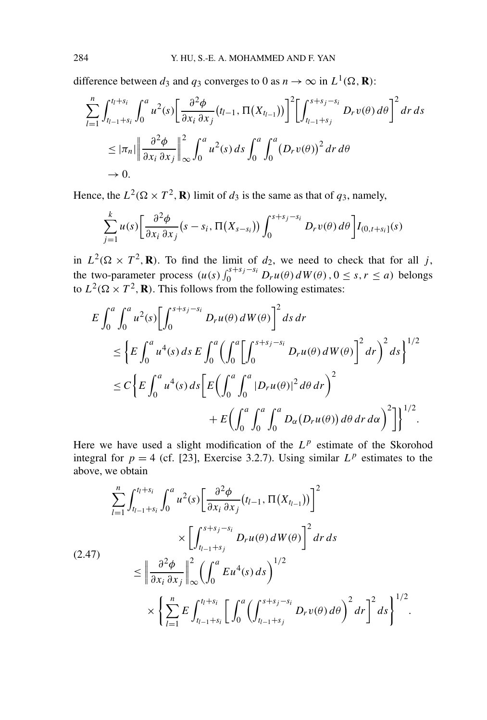difference between  $d_3$  and  $q_3$  converges to 0 as  $n \to \infty$  in  $L^1(\Omega, \mathbf{R})$ :

$$
\sum_{l=1}^{n} \int_{t_{l-1}+s_i}^{t_l+s_i} \int_0^a u^2(s) \left[ \frac{\partial^2 \phi}{\partial x_i \partial x_j} (t_{l-1}, \Pi(X_{t_{l-1}})) \right]^2 \left[ \int_{t_{l-1}+s_j}^{s+s_j-s_i} D_r v(\theta) d\theta \right]^2 dr ds
$$
  
\n
$$
\leq |\pi_n| \left\| \frac{\partial^2 \phi}{\partial x_i \partial x_j} \right\|_{\infty}^2 \int_0^a u^2(s) ds \int_0^a \int_0^a (D_r v(\theta))^2 dr d\theta
$$
  
\n
$$
\to 0.
$$

Hence, the  $L^2(\Omega \times T^2, \mathbf{R})$  limit of  $d_3$  is the same as that of  $q_3$ , namely,

$$
\sum_{j=1}^k u(s) \left[ \frac{\partial^2 \phi}{\partial x_i \partial x_j} (s - s_i, \Pi(X_{s - s_i})) \int_0^{s + s_j - s_i} D_r v(\theta) d\theta \right] I_{(0, t + s_i]}(s)
$$

in  $L^2(\Omega \times T^2, \mathbf{R})$ . To find the limit of  $d_2$ , we need to check that for all *j*, the two-parameter process  $(u(s) \int_0^{s+s_j-s_i} D_r u(\theta) dW(\theta), 0 \le s, r \le a$ ) belongs to  $L^2(\Omega \times T^2, \mathbf{R})$ . This follows from the following estimates:

$$
E \int_0^a \int_0^a u^2(s) \Biggl[ \int_0^{s+s_j-s_i} D_r u(\theta) dW(\theta) \Biggr]^2 ds dr
$$
  
\n
$$
\leq \Biggl\{ E \int_0^a u^4(s) ds E \int_0^a \Biggl( \int_0^a \Biggl[ \int_0^{s+s_j-s_i} D_r u(\theta) dW(\theta) \Biggr]^2 dr \Biggr)^2 ds \Biggr\}^{1/2}
$$
  
\n
$$
\leq C \Biggl\{ E \int_0^a u^4(s) ds \Biggl[ E \Biggl( \int_0^a \int_0^a |D_r u(\theta)|^2 d\theta dr \Biggr)^2 + E \Biggl( \int_0^a \int_0^a \int_0^a D_\alpha (D_r u(\theta)) d\theta dr d\alpha \Biggr)^2 \Biggr] \Biggr\}^{1/2}.
$$

Here we have used a slight modification of the  $L^p$  estimate of the Skorohod integral for  $p = 4$  (cf. [23], Exercise 3.2.7). Using similar  $L^p$  estimates to the above, we obtain

$$
\sum_{l=1}^{n} \int_{t_{l-1}+s_i}^{t_l+s_i} \int_0^a u^2(s) \left[ \frac{\partial^2 \phi}{\partial x_i \partial x_j} (t_{l-1}, \Pi(X_{t_{l-1}})) \right]^2
$$
\n
$$
\times \left[ \int_{t_{l-1}+s_j}^{s+s_j-s_i} D_r u(\theta) dW(\theta) \right]^2 dr ds
$$
\n
$$
\leq \left\| \frac{\partial^2 \phi}{\partial x_i \partial x_j} \right\|_{\infty}^2 \left( \int_0^a E u^4(s) ds \right)^{1/2}
$$
\n
$$
\times \left\{ \sum_{l=1}^n E \int_{t_{l-1}+s_i}^{t_l+s_i} \left[ \int_0^a \left( \int_{t_{l-1}+s_j}^{s+s_j-s_i} D_r v(\theta) d\theta \right)^2 dr \right]^2 ds \right\}^{1/2}.
$$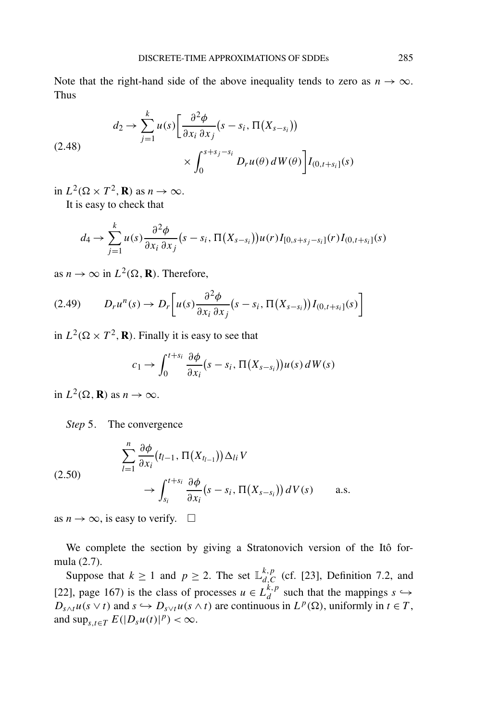Note that the right-hand side of the above inequality tends to zero as  $n \to \infty$ . Thus

$$
(2.48) \qquad d_2 \to \sum_{j=1}^k u(s) \left[ \frac{\partial^2 \phi}{\partial x_i \partial x_j} (s - s_i, \Pi(X_{s-s_i})) \right] \times \int_0^{s+s_j - s_i} D_r u(\theta) dW(\theta) \right] I_{(0, t+s_i]}(s)
$$

in  $L^2(\Omega \times T^2, \mathbf{R})$  as  $n \to \infty$ .

It is easy to check that

$$
d_4 \to \sum_{j=1}^k u(s) \frac{\partial^2 \phi}{\partial x_i \partial x_j} (s - s_i, \Pi(X_{s-s_i})) u(r) I_{[0,s+s_j-s_i]}(r) I_{(0,t+s_i]}(s)
$$

as  $n \to \infty$  in  $L^2(\Omega, \mathbf{R})$ . Therefore,

$$
(2.49) \qquad D_r u^n(s) \to D_r \bigg[ u(s) \frac{\partial^2 \phi}{\partial x_i \partial x_j} (s - s_i, \Pi(X_{s - s_i})) I_{(0, t + s_i]}(s) \bigg]
$$

in  $L^2(\Omega \times T^2, \mathbf{R})$ . Finally it is easy to see that

$$
c_1 \to \int_0^{t+s_i} \frac{\partial \phi}{\partial x_i} (s-s_i, \Pi(X_{s-s_i})) u(s) dW(s)
$$

in  $L^2(\Omega, \mathbf{R})$  as  $n \to \infty$ .

*Step* 5. The convergence

$$
\sum_{l=1}^{n} \frac{\partial \phi}{\partial x_i} (t_{l-1}, \Pi(X_{t_{l-1}})) \Delta_{li} V
$$
\n
$$
\rightarrow \int_{s_i}^{t+s_i} \frac{\partial \phi}{\partial x_i} (s - s_i, \Pi(X_{s-s_i})) dV(s) \quad \text{a.s.}
$$

as  $n \to \infty$ , is easy to verify.  $\square$ 

We complete the section by giving a Stratonovich version of the Itô formula (2.7).

Suppose that  $k \ge 1$  and  $p \ge 2$ . The set  $\mathbb{L}_{d,C}^{k,p}$  (cf. [23], Definition 7.2, and [22], page 167) is the class of processes  $u \in L_d^{k,p}$  such that the mappings  $s \hookrightarrow$  $D_{s\wedge t}u(s\vee t)$  and  $s \hookrightarrow D_{s\vee t}u(s\wedge t)$  are continuous in  $L^p(\Omega)$ , uniformly in  $t \in T$ , and  $\sup_{s,t\in T} E(|D_s u(t)|^p) < \infty$ .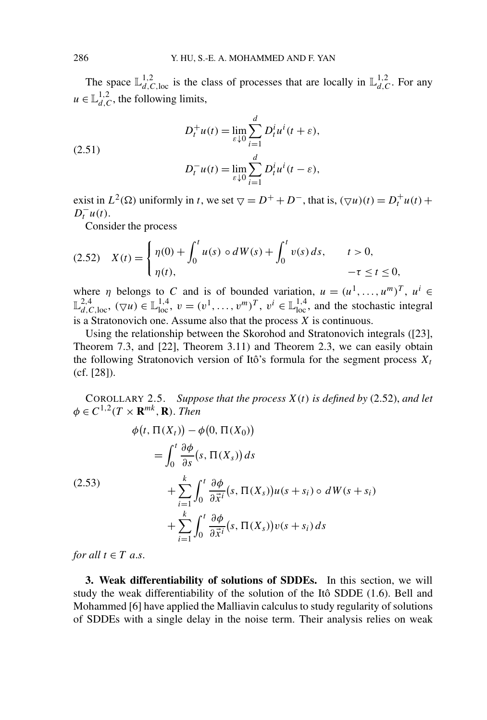The space  $\mathbb{L}_{d,C,\text{loc}}^{1,2}$  is the class of processes that are locally in  $\mathbb{L}_{d,C}^{1,2}$ . For any  $u \in \mathbb{L}_{d,C}^{1,2}$ , the following limits,

(2.51)  

$$
D_t^+u(t) = \lim_{\varepsilon \downarrow 0} \sum_{i=1}^d D_t^i u^i(t + \varepsilon),
$$

$$
D_t^-u(t) = \lim_{\varepsilon \downarrow 0} \sum_{i=1}^d D_t^i u^i(t - \varepsilon),
$$

exist in  $L^2(\Omega)$  uniformly in *t*, we set  $\nabla = D^+ + D^-$ , that is,  $(\nabla u)(t) = D_t^+ u(t) +$  $D_t^- u(t)$ .

Consider the process

$$
(2.52) \quad X(t) = \begin{cases} \eta(0) + \int_0^t u(s) \circ dW(s) + \int_0^t v(s) \, ds, & t > 0, \\ \eta(t), & -\tau \le t \le 0, \end{cases}
$$

where *η* belongs to *C* and is of bounded variation,  $u = (u^1, \ldots, u^m)^T$ ,  $u^i \in$  $\mathbb{L}^{2,4}_{d,C,\text{loc}}, \ (\nabla u) \in \mathbb{L}^{1,4}_{\text{loc}}, \ v = (v^1, \dots, v^m)^T, \ v^i \in \mathbb{L}^{1,4}_{\text{loc}}, \text{ and the stochastic integral}$ is a Stratonovich one. Assume also that the process *X* is continuous.

Using the relationship between the Skorohod and Stratonovich integrals ([23], Theorem 7.3, and [22], Theorem 3.11) and Theorem 2.3, we can easily obtain the following Stratonovich version of Itô's formula for the segment process  $X_t$ (cf. [28]).

COROLLARY 2.5. *Suppose that the process X(t) is defined by* (2.52), *and let*  $\phi \in C^{1,2}(T \times \mathbf{R}^{mk}, \mathbf{R})$ . *Then* 

$$
\phi(t, \Pi(X_t)) - \phi(0, \Pi(X_0))
$$
\n
$$
= \int_0^t \frac{\partial \phi}{\partial s} (s, \Pi(X_s)) ds
$$
\n
$$
+ \sum_{i=1}^k \int_0^t \frac{\partial \phi}{\partial \vec{x}^i} (s, \Pi(X_s)) u(s + s_i) \circ dW(s + s_i)
$$
\n
$$
+ \sum_{i=1}^k \int_0^t \frac{\partial \phi}{\partial \vec{x}^i} (s, \Pi(X_s)) v(s + s_i) ds
$$

*for all*  $t \in T$  *a.s.* 

**3. Weak differentiability of solutions of SDDEs.** In this section, we will study the weak differentiability of the solution of the Itô SDDE (1.6). Bell and Mohammed [6] have applied the Malliavin calculus to study regularity of solutions of SDDEs with a single delay in the noise term. Their analysis relies on weak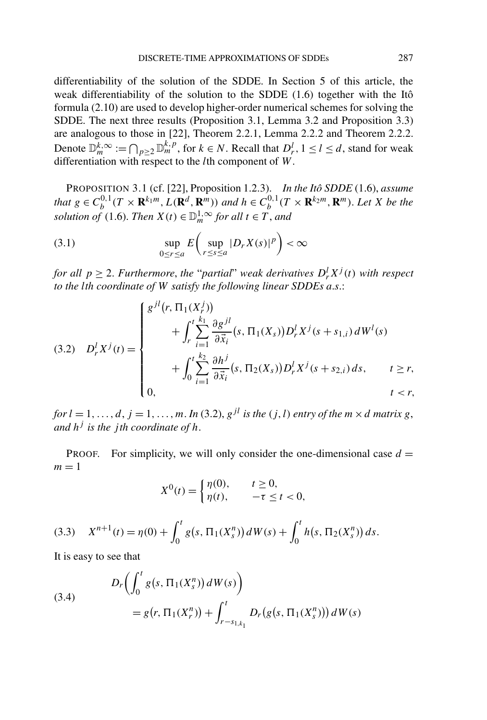differentiability of the solution of the SDDE. In Section 5 of this article, the weak differentiability of the solution to the SDDE (1.6) together with the Itô formula (2.10) are used to develop higher-order numerical schemes for solving the SDDE. The next three results (Proposition 3.1, Lemma 3.2 and Proposition 3.3) are analogous to those in [22], Theorem 2.2.1, Lemma 2.2.2 and Theorem 2.2.2. Denote  $\mathbb{D}_m^{\overline{k},\infty} := \bigcap_{p\geq 2} \mathbb{D}_m^{\overline{k},p}$ , for  $k \in N$ . Recall that  $D_r^l$ ,  $1 \leq l \leq d$ , stand for weak differentiation with respect to the *l*th component of *W*.

PROPOSITION 3.1 (cf. [22], Proposition 1.2.3). *In the Itô SDDE* (1.6), *assume* that  $g \in C_b^{0,1}(T \times \mathbf{R}^{k_1m}, L(\mathbf{R}^d, \mathbf{R}^m))$  and  $h \in C_b^{0,1}(T \times \mathbf{R}^{k_2m}, \mathbf{R}^m)$ . Let X be the *solution of* (1.6). *Then*  $X(t) \in \mathbb{D}_m^{1,\infty}$  *for all*  $t \in T$ *, and* 

$$
\sup_{0 \le r \le a} E\left(\sup_{r \le s \le a} |D_r X(s)|^p\right) < \infty
$$

*for all*  $p \geq 2$ . *Furthermore, the "partial" weak derivatives*  $D_r^l X^j(t)$  *with respect to the lth coordinate of W satisfy the following linear SDDEs a*.*s*.:

$$
(3.2) \quad D_r^l X^j(t) = \begin{cases} g^{jl}(r, \Pi_1(X_r^j)) & \text{if } \int_r^t \sum_{i=1}^{k_1} \frac{\partial g^{jl}}{\partial \vec{x}_i}(s, \Pi_1(X_s)) D_r^l X^j(s + s_{1,i}) dW^l(s) \\ & \text{if } \int_0^t \sum_{i=1}^{k_2} \frac{\partial h^j}{\partial \vec{x}_i}(s, \Pi_2(X_s)) D_r^l X^j(s + s_{2,i}) ds, \quad t \ge r, \\ 0, \quad t < r, \end{cases}
$$

*for*  $l = 1, \ldots, d$ ,  $j = 1, \ldots, m$ . *In* (3.2),  $g^{jl}$  *is the* (*j, l*) *entry of the*  $m \times d$  *matrix*  $g$ , *and*  $h^j$  *is the jth coordinate of*  $h$ .

**PROOF.** For simplicity, we will only consider the one-dimensional case  $d =$  $m = 1$ 

$$
X^{0}(t) = \begin{cases} \eta(0), & t \ge 0, \\ \eta(t), & -\tau \le t < 0, \end{cases}
$$

(3.3) 
$$
X^{n+1}(t) = \eta(0) + \int_0^t g(s, \Pi_1(X_s^n)) dW(s) + \int_0^t h(s, \Pi_2(X_s^n)) ds.
$$

It is easy to see that

(3.4)  

$$
D_r \left( \int_0^t g(s, \Pi_1(X_s^n)) dW(s) \right)
$$

$$
= g(r, \Pi_1(X_r^n)) + \int_{r-s_{1,k_1}}^t D_r(g(s, \Pi_1(X_s^n))) dW(s)
$$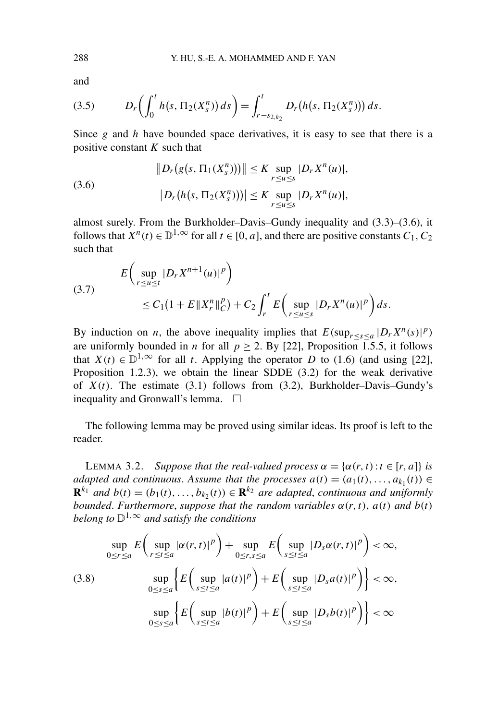and

(3.5) 
$$
D_r\left(\int_0^t h(s, \Pi_2(X_s^n)) ds\right) = \int_{r-s_{2,k_2}}^t D_r(h(s, \Pi_2(X_s^n))) ds.
$$

Since *g* and *h* have bounded space derivatives, it is easy to see that there is a positive constant *K* such that

(3.6) 
$$
||D_r(g(s, \Pi_1(X_s^n)))|| \leq K \sup_{r \leq u \leq s} |D_r X^n(u)|,
$$

$$
|D_r(h(s, \Pi_2(X_s^n)))| \leq K \sup_{r \leq u \leq s} |D_r X^n(u)|,
$$

almost surely. From the Burkholder–Davis–Gundy inequality and (3.3)–(3.6), it follows that  $X^n(t) \in \mathbb{D}^1$ <sup>,  $\infty$ </sup> for all  $t \in [0, a]$ , and there are positive constants  $C_1, C_2$ such that

(3.7) 
$$
E\left(\sup_{r\leq u\leq t}|D_rX^{n+1}(u)|^p\right) \leq C_1(1+E||X_r^n||_C^p) + C_2\int_r^t E\left(\sup_{r\leq u\leq s}|D_rX^n(u)|^p\right)ds.
$$

By induction on *n*, the above inequality implies that  $E(\sup_{r \le s \le a} |D_r X^n(s)|^p)$ are uniformly bounded in *n* for all  $p > 2$ . By [22], Proposition 1.5.5, it follows that  $X(t) \in \mathbb{D}^{1,\infty}$  for all *t*. Applying the operator *D* to (1.6) (and using [22], Proposition 1.2.3), we obtain the linear SDDE (3.2) for the weak derivative of  $X(t)$ . The estimate (3.1) follows from (3.2), Burkholder–Davis–Gundy's inequality and Gronwall's lemma.

The following lemma may be proved using similar ideas. Its proof is left to the reader.

**LEMMA 3.2.** *Suppose that the real-valued process*  $\alpha = {\alpha(r, t) : t \in [r, a]}$  *is adapted and continuous. Assume that the processes*  $a(t) = (a_1(t), \ldots, a_{k_1}(t)) \in$  $\mathbf{R}^{k_1}$  *and*  $b(t) = (b_1(t), \ldots, b_k(t)) \in \mathbf{R}^{k_2}$  *are adapted, continuous and uniformly bounded. Furthermore, suppose that the random variables*  $\alpha(r, t)$ *,*  $a(t)$  *and*  $b(t)$ *belong to*  $\mathbb{D}^{1,\infty}$  *and satisfy the conditions* 

$$
\sup_{0 \le r \le a} E\left(\sup_{r \le t \le a} |\alpha(r, t)|^p\right) + \sup_{0 \le r, s \le a} E\left(\sup_{s \le t \le a} |D_s \alpha(r, t)|^p\right) < \infty,
$$
\n
$$
(3.8) \qquad \sup_{0 \le s \le a} \left\{ E\left(\sup_{s \le t \le a} |a(t)|^p\right) + E\left(\sup_{s \le t \le a} |D_s a(t)|^p\right) \right\} < \infty,
$$
\n
$$
\sup_{0 \le s \le a} \left\{ E\left(\sup_{s \le t \le a} |b(t)|^p\right) + E\left(\sup_{s \le t \le a} |D_s b(t)|^p\right) \right\} < \infty
$$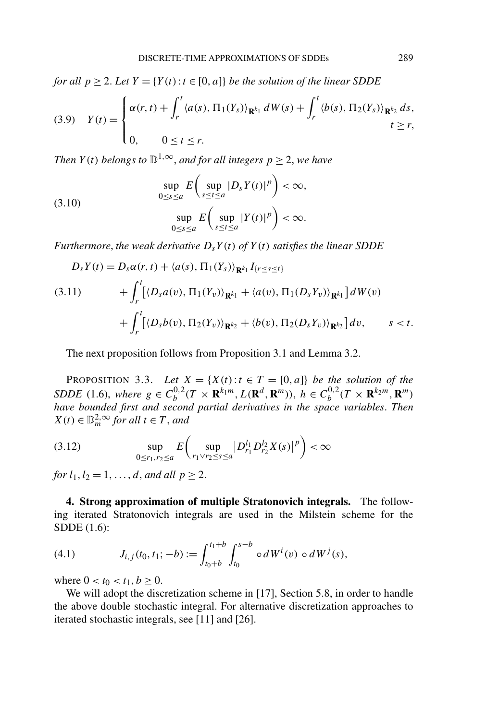*for all*  $p \ge 2$ *. Let*  $Y = \{Y(t) : t \in [0, a]\}$  *be the solution of the linear SDDE* 

$$
(3.9) \quad Y(t) = \begin{cases} \alpha(r,t) + \int_r^t \langle a(s), \Pi_1(Y_s) \rangle_{\mathbf{R}^{k_1}} dW(s) + \int_r^t \langle b(s), \Pi_2(Y_s) \rangle_{\mathbf{R}^{k_2}} ds, \\ 0, \quad 0 \le t \le r. \end{cases}
$$

*Then*  $Y(t)$  *belongs to*  $\mathbb{D}^{1,\infty}$ *, and for all integers*  $p \geq 2$ *, we have* 

(3.10) 
$$
\sup_{0 \le s \le a} E\left(\sup_{s \le t \le a} |D_s Y(t)|^p\right) < \infty,
$$

$$
\sup_{0 \le s \le a} E\left(\sup_{s \le t \le a} |Y(t)|^p\right) < \infty.
$$

*Furthermore, the weak derivative*  $D_s Y(t)$  *of*  $Y(t)$  *satisfies the linear SDDE* 

$$
D_{s}Y(t) = D_{s}\alpha(r, t) + \langle a(s), \Pi_{1}(Y_{s}) \rangle_{\mathbf{R}^{k_{1}}} I_{\{r \leq s \leq t\}} + \int_{r}^{t} [\langle D_{s}a(v), \Pi_{1}(Y_{v}) \rangle_{\mathbf{R}^{k_{1}}} + \langle a(v), \Pi_{1}(D_{s}Y_{v}) \rangle_{\mathbf{R}^{k_{1}}}] dW(v) + \int_{r}^{t} [\langle D_{s}b(v), \Pi_{2}(Y_{v}) \rangle_{\mathbf{R}^{k_{2}}} + \langle b(v), \Pi_{2}(D_{s}Y_{v}) \rangle_{\mathbf{R}^{k_{2}}}] dv, \qquad s < t.
$$

The next proposition follows from Proposition 3.1 and Lemma 3.2.

PROPOSITION 3.3. Let  $X = \{X(t): t \in T = [0, a]\}$  be the solution of the SDDE (1.6), where  $g \in C_b^{0,2}(T \times \mathbf{R}^{k_1 m}, L(\mathbf{R}^d, \mathbf{R}^m))$ ,  $h \in C_b^{0,2}(T \times \mathbf{R}^{k_2 m}, \mathbf{R}^m)$ *have bounded first and second partial derivatives in the space variables*. *Then*  $X(t) \in \mathbb{D}_{m}^{2,\infty}$  *for all*  $t \in T$ *, and* 

$$
(3.12) \t\t \sup_{0 \le r_1, r_2 \le a} E \left( \sup_{r_1 \vee r_2 \le s \le a} |D^{l_1}_{r_1} D^{l_2}_{r_2} X(s)|^p \right) < \infty
$$

*for*  $l_1, l_2 = 1, ..., d$ , *and all*  $p \ge 2$ .

**4. Strong approximation of multiple Stratonovich integrals.** The following iterated Stratonovich integrals are used in the Milstein scheme for the SDDE (1.6):

(4.1) 
$$
J_{i,j}(t_0, t_1; -b) := \int_{t_0+b}^{t_1+b} \int_{t_0}^{s-b} \circ dW^{i}(v) \circ dW^{j}(s),
$$

where  $0 < t_0 < t_1, b \ge 0$ .

We will adopt the discretization scheme in [17], Section 5.8, in order to handle the above double stochastic integral. For alternative discretization approaches to iterated stochastic integrals, see [11] and [26].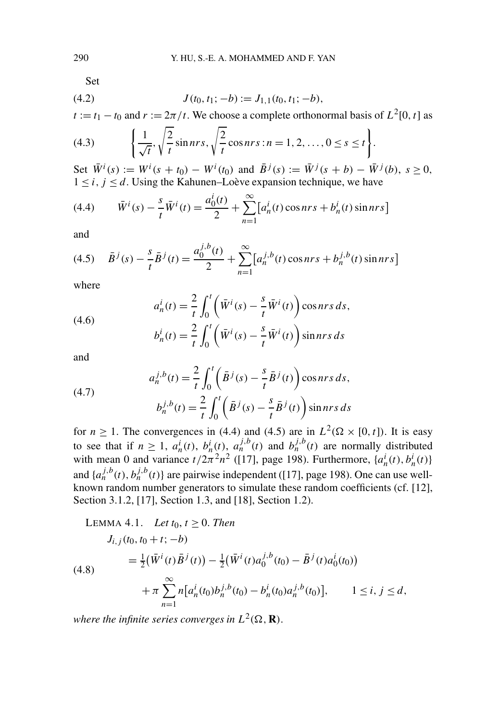Set

(4.2) 
$$
J(t_0, t_1; -b) := J_{1,1}(t_0, t_1; -b),
$$

 $t := t_1 - t_0$  and  $r := 2\pi/t$ . We choose a complete orthonormal basis of  $L^2[0, t]$  as

(4.3) 
$$
\left\{ \frac{1}{\sqrt{t}}, \sqrt{\frac{2}{t}} \sin nrs, \sqrt{\frac{2}{t}} \cos nrs : n = 1, 2, ..., 0 \le s \le t \right\}.
$$

Set  $\overline{W}^i(s) := W^i(s + t_0) - W^i(t_0)$  and  $\overline{B}^j(s) := \overline{W}^j(s + b) - \overline{W}^j(b), s \ge 0$ ,  $1 \leq i, j \leq d$ . Using the Kahunen–Loève expansion technique, we have

(4.4) 
$$
\bar{W}^{i}(s) - \frac{s}{t} \bar{W}^{i}(t) = \frac{a_{0}^{i}(t)}{2} + \sum_{n=1}^{\infty} [a_{n}^{i}(t) \cos nrs + b_{n}^{i}(t) \sin nrs]
$$

and

(4.5) 
$$
\bar{B}^{j}(s) - \frac{s}{t} \bar{B}^{j}(t) = \frac{a_0^{j,b}(t)}{2} + \sum_{n=1}^{\infty} [a_n^{j,b}(t)\cos nrs + b_n^{j,b}(t)\sin nrs]
$$

where

(4.6)  

$$
a_n^i(t) = \frac{2}{t} \int_0^t \left(\overline{W}^i(s) - \frac{s}{t} \overline{W}^i(t)\right) \cos nrs \, ds,
$$

$$
b_n^i(t) = \frac{2}{t} \int_0^t \left(\overline{W}^i(s) - \frac{s}{t} \overline{W}^i(t)\right) \sin nrs \, ds
$$

and

(4.7)  

$$
a_n^{j,b}(t) = \frac{2}{t} \int_0^t \left( \overline{B}^j(s) - \frac{s}{t} \overline{B}^j(t) \right) \cos nrs \, ds,
$$

$$
b_n^{j,b}(t) = \frac{2}{t} \int_0^t \left( \overline{B}^j(s) - \frac{s}{t} \overline{B}^j(t) \right) \sin nrs \, ds
$$

for  $n \ge 1$ . The convergences in (4.4) and (4.5) are in  $L^2(\Omega \times [0, t])$ . It is easy to see that if  $n \ge 1$ ,  $a_n^i(t)$ ,  $b_n^i(t)$ ,  $a_n^{j,b}(t)$  and  $b_n^{j,b}(t)$  are normally distributed with mean 0 and variance  $t/2\pi^2 n^2$  ([17], page 198). Furthermore,  $\{a_n^i(t), b_n^i(t)\}$ and  $\{a_n^{j,b}(t), b_n^{j,b}(t)\}$  are pairwise independent ([17], page 198). One can use wellknown random number generators to simulate these random coefficients (cf. [12], Section 3.1.2, [17], Section 1.3, and [18], Section 1.2).

LEMMA 4.1. Let 
$$
t_0
$$
,  $t \ge 0$ . Then  
\n
$$
J_{i,j}(t_0, t_0 + t; -b)
$$
\n
$$
= \frac{1}{2} (\bar{W}^i(t) \bar{B}^j(t)) - \frac{1}{2} (\bar{W}^i(t) a_0^{j,b}(t_0) - \bar{B}^j(t) a_0^i(t_0))
$$
\n
$$
+ \pi \sum_{n=1}^{\infty} n [a_n^i(t_0) b_n^{j,b}(t_0) - b_n^i(t_0) a_n^{j,b}(t_0)], \qquad 1 \le i, j \le d,
$$

*where the infinite series converges in*  $L^2(\Omega, \mathbf{R})$ .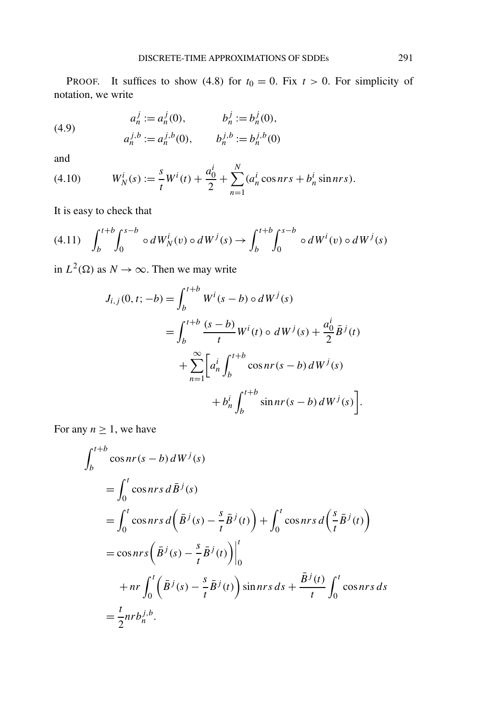PROOF. It suffices to show (4.8) for  $t_0 = 0$ . Fix  $t > 0$ . For simplicity of notation, we write

(4.9) 
$$
a_n^j := a_n^j(0), \qquad b_n^j := b_n^j(0),
$$

$$
a_n^{j,b} := a_n^{j,b}(0), \qquad b_n^{j,b} := b_n^{j,b}(0)
$$

and

(4.10) 
$$
W_N^i(s) := \frac{s}{t} W^i(t) + \frac{a_0^i}{2} + \sum_{n=1}^N (a_n^i \cos nrs + b_n^i \sin nrs).
$$

It is easy to check that

$$
(4.11) \quad \int_b^{t+b} \int_0^{s-b} \circ dW_N^i(v) \circ dW^j(s) \to \int_b^{t+b} \int_0^{s-b} \circ dW^i(v) \circ dW^j(s)
$$

in  $L^2(\Omega)$  as  $N \to \infty$ . Then we may write

$$
J_{i,j}(0, t; -b) = \int_{b}^{t+b} W^{i}(s-b) \circ dW^{j}(s)
$$
  
= 
$$
\int_{b}^{t+b} \frac{(s-b)}{t} W^{i}(t) \circ dW^{j}(s) + \frac{a_{0}^{i}}{2} \bar{B}^{j}(t)
$$
  
+ 
$$
\sum_{n=1}^{\infty} \left[ a_{n}^{i} \int_{b}^{t+b} \cos nr(s-b) dW^{j}(s) + b_{n}^{i} \int_{b}^{t+b} \sin nr(s-b) dW^{j}(s) \right].
$$

For any  $n \geq 1$ , we have

$$
\int_{b}^{t+b} \cos nr(s-b) dW^{j}(s)
$$
\n
$$
= \int_{0}^{t} \cos nrs \, d\bar{B}^{j}(s)
$$
\n
$$
= \int_{0}^{t} \cos nrs \, d\left(\bar{B}^{j}(s) - \frac{s}{t}\bar{B}^{j}(t)\right) + \int_{0}^{t} \cos nrs \, d\left(\frac{s}{t}\bar{B}^{j}(t)\right)
$$
\n
$$
= \cos nrs \left(\bar{B}^{j}(s) - \frac{s}{t}\bar{B}^{j}(t)\right) \Big|_{0}^{t}
$$
\n
$$
+ nr \int_{0}^{t} \left(\bar{B}^{j}(s) - \frac{s}{t}\bar{B}^{j}(t)\right) \sin nrs \, ds + \frac{\bar{B}^{j}(t)}{t} \int_{0}^{t} \cos nrs \, ds
$$
\n
$$
= \frac{t}{2}nr b_{n}^{j,b}.
$$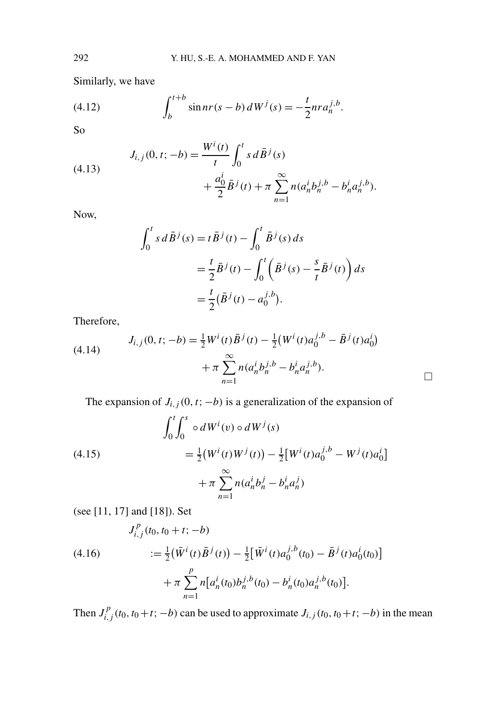Similarly, we have

(4.12) 
$$
\int_{b}^{t+b} \sin nr(s-b) dW^{j}(s) = -\frac{t}{2} n r a_n^{j,b}.
$$

So

(4.13) 
$$
J_{i,j}(0, t; -b) = \frac{W^{i}(t)}{t} \int_{0}^{t} s d\overline{B}^{j}(s) + \frac{a_{0}^{i}}{2} \overline{B}^{j}(t) + \pi \sum_{n=1}^{\infty} n (a_{n}^{i} b_{n}^{j,b} - b_{n}^{i} a_{n}^{j,b}).
$$

Now,

$$
\int_0^t s \, d\bar{B}^j(s) = t \bar{B}^j(t) - \int_0^t \bar{B}^j(s) \, ds
$$
  
=  $\frac{t}{2} \bar{B}^j(t) - \int_0^t \left( \bar{B}^j(s) - \frac{s}{t} \bar{B}^j(t) \right) ds$   
=  $\frac{t}{2} (\bar{B}^j(t) - a_0^{j,b}).$ 

Therefore,

(4.14) 
$$
J_{i,j}(0, t; -b) = \frac{1}{2} W^{i}(t) \overline{B}^{j}(t) - \frac{1}{2} (W^{i}(t) a_{0}^{j,b} - \overline{B}^{j}(t) a_{0}^{i}) + \pi \sum_{n=1}^{\infty} n (a_{n}^{i} b_{n}^{j,b} - b_{n}^{i} a_{n}^{j,b}).
$$

The expansion of  $J_{i,j}(0, t; -b)$  is a generalization of the expansion of

 $\Box$ 

(4.15)  
\n
$$
\int_0^t \int_0^s \circ dW^i(v) \circ dW^j(s)
$$
\n
$$
= \frac{1}{2} (W^i(t)W^j(t)) - \frac{1}{2} [W^i(t)a_0^{j,b} - W^j(t)a_0^i]
$$
\n
$$
+ \pi \sum_{n=1}^\infty n(a_n^i b_n^j - b_n^i a_n^j)
$$

(see [11, 17] and [18]). Set

$$
J_{i,j}^p(t_0,t_0+t;-b)
$$

(4.16) 
$$
:= \frac{1}{2} (\bar{W}^i(t)\bar{B}^j(t)) - \frac{1}{2} [\bar{W}^i(t)a_0^{j,b}(t_0) - \bar{B}^j(t)a_0^i(t_0)] + \pi \sum_{n=1}^p n[a_n^i(t_0)b_n^{j,b}(t_0) - b_n^i(t_0)a_n^{j,b}(t_0)].
$$

Then  $J_{i,j}^p(t_0, t_0+t; -b)$  can be used to approximate  $J_{i,j}(t_0, t_0+t; -b)$  in the mean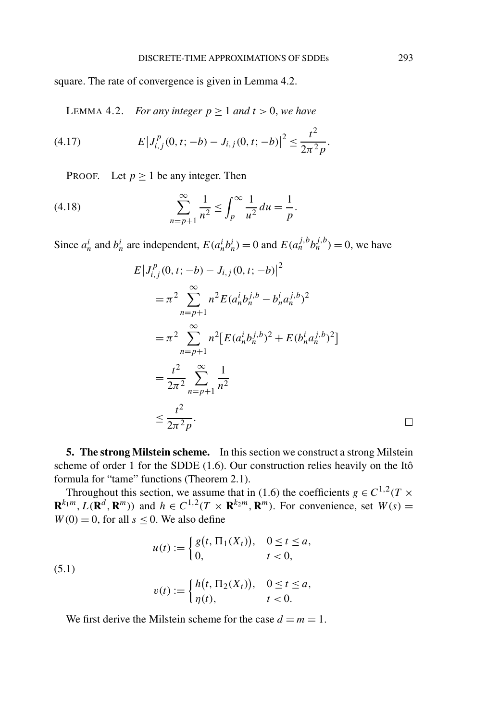square. The rate of convergence is given in Lemma 4.2.

LEMMA 4.2. *For any integer*  $p \ge 1$  *and*  $t > 0$ *, we have* 

(4.17) 
$$
E\left|J_{i,j}^{p}(0,t;-b)-J_{i,j}(0,t;-b)\right|^{2} \leq \frac{t^{2}}{2\pi^{2}p}.
$$

PROOF. Let  $p \ge 1$  be any integer. Then

(4.18) 
$$
\sum_{n=p+1}^{\infty} \frac{1}{n^2} \le \int_p^{\infty} \frac{1}{u^2} du = \frac{1}{p}.
$$

Since  $a_n^i$  and  $b_n^i$  are independent,  $E(a_n^i b_n^i) = 0$  and  $E(a_n^{j,b} b_n^{j,b}) = 0$ , we have

$$
E|J_{i,j}^{p}(0, t; -b) - J_{i,j}(0, t; -b)|^{2}
$$
  
=  $\pi^{2} \sum_{n=p+1}^{\infty} n^{2} E(a_{n}^{i} b_{n}^{j,b} - b_{n}^{i} a_{n}^{j,b})^{2}$   
=  $\pi^{2} \sum_{n=p+1}^{\infty} n^{2} [E(a_{n}^{i} b_{n}^{j,b})^{2} + E(b_{n}^{i} a_{n}^{j,b})^{2}]$   
=  $\frac{t^{2}}{2\pi^{2}} \sum_{n=p+1}^{\infty} \frac{1}{n^{2}}$   
 $\leq \frac{t^{2}}{2\pi^{2} p}$ .

**5. The strong Milstein scheme.** In this section we construct a strong Milstein scheme of order 1 for the SDDE (1.6). Our construction relies heavily on the Itô formula for "tame" functions (Theorem 2.1).

Throughout this section, we assume that in (1.6) the coefficients  $g \in C^{1,2}(T \times T)$  $\mathbf{R}^{k_1m}$ ,  $L(\mathbf{R}^d, \mathbf{R}^m)$ ) and  $h \in C^{1,2}(T \times \mathbf{R}^{k_2m}, \mathbf{R}^m)$ . For convenience, set  $W(s)$  =  $W(0) = 0$ , for all  $s \le 0$ . We also define

(5.1)  

$$
u(t) := \begin{cases} g(t, \Pi_1(X_t)), & 0 \le t \le a, \\ 0, & t < 0, \end{cases}
$$

$$
v(t) := \begin{cases} h(t, \Pi_2(X_t)), & 0 \le t \le a, \\ \eta(t), & t < 0. \end{cases}
$$

We first derive the Milstein scheme for the case  $d = m = 1$ .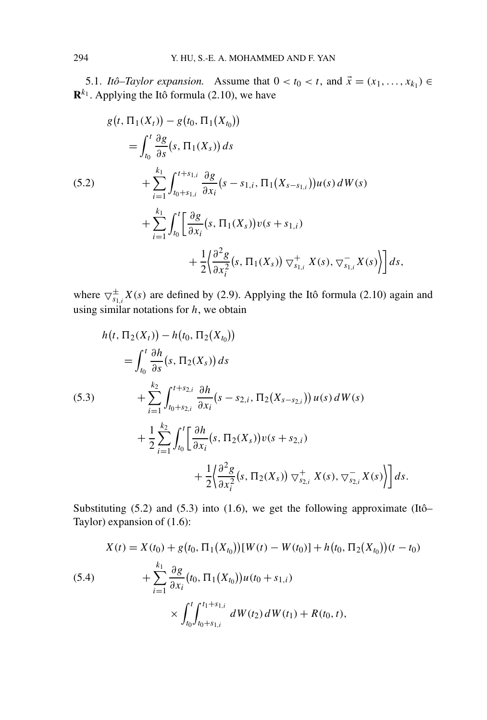5.1. *Itô–Taylor expansion.* Assume that  $0 < t_0 < t$ , and  $\vec{x} = (x_1, \ldots, x_{k_1}) \in$  $\mathbf{R}^{k_1}$ . Applying the Itô formula (2.10), we have

$$
g(t, \Pi_1(X_t)) - g(t_0, \Pi_1(X_{t_0}))
$$
  
\n
$$
= \int_{t_0}^t \frac{\partial g}{\partial s}(s, \Pi_1(X_s)) ds
$$
  
\n(5.2) 
$$
+ \sum_{i=1}^{k_1} \int_{t_0+s_{1,i}}^{t+s_{1,i}} \frac{\partial g}{\partial x_i}(s-s_{1,i}, \Pi_1(X_{s-s_{1,i}}))u(s) dW(s)
$$
  
\n
$$
+ \sum_{i=1}^{k_1} \int_{t_0}^t \left[ \frac{\partial g}{\partial x_i}(s, \Pi_1(X_s))v(s+s_{1,i}) + \frac{1}{2} \left( \frac{\partial^2 g}{\partial x_i^2}(s, \Pi_1(X_s)) \nabla_{s_{1,i}}^+ X(s), \nabla_{s_{1,i}}^- X(s) \right) \right] ds,
$$

where  $\bigtriangledown_{s_{1,i}}^{\pm} X(s)$  are defined by (2.9). Applying the Itô formula (2.10) again and using similar notations for *h*, we obtain

$$
h(t, \Pi_2(X_t)) - h(t_0, \Pi_2(X_{t_0}))
$$
  
\n
$$
= \int_{t_0}^t \frac{\partial h}{\partial s}(s, \Pi_2(X_s)) ds
$$
  
\n(5.3) 
$$
+ \sum_{i=1}^{k_2} \int_{t_0 + s_{2,i}}^{t + s_{2,i}} \frac{\partial h}{\partial x_i}(s - s_{2,i}, \Pi_2(X_{s - s_{2,i}})) u(s) dW(s)
$$
  
\n
$$
+ \frac{1}{2} \sum_{i=1}^{k_2} \int_{t_0}^t \left[ \frac{\partial h}{\partial x_i}(s, \Pi_2(X_s)) v(s + s_{2,i}) + \frac{1}{2} \left( \frac{\partial^2 g}{\partial x_i^2}(s, \Pi_2(X_s)) \nabla_{s_{2,i}}^+ X(s), \nabla_{s_{2,i}}^- X(s) \right) \right] ds.
$$

Substituting  $(5.2)$  and  $(5.3)$  into  $(1.6)$ , we get the following approximate  $(Itô-$ Taylor) expansion of (1.6):

(5.4)  
\n
$$
X(t) = X(t_0) + g(t_0, \Pi_1(X_{t_0}))[W(t) - W(t_0)] + h(t_0, \Pi_2(X_{t_0}))(t - t_0)
$$
\n
$$
+ \sum_{i=1}^{k_1} \frac{\partial g}{\partial x_i}(t_0, \Pi_1(X_{t_0}))u(t_0 + s_{1,i})
$$
\n
$$
\times \int_{t_0}^t \int_{t_0 + s_{1,i}}^{t_1 + s_{1,i}} dW(t_2) dW(t_1) + R(t_0, t),
$$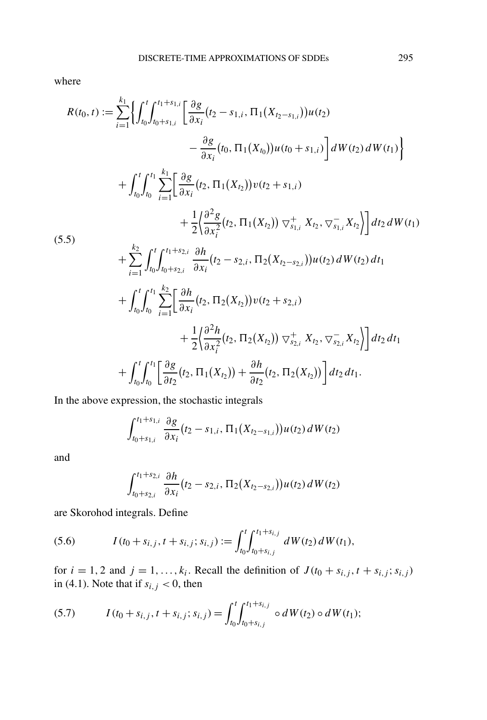where

$$
R(t_0, t) := \sum_{i=1}^{k_1} \left\{ \int_{t_0}^t \int_{t_0 + s_{1,i}}^{t_1 + s_{1,i}} \left[ \frac{\partial g}{\partial x_i} (t_2 - s_{1,i}, \Pi_1(X_{t_2 - s_{1,i}})) u(t_2) \right. \\ \left. - \frac{\partial g}{\partial x_i} (t_0, \Pi_1(X_{t_0})) u(t_0 + s_{1,i}) \right] dW(t_2) dW(t_1) \right\} + \int_{t_0}^t \int_{t_0}^{t_1} \sum_{i=1}^{k_1} \left[ \frac{\partial g}{\partial x_i} (t_2, \Pi_1(X_{t_2})) v(t_2 + s_{1,i}) \right. \\ \left. + \frac{1}{2} \left\{ \frac{\partial^2 g}{\partial x_i^2} (t_2, \Pi_1(X_{t_2})) \bigtriangledown_{s_{1,i}}^+ X_{t_2}, \bigtriangledown_{s_{1,i}}^- X_{t_2} \right\} \right] dt_2 dW(t_1) + \sum_{i=1}^{k_2} \int_{t_0}^t \int_{t_0 + s_{2,i}}^{t_1 + s_{2,i}} \frac{\partial h}{\partial x_i} (t_2 - s_{2,i}, \Pi_2(X_{t_2 - s_{2,i}})) u(t_2) dW(t_2) dt_1 + \int_{t_0}^t \int_{t_0}^{t_1} \sum_{i=1}^{k_2} \left[ \frac{\partial h}{\partial x_i} (t_2, \Pi_2(X_{t_2})) v(t_2 + s_{2,i}) \right. \\ \left. + \frac{1}{2} \left\{ \frac{\partial^2 h}{\partial x_i^2} (t_2, \Pi_2(X_{t_2})) \bigtriangledown_{s_{2,i}}^+ X_{t_2}, \bigtriangledown_{s_{2,i}}^- X_{t_2} \right\} \right] dt_2 dt_1 + \int_{t_0}^t \int_{t_0}^{t_1} \left[ \frac{\partial g}{\partial t_2} (t_2, \Pi_1(X_{t_2})) + \frac{\partial h}{\partial t_2} (t_2, \Pi_2(X_{t_2})) \right] dt_2 dt_1.
$$

In the above expression, the stochastic integrals

$$
\int_{t_0+s_{1,i}}^{t_1+s_{1,i}} \frac{\partial g}{\partial x_i}(t_2-s_{1,i}, \Pi_1(X_{t_2-s_{1,i}}))u(t_2) dW(t_2)
$$

and

$$
\int_{t_0+s_{2,i}}^{t_1+s_{2,i}} \frac{\partial h}{\partial x_i}(t_2-s_{2,i}, \Pi_2(X_{t_2-s_{2,i}}))u(t_2) dW(t_2)
$$

are Skorohod integrals. Define

(5.6) 
$$
I(t_0 + s_{i,j}, t + s_{i,j}; s_{i,j}) := \int_{t_0}^t \int_{t_0 + s_{i,j}}^{t_1 + s_{i,j}} dW(t_2) dW(t_1),
$$

for  $i = 1, 2$  and  $j = 1, \ldots, k_i$ . Recall the definition of  $J(t_0 + s_{i,j}, t + s_{i,j}; s_{i,j})$ in (4.1). Note that if  $s_{i,j} < 0$ , then

(5.7) 
$$
I(t_0 + s_{i,j}, t + s_{i,j}; s_{i,j}) = \int_{t_0}^t \int_{t_0 + s_{i,j}}^{t_1 + s_{i,j}} \circ dW(t_2) \circ dW(t_1);
$$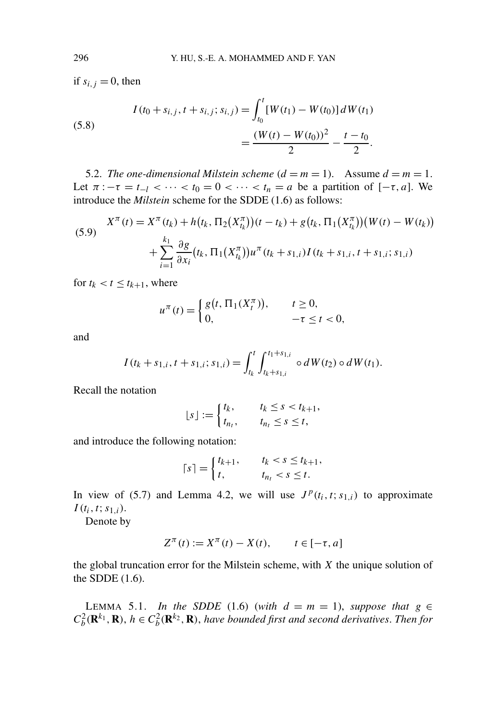if  $s_{i,j} = 0$ , then

(5.8)  

$$
I(t_0 + s_{i,j}, t + s_{i,j}; s_{i,j}) = \int_{t_0}^t [W(t_1) - W(t_0)] dW(t_1)
$$

$$
= \frac{(W(t) - W(t_0))^2}{2} - \frac{t - t_0}{2}.
$$

5.2. *The one-dimensional Milstein scheme*  $(d = m = 1)$ *.* Assume  $d = m = 1$ *.* Let  $\pi$ : $-\tau = t_{-l} < \cdots < t_0 = 0 < \cdots < t_n = a$  be a partition of  $[-\tau, a]$ . We introduce the *Milstein* scheme for the SDDE (1.6) as follows:

(5.9) 
$$
X^{\pi}(t) = X^{\pi}(t_k) + h(t_k, \Pi_2(X_{t_k}^{\pi})) (t - t_k) + g(t_k, \Pi_1(X_{t_k}^{\pi})) (W(t) - W(t_k)) + \sum_{i=1}^{k_1} \frac{\partial g}{\partial x_i} (t_k, \Pi_1(X_{t_k}^{\pi})) u^{\pi}(t_k + s_{1,i}) I(t_k + s_{1,i}; t + s_{1,i}; s_{1,i})
$$

for  $t_k < t \leq t_{k+1}$ , where

$$
u^{\pi}(t) = \begin{cases} g(t, \Pi_1(X_t^{\pi})), & t \ge 0, \\ 0, & -\tau \le t < 0, \end{cases}
$$

and

$$
I(t_k+s_{1,i},t+s_{1,i};s_{1,i})=\int_{t_k}^t\int_{t_k+s_{1,i}}^{t_1+s_{1,i}}\circ dW(t_2)\circ dW(t_1).
$$

Recall the notation

$$
\lfloor s \rfloor := \begin{cases} t_k, & t_k \le s < t_{k+1}, \\ t_{n_t}, & t_{n_t} \le s \le t, \end{cases}
$$

and introduce the following notation:

$$
\lceil s \rceil = \begin{cases} t_{k+1}, & t_k < s \le t_{k+1}, \\ t, & t_{n_t} < s \le t. \end{cases}
$$

In view of (5.7) and Lemma 4.2, we will use  $J^p(t_i, t; s_{1,i})$  to approximate  $I(t_i, t; s_{1,i}).$ 

Denote by

$$
Z^{\pi}(t) := X^{\pi}(t) - X(t), \qquad t \in [-\tau, a]
$$

the global truncation error for the Milstein scheme, with *X* the unique solution of the SDDE (1.6).

LEMMA 5.1. *In the SDDE* (1.6) (*with*  $d = m = 1$ *), suppose that*  $g \in$  $C_b^2(\mathbf{R}^{k_1}, \mathbf{R})$ ,  $h \in C_b^2(\mathbf{R}^{k_2}, \mathbf{R})$ , have bounded first and second derivatives. Then for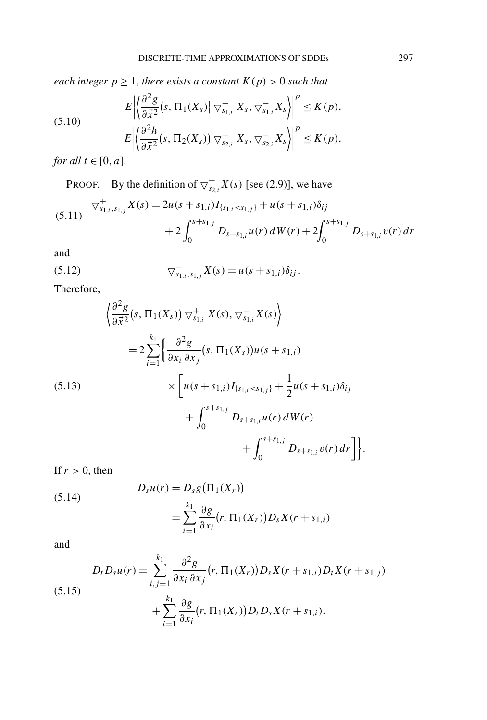*each integer*  $p \geq 1$ *, there exists a constant*  $K(p) > 0$  *such that* 

(5.10) 
$$
E\left\|\left\{\frac{\partial^2 g}{\partial \vec{x}^2}(s, \Pi_1(X_s) \mid \nabla_{s_{1,i}}^+ X_s, \nabla_{s_{1,i}}^- X_s)\right\|^p \le K(p),
$$

$$
E\left\|\left\{\frac{\partial^2 h}{\partial \vec{x}^2}(s, \Pi_2(X_s)) \nabla_{s_{2,i}}^+ X_s, \nabla_{s_{2,i}}^- X_s\right\|^p \le K(p),\right\}
$$

*for all*  $t \in [0, a]$ .

**PROOF.** By the definition of  $\bigtriangledown_{s_{2,i}}^{\pm}X(s)$  [see (2.9)], we have

$$
(5.11) \quad \nabla^+_{s_{1,i},s_{1,j}} X(s) = 2u(s+s_{1,i}) I_{\{s_{1,i}
$$

and

(5.12) 
$$
\nabla_{s_{1,i},s_{1,j}}^{-} X(s) = u(s+s_{1,i})\delta_{ij}.
$$

Therefore,

$$
\begin{aligned}\n\left\{\frac{\partial^2 g}{\partial \vec{x}^2}(s, \Pi_1(X_s)) \bigtriangledown^+_{s_{1,i}} X(s), \bigtriangledown^-_{s_{1,i}} X(s)\right\} \\
= 2 \sum_{i=1}^{k_1} \left\{\frac{\partial^2 g}{\partial x_i \partial x_j}(s, \Pi_1(X_s)) u(s+s_{1,i})\right. \\
&\times \left[ u(s+s_{1,i}) I_{\{s_{1,i} < s_{1,j}\}} + \frac{1}{2} u(s+s_{1,i}) \delta_{ij} \right. \\
&\quad \left. + \int_0^{s+s_{1,j}} D_{s+s_{1,i}} u(r) \, dW(r) \right. \\
&\quad \left. + \int_0^{s+s_{1,j}} D_{s+s_{1,i}} v(r) \, dr \right] \right\}.\n\end{aligned}
$$

If  $r > 0$ , then

(5.14) 
$$
D_s u(r) = D_s g(\Pi_1(X_r))
$$

$$
= \sum_{i=1}^{k_1} \frac{\partial g}{\partial x_i}(r, \Pi_1(X_r)) D_s X(r + s_{1,i})
$$

and

$$
D_t D_s u(r) = \sum_{i,j=1}^{k_1} \frac{\partial^2 g}{\partial x_i \partial x_j}(r, \Pi_1(X_r)) D_s X(r + s_{1,i}) D_t X(r + s_{1,j}) + \sum_{i=1}^{k_1} \frac{\partial g}{\partial x_i}(r, \Pi_1(X_r)) D_t D_s X(r + s_{1,i}).
$$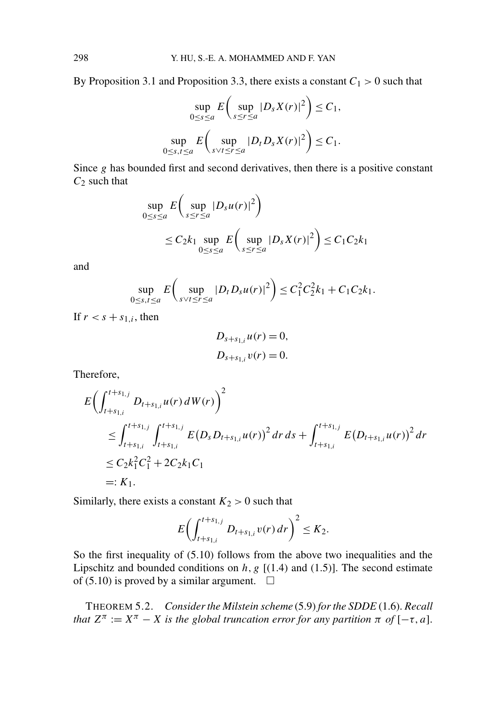By Proposition 3.1 and Proposition 3.3, there exists a constant  $C_1 > 0$  such that

$$
\sup_{0 \le s \le a} E\left(\sup_{s \le r \le a} |D_s X(r)|^2\right) \le C_1,
$$
  
\n
$$
\sup_{0 \le s,t \le a} E\left(\sup_{s \vee t \le r \le a} |D_t D_s X(r)|^2\right) \le C_1.
$$

Since *g* has bounded first and second derivatives, then there is a positive constant *C*<sup>2</sup> such that

$$
\sup_{0 \le s \le a} E\left(\sup_{s \le r \le a} |D_s u(r)|^2\right)
$$
  
\n
$$
\le C_2 k_1 \sup_{0 \le s \le a} E\left(\sup_{s \le r \le a} |D_s X(r)|^2\right) \le C_1 C_2 k_1
$$

and

$$
\sup_{0 \le s,t \le a} E\left(\sup_{s \vee t \le r \le a} |D_t D_s u(r)|^2\right) \le C_1^2 C_2^2 k_1 + C_1 C_2 k_1.
$$

If  $r < s + s_{1,i}$ , then

$$
D_{s+s_{1,i}}u(r) = 0,
$$
  

$$
D_{s+s_{1,i}}v(r) = 0.
$$

Therefore,

$$
E\left(\int_{t+s_{1,i}}^{t+s_{1,j}} D_{t+s_{1,i}} u(r) dW(r)\right)^2
$$
  
\n
$$
\leq \int_{t+s_{1,i}}^{t+s_{1,j}} \int_{t+s_{1,i}}^{t+s_{1,j}} E(D_s D_{t+s_{1,i}} u(r))^2 dr ds + \int_{t+s_{1,i}}^{t+s_{1,j}} E(D_{t+s_{1,i}} u(r))^2 dr
$$
  
\n
$$
\leq C_2 k_1^2 C_1^2 + 2C_2 k_1 C_1
$$
  
\n
$$
=: K_1.
$$

Similarly, there exists a constant  $K_2 > 0$  such that

$$
E\biggl(\int_{t+s_{1,i}}^{t+s_{1,j}} D_{t+s_{1,i}} v(r) dr\biggr)^2 \leq K_2.
$$

So the first inequality of (5.10) follows from the above two inequalities and the Lipschitz and bounded conditions on  $h, g$  [ $(1.4)$  and  $(1.5)$ ]. The second estimate of (5.10) is proved by a similar argument.  $\square$ 

THEOREM 5.2. *Consider the Milstein scheme* (5.9) *for the SDDE* (1.6). *Recall that*  $Z^{\pi} := X^{\pi} - X$  *is the global truncation error for any partition*  $\pi$  *of*  $[-\tau, a]$ .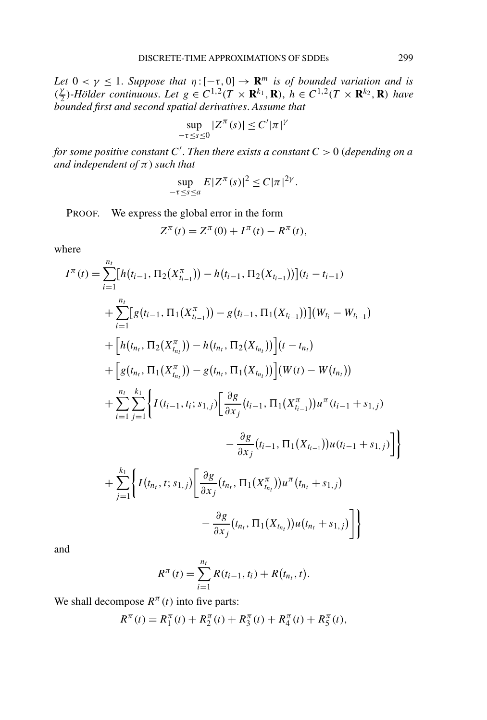*Let*  $0 < \gamma \leq 1$ . *Suppose that*  $\eta : [-\tau, 0] \to \mathbf{R}^m$  *is of bounded variation and is*  $(\frac{\gamma}{2})$ -Hölder continuous. Let  $g \in C^{1,2}(T \times \mathbf{R}^{k_1}, \mathbf{R})$ ,  $h \in C^{1,2}(T \times \mathbf{R}^{k_2}, \mathbf{R})$  have *bounded first and second spatial derivatives*. *Assume that*

$$
\sup_{-\tau \le s \le 0} |Z^{\pi}(s)| \le C' |\pi|^{\gamma}
$$

*for some positive constant C* . *Then there exists a constant C >* 0 (*depending on a and independent of π*) *such that*

$$
\sup_{-\tau \le s \le a} E|Z^{\pi}(s)|^2 \le C|\pi|^{2\gamma}.
$$

PROOF. We express the global error in the form

$$
Z^{\pi}(t) = Z^{\pi}(0) + I^{\pi}(t) - R^{\pi}(t),
$$

where

$$
I^{\pi}(t) = \sum_{i=1}^{n_{I}} [h(t_{i-1}, \Pi_{2}(X_{t_{i-1}}^{\pi})) - h(t_{i-1}, \Pi_{2}(X_{t_{i-1}}))] (t_{i} - t_{i-1})
$$
  
+ 
$$
\sum_{i=1}^{n_{I}} [g(t_{i-1}, \Pi_{1}(X_{t_{i-1}}^{\pi})) - g(t_{i-1}, \Pi_{1}(X_{t_{i-1}}))] (W_{t_{i}} - W_{t_{i-1}})
$$
  
+ 
$$
[h(t_{n_{I}}, \Pi_{2}(X_{t_{n_{I}}}^{\pi})) - h(t_{n_{I}}, \Pi_{2}(X_{t_{n_{I}}}))] (t - t_{n_{I}})
$$
  
+ 
$$
[g(t_{n_{I}}, \Pi_{1}(X_{t_{n_{I}}}^{\pi})) - g(t_{n_{I}}, \Pi_{1}(X_{t_{n_{I}}}))] (W(t) - W(t_{n_{I}}))
$$
  
+ 
$$
\sum_{i=1}^{n_{I}} \sum_{j=1}^{k_{I}} \Biggl\{ I(t_{i-1}, t_{i}; s_{1,j}) \Biggl[ \frac{\partial g}{\partial x_{j}} (t_{i-1}, \Pi_{1}(X_{t_{i-1}}^{\pi})) u^{\pi} (t_{i-1} + s_{1,j})
$$
  
- 
$$
\frac{\partial g}{\partial x_{j}} (t_{i-1}, \Pi_{1}(X_{t_{i-1}})) u(t_{i-1} + s_{1,j}) \Biggr]
$$
  
+ 
$$
\sum_{j=1}^{k_{I}} \Biggl\{ I(t_{n_{I}}, t; s_{1,j}) \Biggl[ \frac{\partial g}{\partial x_{j}} (t_{n_{I}}, \Pi_{1}(X_{t_{n_{I}}}^{\pi})) u^{\pi} (t_{n_{I}} + s_{1,j})
$$
  
- 
$$
\frac{\partial g}{\partial x_{j}} (t_{n_{I}}, \Pi_{1}(X_{t_{n_{I}}})) u(t_{n_{I}} + s_{1,j}) \Biggr]
$$

and

$$
R^{\pi}(t) = \sum_{i=1}^{n_t} R(t_{i-1}, t_i) + R(t_{n_t}, t).
$$

We shall decompose  $R^{\pi}(t)$  into five parts:

$$
R^{\pi}(t) = R_1^{\pi}(t) + R_2^{\pi}(t) + R_3^{\pi}(t) + R_4^{\pi}(t) + R_5^{\pi}(t),
$$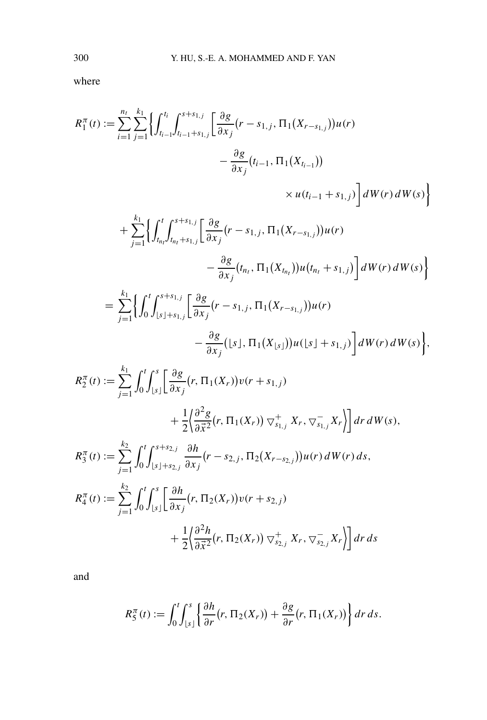where

$$
R_1^{\pi}(t) := \sum_{i=1}^{n_t} \sum_{j=1}^{k_1} \left\{ \int_{t_{i-1}}^{t_i} \int_{t_{i-1}+s_{1,j}}^{s+s_{1,j}} \left[ \frac{\partial g}{\partial x_j} (r - s_{1,j}, \Pi_1(X_{r-s_{1,j}})) u(r) - \frac{\partial g}{\partial x_j} (t_{i-1}, \Pi_1(X_{t_{i-1}})) \right] \right. \\
\left. \left. \qquad \qquad \times u(t_{i-1} + s_{1,j}) \right\} dW(r) dW(s) \right\} \\
+ \sum_{j=1}^{k_1} \left\{ \int_{t_{n_i}}^t \int_{t_{n_i}+s_{1,j}}^{s+s_{1,j}} \left[ \frac{\partial g}{\partial x_j} (r - s_{1,j}, \Pi_1(X_{r-s_{1,j}})) u(r) \right] dW(r) dW(s) \right\}
$$

$$
-\frac{\partial g}{\partial x_j}(t_{n_t}, \Pi_1(X_{t_{n_t}}))u(t_{n_t}+s_{1,j})\bigg]dW(r) dW(s)\bigg\}
$$
  

$$
\frac{k_1}{n_1}\int_{0}^{t}t^{s+s_{1,j}}\Gamma\partial\sigma
$$

$$
= \sum_{j=1}^{k_1} \left\{ \int_0^t \int_{\lfloor s \rfloor + s_{1,j}}^{s+s_{1,j}} \left[ \frac{\partial g}{\partial x_j} (r - s_{1,j}, \Pi_1(X_{r-s_{1,j}})) u(r) - \frac{\partial g}{\partial x_j} (\lfloor s \rfloor, \Pi_1(X_{\lfloor s \rfloor})) u(\lfloor s \rfloor + s_{1,j}) \right] dW(r) dW(s) \right\},\,
$$

$$
R_2^{\pi}(t) := \sum_{j=1}^{k_1} \int_0^t \int_{\lfloor s \rfloor}^s \left[ \frac{\partial g}{\partial x_j} (r, \Pi_1(X_r)) v(r + s_{1,j}) + \frac{1}{2} \left( \frac{\partial^2 g}{\partial \vec{x}^2} (r, \Pi_1(X_r)) \nabla_{s_{1,j}}^+ X_r, \nabla_{s_{1,j}}^- X_r \right) \right] dr dW(s),
$$
  
\n
$$
R_3^{\pi}(t) := \sum_{j=1}^{k_2} \int_0^t \int_{\lfloor s \rfloor + s_{2,j}}^{s + s_{2,j}} \frac{\partial h}{\partial x_j} (r - s_{2,j}, \Pi_2(X_{r - s_{2,j}})) u(r) dW(r) ds,
$$
  
\n
$$
R_4^{\pi}(t) := \sum_{j=1}^{k_2} \int_0^t \int_{\lfloor s \rfloor}^s \left[ \frac{\partial h}{\partial x_j} (r, \Pi_2(X_r)) v(r + s_{2,j}) + \frac{1}{2} \left( \frac{\partial^2 h}{\partial \vec{x}^2} (r, \Pi_2(X_r)) \nabla_{s_{2,j}}^+ X_r, \nabla_{s_{2,j}}^- X_r \right) \right] dr ds
$$

and

$$
R_5^{\pi}(t) := \int_0^t \int_{\lfloor s \rfloor}^s \left\{ \frac{\partial h}{\partial r} (r, \Pi_2(X_r)) + \frac{\partial g}{\partial r} (r, \Pi_1(X_r)) \right\} dr ds.
$$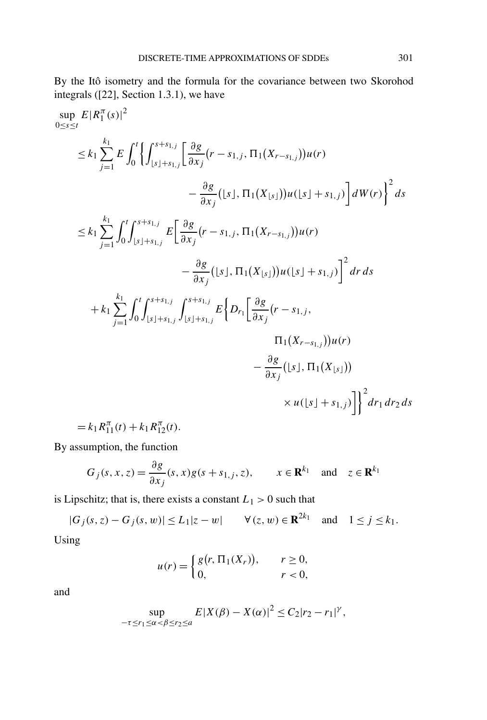By the Itô isometry and the formula for the covariance between two Skorohod integrals ([22], Section 1.3.1), we have

$$
\sup_{0 \le s \le t} E|R_1^{\pi}(s)|^2
$$
\n
$$
\le k_1 \sum_{j=1}^{k_1} E \int_0^t \left\{ \int_{[s]+s_{1,j}}^{s+s_{1,j}} \left[ \frac{\partial g}{\partial x_j} (r - s_{1,j}, \Pi_1(X_{r-s_{1,j}})) u(r) - \frac{\partial g}{\partial x_j} ( [s], \Pi_1(X_{\lfloor s \rfloor})) u([s] + s_{1,j}) \right] dW(r) \right\}^2 ds
$$
\n
$$
\le k_1 \sum_{j=1}^{k_1} \int_0^t \int_{[s]+s_{1,j}}^{s+s_{1,j}} E \left[ \frac{\partial g}{\partial x_j} (r - s_{1,j}, \Pi_1(X_{r-s_{1,j}})) u(r) - \frac{\partial g}{\partial x_j} ( [s], \Pi_1(X_{\lfloor s \rfloor})) u([s] + s_{1,j}) \right]^2 dr ds
$$
\n
$$
+ k_1 \sum_{j=1}^{k_1} \int_0^t \int_{[s]+s_{1,j}}^{s+s_{1,j}} \int_{[s]+s_{1,j}}^{s+s_{1,j}} E \left\{ D_{r_1} \left[ \frac{\partial g}{\partial x_j} (r - s_{1,j}, \Pi_1(X_{r-s_{1,j}})) u(r) - \frac{\partial g}{\partial x_j} ( [s], \Pi_1(X_{\lfloor s \rfloor})) \right] \right\}^2 dr_1 dr_2 ds
$$
\n
$$
= k_1 R_1^{\pi}(t) + k_1 R_1^{\pi}(t).
$$

By assumption, the function

$$
G_j(s, x, z) = \frac{\partial g}{\partial x_j}(s, x)g(s + s_{1,j}, z), \qquad x \in \mathbf{R}^{k_1} \quad \text{and} \quad z \in \mathbf{R}^{k_1}
$$

is Lipschitz; that is, there exists a constant  $L_1 > 0$  such that

 $|G_j(s, z) - G_j(s, w)|$  ≤ *L*<sub>1</sub>|*z* − *w*|  $\forall$  (*z*, *w*) ∈ **R**<sup>2*k*<sub>1</sub></sup> and 1 ≤ *j* ≤ *k*<sub>1</sub>. Using

$$
u(r) = \begin{cases} g(r, \Pi_1(X_r)), & r \ge 0, \\ 0, & r < 0, \end{cases}
$$

and

$$
\sup_{-\tau \le r_1 \le \alpha < \beta \le r_2 \le a} E|X(\beta) - X(\alpha)|^2 \le C_2|r_2 - r_1|^{\gamma},
$$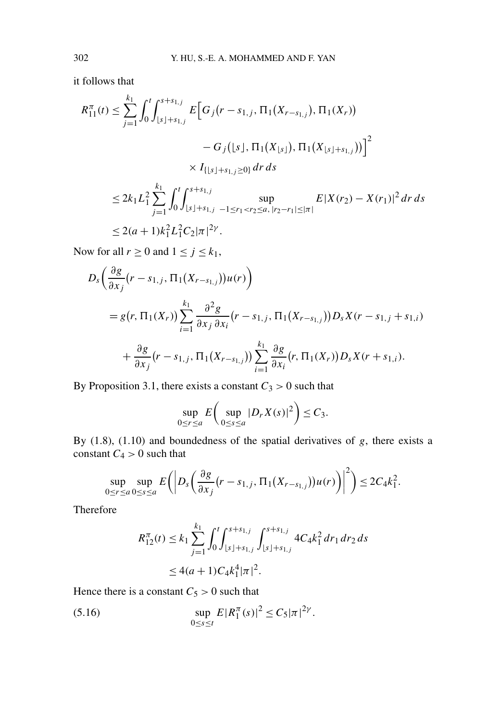it follows that

$$
R_{11}^{\pi}(t) \leq \sum_{j=1}^{k_1} \int_0^t \int_{\lfloor s \rfloor + s_{1,j}}^{s+s_{1,j}} E\Big[G_j(r - s_{1,j}, \Pi_1(X_{r-s_{1,j}}), \Pi_1(X_r)) - G_j(\lfloor s \rfloor, \Pi_1(X_{\lfloor s \rfloor}), \Pi_1(X_{\lfloor s \rfloor + s_{1,j}})) \Big]^2
$$
  

$$
\times I_{\{\lfloor s \rfloor + s_{1,j} \geq 0\}} dr ds
$$
  

$$
\leq 2k_1 L_1^2 \sum_{j=1}^{k_1} \int_0^t \int_{\lfloor s \rfloor + s_{1,j}}^{s+s_{1,j}} \sup_{-1 \leq r_1 < r_2 \leq a, |r_2 - r_1| \leq |\pi|} E|X(r_2) - X(r_1)|^2 dr ds
$$
  

$$
\leq 2(a+1)k_1^2 L_1^2 C_2 |\pi|^{2\gamma}.
$$

Now for all  $r \ge 0$  and  $1 \le j \le k_1$ ,

$$
D_{s}\left(\frac{\partial g}{\partial x_{j}}(r-s_{1,j}, \Pi_{1}(X_{r-s_{1,j}}))u(r)\right)
$$
  
=  $g(r, \Pi_{1}(X_{r}))\sum_{i=1}^{k_{1}}\frac{\partial^{2} g}{\partial x_{j}\partial x_{i}}(r-s_{1,j}, \Pi_{1}(X_{r-s_{1,j}}))D_{s}X(r-s_{1,j}+s_{1,i})$   
+  $\frac{\partial g}{\partial x_{j}}(r-s_{1,j}, \Pi_{1}(X_{r-s_{1,j}}))\sum_{i=1}^{k_{1}}\frac{\partial g}{\partial x_{i}}(r, \Pi_{1}(X_{r}))D_{s}X(r+s_{1,i}).$ 

By Proposition 3.1, there exists a constant  $C_3 > 0$  such that

$$
\sup_{0\leq r\leq a} E\bigg(\sup_{0\leq s\leq a} |D_r X(s)|^2\bigg) \leq C_3.
$$

By (1.8), (1.10) and boundedness of the spatial derivatives of *g*, there exists a constant  $C_4 > 0$  such that

$$
\sup_{0\leq r\leq a}\sup_{0\leq s\leq a}E\bigg(\bigg|D_s\bigg(\frac{\partial g}{\partial x_j}(r-s_{1,j},\Pi_1(X_{r-s_{1,j}}))u(r)\bigg)\bigg|^2\bigg)\leq 2C_4k_1^2.
$$

Therefore

$$
R_{12}^{\pi}(t) \le k_1 \sum_{j=1}^{k_1} \int_0^t \int_{\lfloor s \rfloor + s_{1,j}}^{s+s_{1,j}} \int_{\lfloor s \rfloor + s_{1,j}}^{s+s_{1,j}} 4C_4 k_1^2 dr_1 dr_2 ds
$$
  
 
$$
\le 4(a+1)C_4 k_1^4 |\pi|^2.
$$

Hence there is a constant  $C_5 > 0$  such that

(5.16) 
$$
\sup_{0 \le s \le t} E|R_1^{\pi}(s)|^2 \le C_5 |\pi|^{2\gamma}.
$$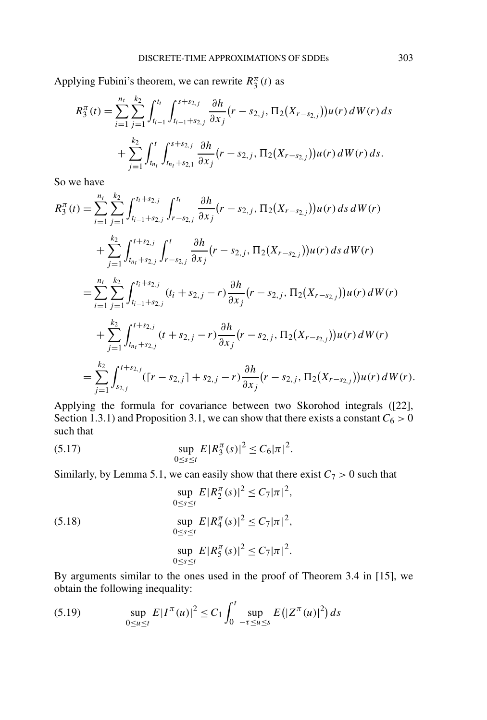Applying Fubini's theorem, we can rewrite  $R_3^{\pi}(t)$  as

$$
R_3^{\pi}(t) = \sum_{i=1}^{n_t} \sum_{j=1}^{k_2} \int_{t_{i-1}}^{t_i} \int_{t_{i-1}+s_{2,j}}^{s+s_{2,j}} \frac{\partial h}{\partial x_j} (r - s_{2,j}, \Pi_2(X_{r-s_{2,j}})) u(r) dW(r) ds + \sum_{j=1}^{k_2} \int_{t_{n_t}}^{t} \int_{t_{n_t}+s_{2,1}}^{s+s_{2,j}} \frac{\partial h}{\partial x_j} (r - s_{2,j}, \Pi_2(X_{r-s_{2,j}})) u(r) dW(r) ds.
$$

So we have

$$
R_{3}^{\pi}(t) = \sum_{i=1}^{n_{t}} \sum_{j=1}^{k_{2}} \int_{t_{i-1}+s_{2,j}}^{t_{i}+s_{2,j}} \int_{r-s_{2,j}}^{t_{i}} \frac{\partial h}{\partial x_{j}}(r-s_{2,j}, \Pi_{2}(X_{r-s_{2,j}}))u(r) ds dW(r)
$$
  
+ 
$$
\sum_{j=1}^{k_{2}} \int_{t_{n_{t}}+s_{2,j}}^{t+s_{2,j}} \int_{r-s_{2,j}}^{t} \frac{\partial h}{\partial x_{j}}(r-s_{2,j}, \Pi_{2}(X_{r-s_{2,j}}))u(r) ds dW(r)
$$
  
= 
$$
\sum_{i=1}^{n_{t}} \sum_{j=1}^{k_{2}} \int_{t_{i-1}+s_{2,j}}^{t_{i}+s_{2,j}} (t_{i}+s_{2,j}-r) \frac{\partial h}{\partial x_{j}}(r-s_{2,j}, \Pi_{2}(X_{r-s_{2,j}}))u(r) dW(r)
$$
  
+ 
$$
\sum_{j=1}^{k_{2}} \int_{t_{n_{t}}+s_{2,j}}^{t+s_{2,j}} (t+s_{2,j}-r) \frac{\partial h}{\partial x_{j}}(r-s_{2,j}, \Pi_{2}(X_{r-s_{2,j}}))u(r) dW(r)
$$
  
= 
$$
\sum_{j=1}^{k_{2}} \int_{s_{2,j}}^{t+s_{2,j}} ([r-s_{2,j}] + s_{2,j}-r) \frac{\partial h}{\partial x_{j}}(r-s_{2,j}, \Pi_{2}(X_{r-s_{2,j}}))u(r) dW(r).
$$

Applying the formula for covariance between two Skorohod integrals ([22], Section 1.3.1) and Proposition 3.1, we can show that there exists a constant  $C_6 > 0$ such that

(5.17) 
$$
\sup_{0 \le s \le t} E|R_3^{\pi}(s)|^2 \le C_6 |\pi|^2.
$$

Similarly, by Lemma 5.1, we can easily show that there exist  $C_7 > 0$  such that

(5.18)  
\n
$$
\sup_{0 \le s \le t} E|R_2^{\pi}(s)|^2 \le C_7 |\pi|^2,
$$
\n
$$
\sup_{0 \le s \le t} E|R_4^{\pi}(s)|^2 \le C_7 |\pi|^2,
$$
\n
$$
\sup_{0 \le s \le t} E|R_5^{\pi}(s)|^2 \le C_7 |\pi|^2.
$$

By arguments similar to the ones used in the proof of Theorem 3.4 in [15], we obtain the following inequality:

(5.19) 
$$
\sup_{0 \le u \le t} E|I^{\pi}(u)|^2 \le C_1 \int_0^t \sup_{-\tau \le u \le s} E(|Z^{\pi}(u)|^2) ds
$$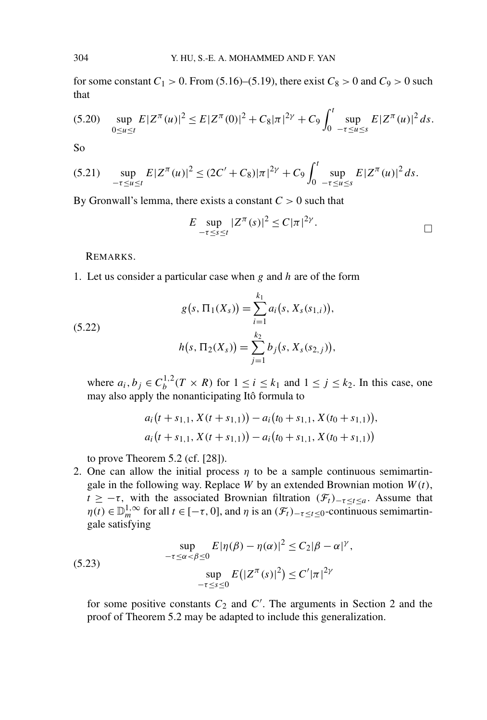for some constant  $C_1 > 0$ . From (5.16)–(5.19), there exist  $C_8 > 0$  and  $C_9 > 0$  such that

$$
(5.20) \quad \sup_{0 \le u \le t} E|Z^{\pi}(u)|^2 \le E|Z^{\pi}(0)|^2 + C_8|\pi|^{2\gamma} + C_9 \int_0^t \sup_{-\tau \le u \le s} E|Z^{\pi}(u)|^2 ds.
$$

So

$$
(5.21) \quad \sup_{-\tau \le u \le t} E|Z^{\pi}(u)|^2 \le (2C' + C_8)|\pi|^{2\gamma} + C_9 \int_0^t \sup_{-\tau \le u \le s} E|Z^{\pi}(u)|^2 ds.
$$

By Gronwall's lemma, there exists a constant *C >* 0 such that

$$
E \sup_{-\tau \leq s \leq t} |Z^{\pi}(s)|^2 \leq C |\pi|^{2\gamma}.
$$

REMARKS.

1. Let us consider a particular case when *g* and *h* are of the form

$$
g(s, \Pi_1(X_s)) = \sum_{i=1}^{k_1} a_i(s, X_s(s_{1,i})),
$$

$$
h(s, \Pi_2(X_s)) = \sum_{j=1}^{k_2} b_j(s, X_s(s_{2,j})),
$$

(5.22)

where  $a_i, b_j \in C_b^{1,2}(T \times R)$  for  $1 \le i \le k_1$  and  $1 \le j \le k_2$ . In this case, one may also apply the nonanticipating Itô formula to

$$
a_i(t + s_{1,1}, X(t + s_{1,1})) - a_i(t_0 + s_{1,1}, X(t_0 + s_{1,1})),
$$
  

$$
a_i(t + s_{1,1}, X(t + s_{1,1})) - a_i(t_0 + s_{1,1}, X(t_0 + s_{1,1}))
$$

to prove Theorem 5.2 (cf. [28]).

2. One can allow the initial process  $\eta$  to be a sample continuous semimartingale in the following way. Replace *W* by an extended Brownian motion  $W(t)$ , *t* ≥ −*τ*, with the associated Brownian filtration  $(\mathcal{F}_t)$ <sub>−*τ*≤*t*≤*a*</sub>. Assume that  $\eta(t) \in \mathbb{D}_m^{1,\infty}$  for all  $t \in [-\tau, 0]$ , and  $\eta$  is an  $(\mathcal{F}_t)_{-\tau \leq t \leq 0}$ -continuous semimartingale satisfying

(5.23) 
$$
\sup_{-\tau \le \alpha < \beta \le 0} E|\eta(\beta) - \eta(\alpha)|^2 \le C_2|\beta - \alpha|^{\gamma},
$$

$$
\sup_{-\tau \le s \le 0} E(|Z^{\pi}(s)|^2) \le C'|\pi|^{2\gamma}
$$

for some positive constants  $C_2$  and  $C'$ . The arguments in Section 2 and the proof of Theorem 5.2 may be adapted to include this generalization.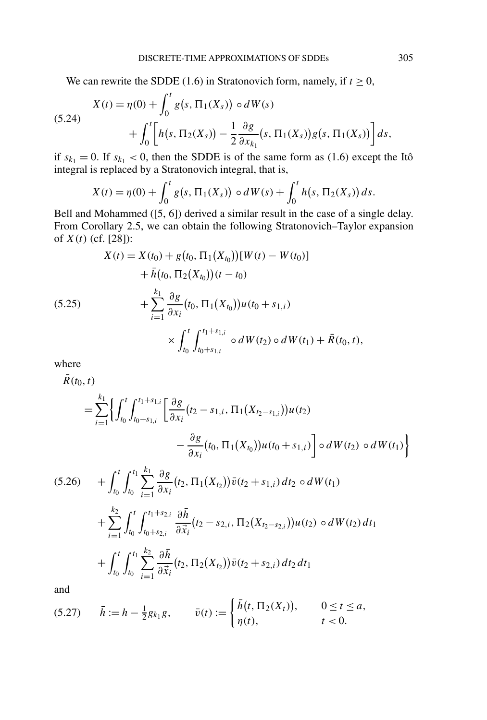We can rewrite the SDDE (1.6) in Stratonovich form, namely, if  $t \ge 0$ ,

(5.24) 
$$
X(t) = \eta(0) + \int_0^t g(s, \Pi_1(X_s)) \circ dW(s) + \int_0^t \left[ h(s, \Pi_2(X_s)) - \frac{1}{2} \frac{\partial g}{\partial x_{k_1}}(s, \Pi_1(X_s)) g(s, \Pi_1(X_s)) \right] ds,
$$

if  $s_{k_1} = 0$ . If  $s_{k_1} < 0$ , then the SDDE is of the same form as (1.6) except the Itô integral is replaced by a Stratonovich integral, that is,

$$
X(t) = \eta(0) + \int_0^t g(s, \Pi_1(X_s)) \circ dW(s) + \int_0^t h(s, \Pi_2(X_s)) ds.
$$

Bell and Mohammed ([5, 6]) derived a similar result in the case of a single delay. From Corollary 2.5, we can obtain the following Stratonovich–Taylor expansion of  $X(t)$  (cf. [28]):

$$
X(t) = X(t_0) + g(t_0, \Pi_1(X_{t_0}))[W(t) - W(t_0)]
$$
  
+  $\bar{h}(t_0, \Pi_2(X_{t_0}))(t - t_0)$   
+  $\sum_{i=1}^{k_1} \frac{\partial g}{\partial x_i}(t_0, \Pi_1(X_{t_0}))u(t_0 + s_{1,i})$   
 $\times \int_{t_0}^t \int_{t_0 + s_{1,i}}^{t_1 + s_{1,i}} \circ dW(t_2) \circ dW(t_1) + \bar{R}(t_0, t),$ 

where

$$
\bar{R}(t_0, t) = \sum_{i=1}^{k_1} \Biggl\{ \int_{t_0}^t \int_{t_0 + s_{1,i}}^{t_1 + s_{1,i}} \Biggl[ \frac{\partial g}{\partial x_i} (t_2 - s_{1,i}, \Pi_1(X_{t_2 - s_{1,i}})) u(t_2) \Biggr] - \frac{\partial g}{\partial x_i} (t_0, \Pi_1(X_{t_0})) u(t_0 + s_{1,i}) \Biggr] \circ dW(t_2) \circ dW(t_1) \Biggr\}
$$
\n(5.26) 
$$
+ \int_{t_0}^t \int_{t_0}^{t_1} \sum_{i=1}^{k_1} \frac{\partial g}{\partial x_i} (t_2, \Pi_1(X_{t_2})) \bar{v}(t_2 + s_{1,i}) dt_2 \circ dW(t_1) + \sum_{i=1}^{k_2} \int_{t_0}^t \int_{t_0 + s_{2,i}}^{t_1 + s_{2,i}} \frac{\partial \bar{h}}{\partial \bar{x}_i} (t_2 - s_{2,i}, \Pi_2(X_{t_2 - s_{2,i}})) u(t_2) \circ dW(t_2) dt_1 + \int_{t_0}^t \int_{t_0}^{t_1} \sum_{i=1}^{k_2} \frac{\partial \bar{h}}{\partial \bar{x}_i} (t_2, \Pi_2(X_{t_2})) \bar{v}(t_2 + s_{2,i}) dt_2 dt_1
$$

and

$$
(5.27) \qquad \bar{h} := h - \frac{1}{2} g_{k_1} g, \qquad \bar{v}(t) := \begin{cases} \bar{h}(t, \Pi_2(X_t)), & 0 \le t \le a, \\ \eta(t), & t < 0. \end{cases}
$$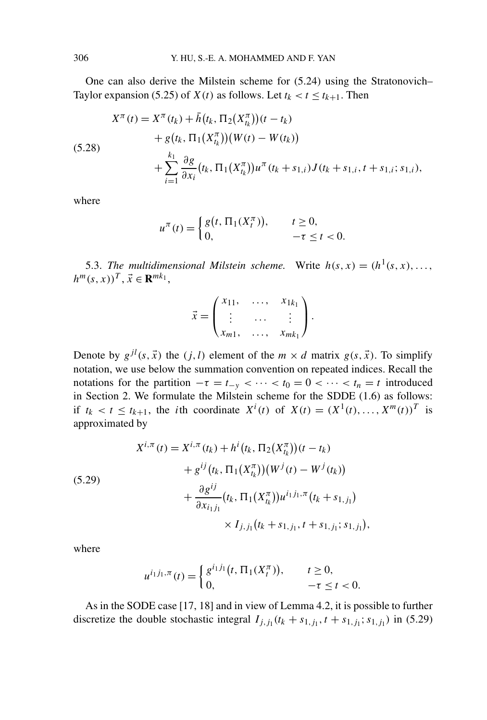One can also derive the Milstein scheme for (5.24) using the Stratonovich– Taylor expansion (5.25) of *X(t)* as follows. Let  $t_k < t \leq t_{k+1}$ . Then

$$
X^{\pi}(t) = X^{\pi}(t_k) + \bar{h}(t_k, \Pi_2(X_{t_k}^{\pi})) (t - t_k)
$$
  
+  $g(t_k, \Pi_1(X_{t_k}^{\pi})) (W(t) - W(t_k))$   
+  $\sum_{i=1}^{k_1} \frac{\partial g}{\partial x_i} (t_k, \Pi_1(X_{t_k}^{\pi})) u^{\pi} (t_k + s_{1,i}) J(t_k + s_{1,i}; t + s_{1,i}; s_{1,i}),$ 

where

$$
u^{\pi}(t) = \begin{cases} g(t, \Pi_1(X_t^{\pi})), & t \ge 0, \\ 0, & -\tau \le t < 0. \end{cases}
$$

5.3. *The multidimensional Milstein scheme.* Write  $h(s, x) = (h^1(s, x), \ldots, h^q(s, x))$  $h^m(s, x)$ <sup>*T*</sup>,  $\vec{x} \in \mathbf{R}^{mk_1}$ ,

$$
\vec{x} = \begin{pmatrix} x_{11}, & \dots, & x_{1k_1} \\ \vdots & \dots & \vdots \\ x_{m1}, & \dots, & x_{mk_1} \end{pmatrix}.
$$

Denote by  $g^{jl}(s, \vec{x})$  the  $(j, l)$  element of the  $m \times d$  matrix  $g(s, \vec{x})$ . To simplify notation, we use below the summation convention on repeated indices. Recall the notations for the partition  $-\tau = t_{-\nu} < \cdots < t_0 = 0 < \cdots < t_n = t$  introduced in Section 2. We formulate the Milstein scheme for the SDDE (1.6) as follows: if  $t_k < t \leq t_{k+1}$ , the *i*th coordinate  $X^i(t)$  of  $X(t) = (X^1(t), ..., X^m(t))^T$  is approximated by

(5.29)  
\n
$$
X^{i,\pi}(t) = X^{i,\pi}(t_k) + h^i(t_k, \Pi_2(X_{t_k}^{\pi})) (t - t_k)
$$
\n
$$
+ g^{ij}(t_k, \Pi_1(X_{t_k}^{\pi})) (W^j(t) - W^j(t_k))
$$
\n
$$
+ \frac{\partial g^{ij}}{\partial x_{i_1 j_1}} (t_k, \Pi_1(X_{t_k}^{\pi})) u^{i_1 j_1, \pi}(t_k + s_{1,j_1})
$$
\n
$$
\times I_{j,j_1}(t_k + s_{1,j_1}, t + s_{1,j_1}; s_{1,j_1}),
$$

where

$$
u^{i_1j_1,\pi}(t) = \begin{cases} g^{i_1j_1}(t, \Pi_1(X_t^{\pi})), & t \ge 0, \\ 0, & -\tau \le t < 0. \end{cases}
$$

As in the SODE case [17, 18] and in view of Lemma 4.2, it is possible to further discretize the double stochastic integral  $I_{j,j_1}(t_k + s_{1,j_1}, t + s_{1,j_1}; s_{1,j_1})$  in (5.29)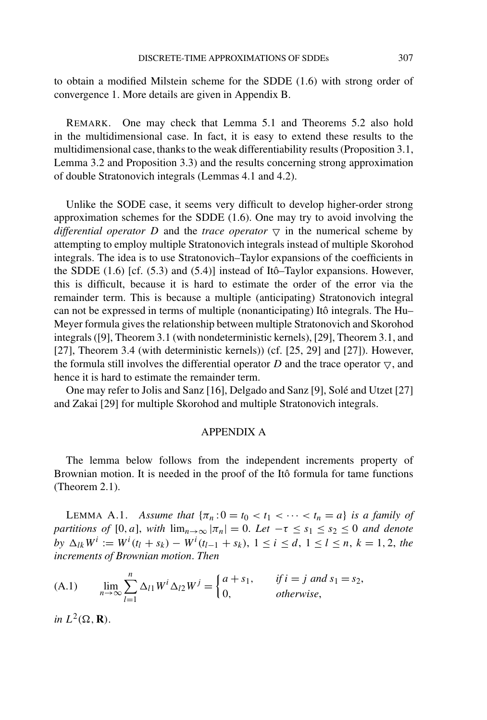to obtain a modified Milstein scheme for the SDDE (1.6) with strong order of convergence 1. More details are given in Appendix B.

REMARK. One may check that Lemma 5.1 and Theorems 5.2 also hold in the multidimensional case. In fact, it is easy to extend these results to the multidimensional case, thanks to the weak differentiability results (Proposition 3.1, Lemma 3.2 and Proposition 3.3) and the results concerning strong approximation of double Stratonovich integrals (Lemmas 4.1 and 4.2).

Unlike the SODE case, it seems very difficult to develop higher-order strong approximation schemes for the SDDE (1.6). One may try to avoid involving the *differential operator D* and the *trace operator*  $\nabla$  in the numerical scheme by attempting to employ multiple Stratonovich integrals instead of multiple Skorohod integrals. The idea is to use Stratonovich–Taylor expansions of the coefficients in the SDDE (1.6) [cf. (5.3) and (5.4)] instead of Itô–Taylor expansions. However, this is difficult, because it is hard to estimate the order of the error via the remainder term. This is because a multiple (anticipating) Stratonovich integral can not be expressed in terms of multiple (nonanticipating) Itô integrals. The Hu– Meyer formula gives the relationship between multiple Stratonovich and Skorohod integrals ([9], Theorem 3.1 (with nondeterministic kernels), [29], Theorem 3.1, and [27], Theorem 3.4 (with deterministic kernels)) (cf. [25, 29] and [27]). However, the formula still involves the differential operator D and the trace operator  $\nabla$ , and hence it is hard to estimate the remainder term.

One may refer to Jolis and Sanz [16], Delgado and Sanz [9], Solé and Utzet [27] and Zakai [29] for multiple Skorohod and multiple Stratonovich integrals.

#### APPENDIX A

The lemma below follows from the independent increments property of Brownian motion. It is needed in the proof of the Itô formula for tame functions (Theorem 2.1).

LEMMA A.1. *Assume that*  $\{\pi_n: 0 = t_0 < t_1 < \cdots < t_n = a\}$  *is a family of partitions of* [0*, a*], *with*  $\lim_{n\to\infty} |\pi_n| = 0$ . Let  $-\tau \leq s_1 \leq s_2 \leq 0$  *and denote*  $by \Delta_{lk}W^i := W^i(t_l + s_k) - W^i(t_{l-1} + s_k), 1 \le i \le d, 1 \le l \le n, k = 1, 2, the$ *increments of Brownian motion*. *Then*

(A.1) 
$$
\lim_{n \to \infty} \sum_{l=1}^{n} \Delta_{l1} W^{i} \Delta_{l2} W^{j} = \begin{cases} a + s_{1}, & \text{if } i = j \text{ and } s_{1} = s_{2}, \\ 0, & \text{otherwise}, \end{cases}
$$

*in*  $L^2(\Omega, \mathbf{R})$ .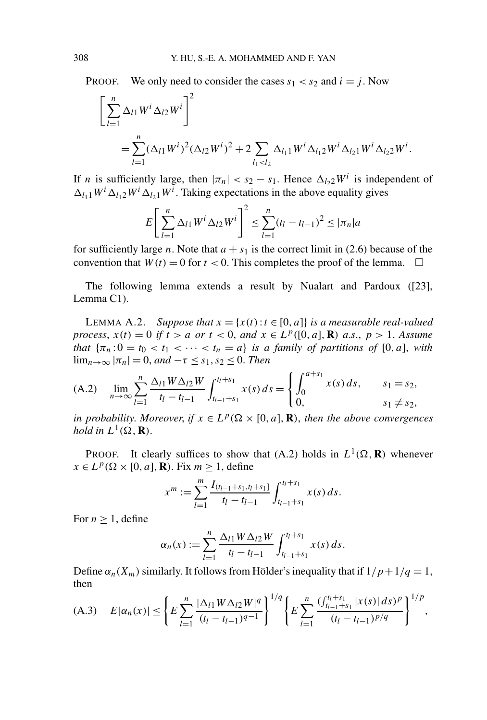PROOF. We only need to consider the cases  $s_1 < s_2$  and  $i = j$ . Now

$$
\left[\sum_{l=1}^{n} \Delta_{l1} W^{i} \Delta_{l2} W^{i}\right]^{2}
$$
  
=
$$
\sum_{l=1}^{n} (\Delta_{l1} W^{i})^{2} (\Delta_{l2} W^{i})^{2} + 2 \sum_{l_{1} < l_{2}} \Delta_{l_{1}1} W^{i} \Delta_{l_{1}2} W^{i} \Delta_{l_{2}1} W^{i} \Delta_{l_{2}2} W^{i}.
$$

If *n* is sufficiently large, then  $|\pi_n| < s_2 - s_1$ . Hence  $\Delta_{l_2} 2^{l_1}$  is independent of  $\Delta_{l_1}$  *W<sup><i>i*</sup></sup>  $\Delta_{l_2}$  *W<sup><i>i*</sup></sub>. Taking expectations in the above equality gives

$$
E\left[\sum_{l=1}^{n} \Delta_{l1} W^{i} \Delta_{l2} W^{i}\right]^{2} \leq \sum_{l=1}^{n} (t_{l} - t_{l-1})^{2} \leq |\pi_{n}| a
$$

for sufficiently large *n*. Note that  $a + s_1$  is the correct limit in (2.6) because of the convention that  $W(t) = 0$  for  $t < 0$ . This completes the proof of the lemma.  $\square$ 

The following lemma extends a result by Nualart and Pardoux ([23], Lemma C1).

LEMMA A.2. *Suppose that*  $x = \{x(t): t \in [0, a]\}$  *is a measurable real-valued process,*  $x(t) = 0$  *if*  $t > a$  *or*  $t < 0$ *, and*  $x \in L^p([0, a], \mathbf{R})$  *a.s.,*  $p > 1$ *. Assume that*  ${\pi_n : 0 = t_0 < t_1 < \cdots < t_n = a}$  *is a family of partitions of* [0*, a*], *with*  $\lim_{n\to\infty} |\pi_n| = 0$ , and  $-\tau \leq s_1, s_2 \leq 0$ . *Then* 

(A.2) 
$$
\lim_{n \to \infty} \sum_{l=1}^{n} \frac{\Delta_{l1} W \Delta_{l2} W}{t_l - t_{l-1}} \int_{t_{l-1} + s_1}^{t_l + s_1} x(s) ds = \begin{cases} \int_0^{a + s_1} x(s) ds, & s_1 = s_2, \\ 0, & s_1 \neq s_2, \end{cases}
$$

*in probability. Moreover, if*  $x \in L^p(\Omega \times [0, a], \mathbf{R})$ *, then the above convergences hold in*  $L^1(\Omega, \mathbf{R})$ .

**PROOF.** It clearly suffices to show that (A.2) holds in  $L^1(\Omega, \mathbf{R})$  whenever  $x \in L^p(\Omega \times [0, a], \mathbf{R})$ . Fix  $m \ge 1$ , define

$$
x^m := \sum_{l=1}^m \frac{I_{(t_{l-1}+s_1,t_l+s_1]}}{t_l-t_{l-1}} \int_{t_{l-1}+s_1}^{t_l+s_1} x(s) \, ds.
$$

For  $n \geq 1$ , define

$$
\alpha_n(x) := \sum_{l=1}^n \frac{\Delta_{l1} W \Delta_{l2} W}{t_l - t_{l-1}} \int_{t_{l-1}+s_1}^{t_l+s_1} x(s) ds.
$$

Define  $\alpha_n(X_m)$  similarly. It follows from Hölder's inequality that if  $1/p+1/q=1$ , then

(A.3) 
$$
E|\alpha_n(x)| \leq \left\{ E \sum_{l=1}^n \frac{|\Delta_{l1} W \Delta_{l2} W|^q}{(t_l - t_{l-1})^{q-1}} \right\}^{1/q} \left\{ E \sum_{l=1}^n \frac{(\int_{t_{l-1}+s_1}^{t_l+s_1} |x(s)| ds)^p}{(t_l - t_{l-1})^{p/q}} \right\}^{1/p},
$$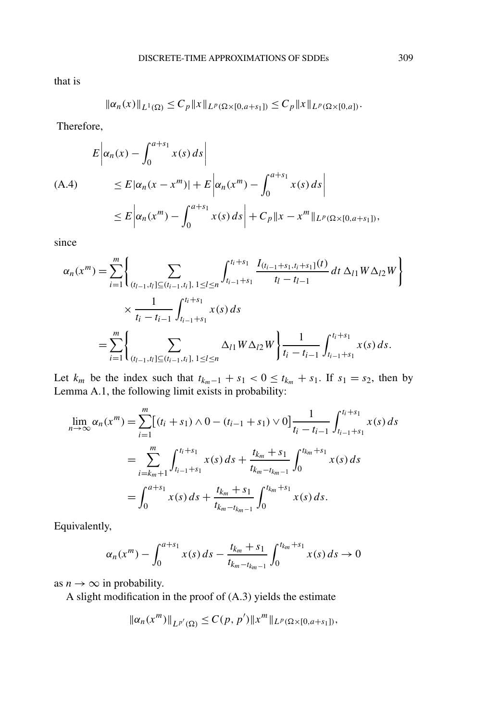that is

$$
\|\alpha_n(x)\|_{L^1(\Omega)} \le C_p \|x\|_{L^p(\Omega \times [0,a+s_1])} \le C_p \|x\|_{L^p(\Omega \times [0,a])}.
$$

Therefore,

$$
E\left|\alpha_n(x) - \int_0^{a+s_1} x(s) ds\right|
$$
  
(A.4) 
$$
\leq E|\alpha_n(x - x^m)| + E\left|\alpha_n(x^m) - \int_0^{a+s_1} x(s) ds\right|
$$

$$
\leq E\left|\alpha_n(x^m) - \int_0^{a+s_1} x(s) ds\right| + C_p ||x - x^m||_{L^p(\Omega \times [0, a+s_1])},
$$

since

$$
\alpha_n(x^m) = \sum_{i=1}^m \left\{ \sum_{(t_{l-1}, t_l] \subseteq (t_{i-1}, t_l], 1 \le l \le n} \int_{t_{i-1}+s_1}^{t_i+s_1} \frac{I_{(t_{i-1}+s_1,t_i+s_1]}(t)}{t_l - t_{l-1}} dt \, \Delta_{l1} W \Delta_{l2} W \right\}
$$

$$
\times \frac{1}{t_i - t_{i-1}} \int_{t_{i-1}+s_1}^{t_i+s_1} x(s) \, ds
$$

$$
= \sum_{i=1}^m \left\{ \sum_{(t_{l-1}, t_l] \subseteq (t_{i-1}, t_l], 1 \le l \le n} \Delta_{l1} W \Delta_{l2} W \right\} \frac{1}{t_i - t_{i-1}} \int_{t_{i-1}+s_1}^{t_i+s_1} x(s) \, ds.
$$

Let  $k_m$  be the index such that  $t_{k_m-1} + s_1 < 0 \le t_{k_m} + s_1$ . If  $s_1 = s_2$ , then by Lemma A.1, the following limit exists in probability:

$$
\lim_{n \to \infty} \alpha_n(x^m) = \sum_{i=1}^m \left[ (t_i + s_1) \wedge 0 - (t_{i-1} + s_1) \vee 0 \right] \frac{1}{t_i - t_{i-1}} \int_{t_{i-1} + s_1}^{t_i + s_1} x(s) ds
$$
\n
$$
= \sum_{i=k_m+1}^m \int_{t_{i-1} + s_1}^{t_i + s_1} x(s) ds + \frac{t_{k_m} + s_1}{t_{k_m - t_{k_m - 1}}} \int_0^{t_{k_m} + s_1} x(s) ds
$$
\n
$$
= \int_0^{a + s_1} x(s) ds + \frac{t_{k_m} + s_1}{t_{k_m - t_{k_m - 1}}} \int_0^{t_{k_m} + s_1} x(s) ds.
$$

Equivalently,

$$
\alpha_n(x^m) - \int_0^{a+s_1} x(s) \, ds - \frac{t_{k_m} + s_1}{t_{k_m - t_{k_m - 1}}} \int_0^{t_{k_m} + s_1} x(s) \, ds \to 0
$$

as  $n \to \infty$  in probability.

A slight modification in the proof of (A.3) yields the estimate

$$
\|\alpha_n(x^m)\|_{L^{p'}(\Omega)} \leq C(p, p')\|x^m\|_{L^p(\Omega \times [0, a+s_1])},
$$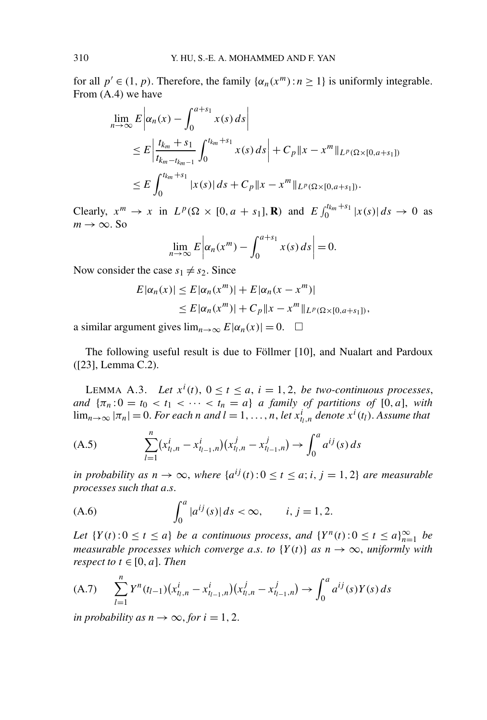for all  $p' \in (1, p)$ . Therefore, the family  $\{\alpha_n(x^m): n \geq 1\}$  is uniformly integrable. From (A.4) we have

$$
\lim_{n \to \infty} E \left| \alpha_n(x) - \int_0^{a+s_1} x(s) \, ds \right|
$$
\n
$$
\leq E \left| \frac{t_{k_m} + s_1}{t_{k_m - t_{k_m - 1}}} \int_0^{t_{k_m} + s_1} x(s) \, ds \right| + C_p \|x - x^m\|_{L^p(\Omega \times [0, a + s_1])}
$$
\n
$$
\leq E \int_0^{t_{k_m} + s_1} |x(s)| \, ds + C_p \|x - x^m\|_{L^p(\Omega \times [0, a + s_1])}.
$$

Clearly,  $x^m \to x$  in  $L^p(\Omega \times [0, a + s_1], \mathbf{R})$  and  $E \int_0^{t_{k_m} + s_1} |x(s)| ds \to 0$  as  $m \rightarrow \infty$ . So

$$
\lim_{n \to \infty} E \left| \alpha_n(x^m) - \int_0^{a+s_1} x(s) \, ds \right| = 0.
$$

Now consider the case  $s_1 \neq s_2$ . Since

$$
E|\alpha_n(x)| \le E|\alpha_n(x^m)| + E|\alpha_n(x - x^m)|
$$
  
\n
$$
\le E|\alpha_n(x^m)| + C_p ||x - x^m||_{L^p(\Omega \times [0, a + s_1])},
$$

a similar argument gives  $\lim_{n\to\infty} E|\alpha_n(x)| = 0$ .  $\Box$ 

The following useful result is due to Föllmer [10], and Nualart and Pardoux ([23], Lemma C.2).

LEMMA A.3. Let  $x^i(t)$ ,  $0 \le t \le a$ ,  $i = 1, 2$ , *be two-continuous processes*, *and*  $\{\pi_n: 0 = t_0 < t_1 < \cdots < t_n = a\}$  *a family of partitions of* [0*, a*], *with*  $\lim_{n\to\infty} |\pi_n| = 0$ . For each *n* and  $l = 1, \ldots, n$ , let  $x_{t_l,n}^i$  denote  $x^i(t_l)$ . Assume that

(A.5) 
$$
\sum_{l=1}^{n} (x_{t_l,n}^i - x_{t_{l-1},n}^i)(x_{t_l,n}^j - x_{t_{l-1},n}^j) \to \int_0^a a^{ij}(s) ds
$$

*in probability as*  $n \to \infty$ *, where*  $\{a^{ij}(t): 0 \le t \le a$ ; *i*, *j* = 1, 2} *are measurable processes such that a*.*s*.

(A.6) 
$$
\int_0^a |a^{ij}(s)| ds < \infty, \qquad i, j = 1, 2.
$$

*Let*  $\{Y(t): 0 \le t \le a\}$  *be a continuous process, and*  $\{Y^n(t): 0 \le t \le a\}_{n=1}^{\infty}$  *be measurable processes which converge a.s. to*  ${Y(t)}$  *as*  $n \rightarrow \infty$ *, uniformly with respect to*  $t \in [0, a]$ *. Then* 

(A.7) 
$$
\sum_{l=1}^{n} Y^{n}(t_{l-1})(x_{t_{l},n}^{i} - x_{t_{l-1},n}^{i})(x_{t_{l},n}^{j} - x_{t_{l-1},n}^{j}) \rightarrow \int_{0}^{a} a^{ij}(s)Y(s) ds
$$

*in probability as*  $n \rightarrow \infty$ , *for*  $i = 1, 2$ .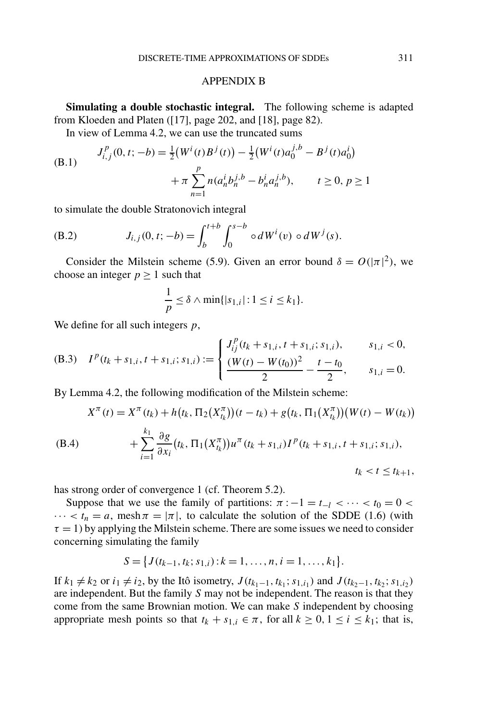#### APPENDIX B

**Simulating a double stochastic integral.** The following scheme is adapted from Kloeden and Platen ([17], page 202, and [18], page 82).

In view of Lemma 4.2, we can use the truncated sums

(B.1) 
$$
J_{i,j}^{p}(0, t; -b) = \frac{1}{2} (W^{i}(t)B^{j}(t)) - \frac{1}{2} (W^{i}(t)a_{0}^{j,b} - B^{j}(t)a_{0}^{i}) + \pi \sum_{n=1}^{p} n(a_{n}^{i}b_{n}^{j,b} - b_{n}^{i}a_{n}^{j,b}), \qquad t \ge 0, p \ge 1
$$

to simulate the double Stratonovich integral

(B.2) 
$$
J_{i,j}(0, t; -b) = \int_b^{t+b} \int_0^{s-b} \circ dW^i(v) \circ dW^j(s).
$$

Consider the Milstein scheme (5.9). Given an error bound  $\delta = O(|\pi|^2)$ , we choose an integer  $p \ge 1$  such that

$$
\frac{1}{p} \leq \delta \wedge \min\{|s_{1,i}| : 1 \leq i \leq k_1\}.
$$

We define for all such integers *p*,

(B.3) 
$$
I^{p}(t_{k} + s_{1,i}, t + s_{1,i}; s_{1,i}) := \begin{cases} J_{ij}^{p}(t_{k} + s_{1,i}, t + s_{1,i}; s_{1,i}), & s_{1,i} < 0, \\ \frac{(W(t) - W(t_{0}))^{2}}{2} - \frac{t - t_{0}}{2}, & s_{1,i} = 0. \end{cases}
$$

By Lemma 4.2, the following modification of the Milstein scheme:

$$
X^{\pi}(t) = X^{\pi}(t_k) + h(t_k, \Pi_2(X_{t_k}^{\pi})) (t - t_k) + g(t_k, \Pi_1(X_{t_k}^{\pi})) (W(t) - W(t_k))
$$
  
(B.4)  

$$
+ \sum_{i=1}^{k_1} \frac{\partial g}{\partial x_i} (t_k, \Pi_1(X_{t_k}^{\pi})) u^{\pi} (t_k + s_{1,i}) I^p (t_k + s_{1,i}; t + s_{1,i}; s_{1,i}),
$$
  

$$
t_k < t \le t_{k+1},
$$

has strong order of convergence 1 (cf. Theorem 5.2).

Suppose that we use the family of partitions:  $\pi$  :  $-1 = t_{-1} < \cdots < t_0 = 0$  $\cdots < t_n = a$ , mesh  $\pi = |\pi|$ , to calculate the solution of the SDDE (1.6) (with  $\tau = 1$ ) by applying the Milstein scheme. There are some issues we need to consider concerning simulating the family

$$
S = \big\{ J(t_{k-1}, t_k; s_{1,i}) : k = 1, \ldots, n, i = 1, \ldots, k_1 \big\}.
$$

If  $k_1 \neq k_2$  or  $i_1 \neq i_2$ , by the Itô isometry, *J*( $t_{k_1-1}, t_{k_1}$ ;  $s_{1,i_1}$ ) and *J*( $t_{k_2-1}, t_{k_2}$ ;  $s_{1,i_2}$ ) are independent. But the family *S* may not be independent. The reason is that they come from the same Brownian motion. We can make *S* independent by choosing appropriate mesh points so that  $t_k + s_{1,i} \in \pi$ , for all  $k \geq 0, 1 \leq i \leq k_1$ ; that is,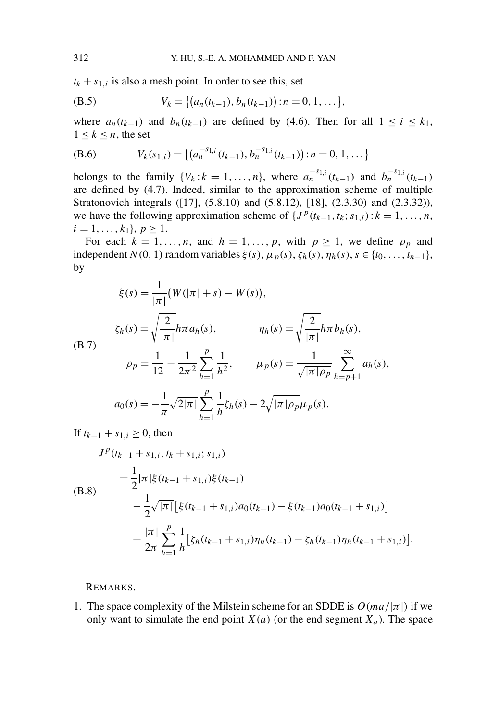$t_k + s_{1,i}$  is also a mesh point. In order to see this, set

(B.5) 
$$
V_k = \{(a_n(t_{k-1}), b_n(t_{k-1})): n = 0, 1, \ldots\},\
$$

where  $a_n(t_{k-1})$  and  $b_n(t_{k-1})$  are defined by (4.6). Then for all  $1 \le i \le k_1$ ,  $1 \leq k \leq n$ , the set

$$
(B.6) \t Vk(s1,i) = \{(an-s1,i(tk-1), bn-s1,i(tk-1)): n = 0, 1, ... \}
$$

belongs to the family  $\{V_k : k = 1, ..., n\}$ , where  $a_n^{-s_{1,i}}(t_{k-1})$  and  $b_n^{-s_{1,i}}(t_{k-1})$ are defined by (4.7). Indeed, similar to the approximation scheme of multiple Stratonovich integrals ([17], (5.8.10) and (5.8.12), [18], (2.3.30) and (2.3.32)), we have the following approximation scheme of  ${J^p(t_{k-1}, t_k; s_{1,i}) : k = 1, ..., n}$ ,  $i = 1, \ldots, k_1$ ,  $p \ge 1$ .

For each  $k = 1, \ldots, n$ , and  $h = 1, \ldots, p$ , with  $p \ge 1$ , we define  $\rho_p$  and independent *N*(0, 1) random variables  $\xi(s)$ ,  $\mu_p(s)$ ,  $\zeta_h(s)$ ,  $\eta_h(s)$ ,  $s \in \{t_0, \ldots, t_{n-1}\}$ , by

$$
\xi(s) = \frac{1}{|\pi|} (W(|\pi| + s) - W(s)),
$$
\n
$$
\zeta_h(s) = \sqrt{\frac{2}{|\pi|}} h \pi a_h(s), \qquad \eta_h(s) = \sqrt{\frac{2}{|\pi|}} h \pi b_h(s),
$$
\n
$$
\rho_p = \frac{1}{12} - \frac{1}{2\pi^2} \sum_{h=1}^p \frac{1}{h^2}, \qquad \mu_p(s) = \frac{1}{\sqrt{|\pi|} \rho_p} \sum_{h=p+1}^\infty a_h(s),
$$
\n
$$
a_0(s) = -\frac{1}{\pi} \sqrt{2|\pi|} \sum_{h=1}^p \frac{1}{h} \zeta_h(s) - 2\sqrt{|\pi|} \rho_p \mu_p(s).
$$

If  $t_{k-1} + s_{1,i} ≥ 0$ , then

$$
J^{p}(t_{k-1} + s_{1,i}, t_{k} + s_{1,i}; s_{1,i})
$$
\n
$$
= \frac{1}{2} |\pi |\xi(t_{k-1} + s_{1,i})\xi(t_{k-1})
$$
\n(B.8)\n
$$
- \frac{1}{2} \sqrt{|\pi|} [\xi(t_{k-1} + s_{1,i}) a_{0}(t_{k-1}) - \xi(t_{k-1}) a_{0}(t_{k-1} + s_{1,i})]
$$
\n
$$
+ \frac{|\pi|}{2\pi} \sum_{h=1}^{p} \frac{1}{h} [\xi_{h}(t_{k-1} + s_{1,i}) \eta_{h}(t_{k-1}) - \zeta_{h}(t_{k-1}) \eta_{h}(t_{k-1} + s_{1,i})].
$$

REMARKS.

1. The space complexity of the Milstein scheme for an SDDE is  $O(ma/|\pi|)$  if we only want to simulate the end point  $X(a)$  (or the end segment  $X_a$ ). The space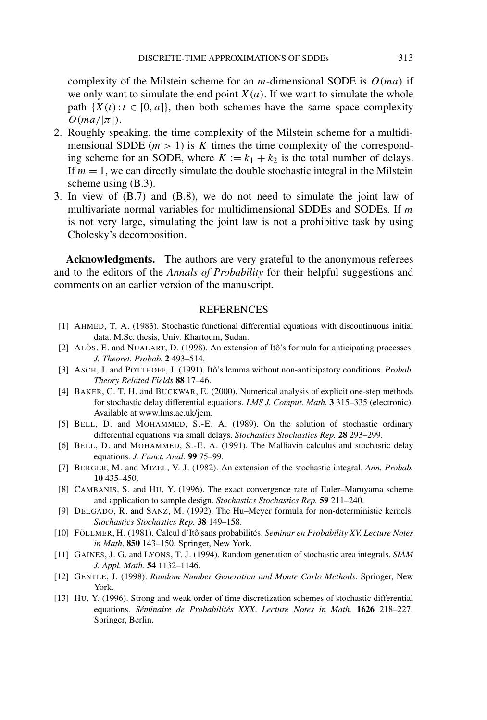complexity of the Milstein scheme for an *m*-dimensional SODE is *O(ma)* if we only want to simulate the end point  $X(a)$ . If we want to simulate the whole path  $\{X(t): t \in [0, a]\}$ , then both schemes have the same space complexity  $O(ma/|\pi|)$ .

- 2. Roughly speaking, the time complexity of the Milstein scheme for a multidimensional SDDE  $(m > 1)$  is *K* times the time complexity of the corresponding scheme for an SODE, where  $K := k_1 + k_2$  is the total number of delays. If  $m = 1$ , we can directly simulate the double stochastic integral in the Milstein scheme using (B.3).
- 3. In view of (B.7) and (B.8), we do not need to simulate the joint law of multivariate normal variables for multidimensional SDDEs and SODEs. If *m* is not very large, simulating the joint law is not a prohibitive task by using Cholesky's decomposition.

**Acknowledgments.** The authors are very grateful to the anonymous referees and to the editors of the *Annals of Probability* for their helpful suggestions and comments on an earlier version of the manuscript.

#### **REFERENCES**

- [1] AHMED, T. A. (1983). Stochastic functional differential equations with discontinuous initial data. M.Sc. thesis, Univ. Khartoum, Sudan.
- [2] ALÒS, E. and NUALART, D. (1998). An extension of Itô's formula for anticipating processes. *J. Theoret. Probab.* **2** 493–514.
- [3] ASCH, J. and POTTHOFF, J. (1991). Itô's lemma without non-anticipatory conditions. *Probab. Theory Related Fields* **88** 17–46.
- [4] BAKER, C. T. H. and BUCKWAR, E. (2000). Numerical analysis of explicit one-step methods for stochastic delay differential equations. *LMS J. Comput. Math.* **3** 315–335 (electronic). Available at www.lms.ac.uk/jcm.
- [5] BELL, D. and MOHAMMED, S.-E. A. (1989). On the solution of stochastic ordinary differential equations via small delays. *Stochastics Stochastics Rep.* **28** 293–299.
- [6] BELL, D. and MOHAMMED, S.-E. A. (1991). The Malliavin calculus and stochastic delay equations. *J. Funct. Anal.* **99** 75–99.
- [7] BERGER, M. and MIZEL, V. J. (1982). An extension of the stochastic integral. *Ann. Probab.* **10** 435–450.
- [8] CAMBANIS, S. and HU, Y. (1996). The exact convergence rate of Euler–Maruyama scheme and application to sample design. *Stochastics Stochastics Rep.* **59** 211–240.
- [9] DELGADO, R. and SANZ, M. (1992). The Hu–Meyer formula for non-deterministic kernels. *Stochastics Stochastics Rep.* **38** 149–158.
- [10] FÖLLMER, H. (1981). Calcul d'Itô sans probabilités. *Seminar en Probability XV. Lecture Notes in Math*. **850** 143–150. Springer, New York.
- [11] GAINES, J. G. and LYONS, T. J. (1994). Random generation of stochastic area integrals. *SIAM J. Appl. Math.* **54** 1132–1146.
- [12] GENTLE, J. (1998). *Random Number Generation and Monte Carlo Methods*. Springer, New York.
- [13] HU, Y. (1996). Strong and weak order of time discretization schemes of stochastic differential equations. *Séminaire de Probabilités XXX*. *Lecture Notes in Math.* **1626** 218–227. Springer, Berlin.